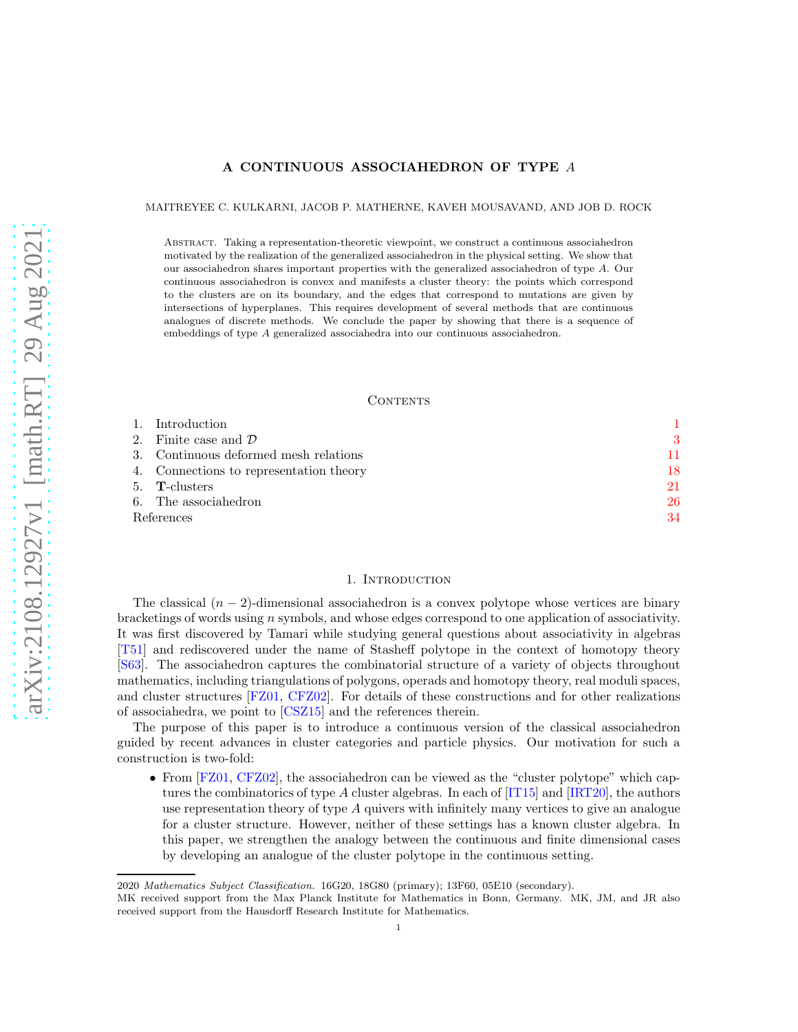# A CONTINUOUS ASSOCIAHEDRON OF TYPE A

MAITREYEE C. KULKARNI, JACOB P. MATHERNE, KAVEH MOUSAVAND, AND JOB D. ROCK

Abstract. Taking a representation-theoretic viewpoint, we construct a continuous associahedron motivated by the realization of the generalized associahedron in the physical setting. We show that our associahedron shares important properties with the generalized associahedron of type A. Our continuous associahedron is convex and manifests a cluster theory: the points which correspond to the clusters are on its boundary, and the edges that correspond to mutations are given by intersections of hyperplanes. This requires development of several methods that are continuous analogues of discrete methods. We conclude the paper by showing that there is a sequence of embeddings of type A generalized associahedra into our continuous associahedron.

#### **CONTENTS**

| Finite case and $\mathcal D$<br>$2^{\circ}$<br>Continuous deformed mesh relations<br>3.<br>4. Connections to representation theory<br><b>T</b> -clusters<br>5. |    |
|----------------------------------------------------------------------------------------------------------------------------------------------------------------|----|
|                                                                                                                                                                | 3  |
|                                                                                                                                                                | 11 |
|                                                                                                                                                                | 18 |
|                                                                                                                                                                | 21 |
| The associahedron<br>6.                                                                                                                                        | 26 |
| References                                                                                                                                                     | 34 |

# 1. INTRODUCTION

<span id="page-0-0"></span>The classical  $(n-2)$ -dimensional associahedron is a convex polytope whose vertices are binary bracketings of words using n symbols, and whose edges correspond to one application of associativity. It was first discovered by Tamari while studying general questions about associativity in algebras [\[T51\]](#page-33-1) and rediscovered under the name of Stasheff polytope in the context of homotopy theory [\[S63\]](#page-33-2). The associahedron captures the combinatorial structure of a variety of objects throughout mathematics, including triangulations of polygons, operads and homotopy theory, real moduli spaces, and cluster structures [\[FZ01,](#page-33-3) [CFZ02\]](#page-33-4). For details of these constructions and for other realizations of associahedra, we point to [\[CSZ15\]](#page-33-5) and the references therein.

The purpose of this paper is to introduce a continuous version of the classical associahedron guided by recent advances in cluster categories and particle physics. Our motivation for such a construction is two-fold:

• From [\[FZ01,](#page-33-3) [CFZ02\]](#page-33-4), the associahedron can be viewed as the "cluster polytope" which captures the combinatorics of type A cluster algebras. In each of  $[T115]$  and  $[IRT20]$ , the authors use representation theory of type  $A$  quivers with infinitely many vertices to give an analogue for a cluster structure. However, neither of these settings has a known cluster algebra. In this paper, we strengthen the analogy between the continuous and finite dimensional cases by developing an analogue of the cluster polytope in the continuous setting.

<sup>2020</sup> *Mathematics Subject Classification.* 16G20, 18G80 (primary); 13F60, 05E10 (secondary).

MK received support from the Max Planck Institute for Mathematics in Bonn, Germany. MK, JM, and JR also received support from the Hausdorff Research Institute for Mathematics.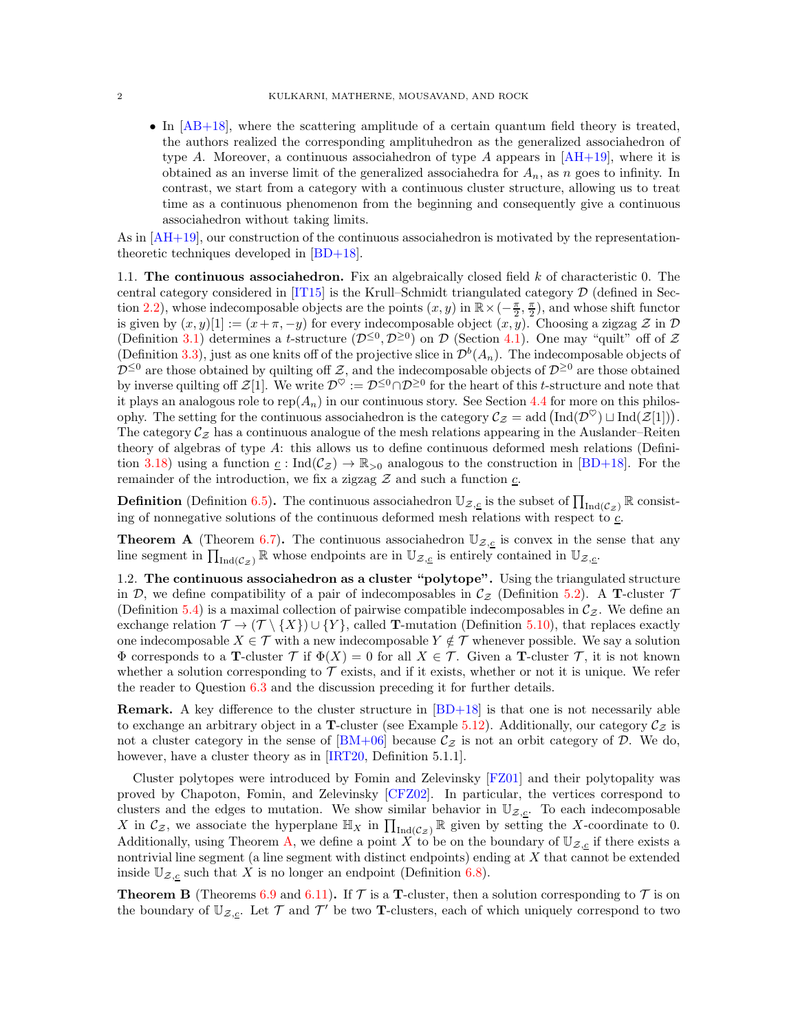• In [\[AB+18\]](#page-33-8), where the scattering amplitude of a certain quantum field theory is treated, the authors realized the corresponding amplituhedron as the generalized associahedron of type A. Moreover, a continuous associahedron of type A appears in  $[AH+19]$ , where it is obtained as an inverse limit of the generalized associahedra for  $A_n$ , as n goes to infinity. In contrast, we start from a category with a continuous cluster structure, allowing us to treat time as a continuous phenomenon from the beginning and consequently give a continuous associahedron without taking limits.

As in  $[AH+19]$ , our construction of the continuous associahedron is motivated by the representationtheoretic techniques developed in [\[BD+18\]](#page-33-10).

1.1. The continuous associahedron. Fix an algebraically closed field  $k$  of characteristic 0. The central category considered in  $[T115]$  is the Krull–Schmidt triangulated category  $D$  (defined in Sec-tion [2.2\)](#page-6-0), whose indecomposable objects are the points  $(x, y)$  in  $\mathbb{R} \times (-\frac{\pi}{2}, \frac{\pi}{2})$ , and whose shift functor is given by  $(x, y)[1] := (x + \pi, -y)$  for every indecomposable object  $(x, y)$ . Choosing a zigzag  $\mathcal{Z}$  in  $\mathcal{D}$ (Definition [3.1\)](#page-10-1) determines a t-structure  $(\mathcal{D}^{\leq 0}, \mathcal{D}^{\geq 0})$  on  $\mathcal{D}$  (Section [4.1\)](#page-17-1). One may "quilt" off of  $\mathcal Z$ (Definition [3.3\)](#page-11-0), just as one knits off of the projective slice in  $\mathcal{D}^b(A_n)$ . The indecomposable objects of  $\mathcal{D}^{\leq 0}$  are those obtained by quilting off Z, and the indecomposable objects of  $\mathcal{D}^{\geq 0}$  are those obtained by inverse quilting off  $\mathcal{Z}[1]$ . We write  $\mathcal{D}^{\heartsuit} := \mathcal{D}^{\leq 0} \cap \mathcal{D}^{\geq 0}$  for the heart of this t-structure and note that it plays an analogous role to  $rep(A_n)$  in our continuous story. See Section [4.4](#page-20-1) for more on this philosophy. The setting for the continuous associahedron is the category  $\mathcal{C}_{\mathcal{Z}} = \text{add}(\text{Ind}(\mathcal{D}^{\heartsuit}) \sqcup \text{Ind}(\mathcal{Z}[1]))$ . The category  $\mathcal{C}_{\mathcal{Z}}$  has a continuous analogue of the mesh relations appearing in the Auslander–Reiten theory of algebras of type A: this allows us to define continuous deformed mesh relations (Defini-tion [3.18\)](#page-15-0) using a function  $\underline{c}$ : Ind $(\mathcal{C}_{\mathcal{Z}}) \to \mathbb{R}_{>0}$  analogous to the construction in [\[BD+18\]](#page-33-10). For the remainder of the introduction, we fix a zigzag  $\mathcal Z$  and such a function  $\underline{c}$ .

**Definition** (Definition [6.5\)](#page-26-0). The continuous associahedron  $\mathbb{U}_{\mathcal{Z},\underline{c}}$  is the subset of  $\prod_{\text{Ind}(\mathcal{C}_z)} \mathbb{R}$  consisting of nonnegative solutions of the continuous deformed mesh relations with respect to  $c$ .

<span id="page-1-0"></span>**Theorem A** (Theorem [6.7\)](#page-27-0). The continuous associahedron  $\mathbb{U}_{\mathcal{Z},\mathcal{L}}$  is convex in the sense that any line segment in  $\prod_{\text{Ind}(\mathcal{C}_\mathcal{Z})} \mathbb{R}$  whose endpoints are in  $\mathbb{U}_{\mathcal{Z},\underline{c}}$  is entirely contained in  $\mathbb{U}_{\mathcal{Z},\underline{c}}$ .

1.2. The continuous associahedron as a cluster "polytope". Using the triangulated structure in D, we define compatibility of a pair of indecomposables in  $\mathcal{C}_{\mathcal{Z}}$  (Definition [5.2\)](#page-20-2). A T-cluster  $\mathcal{T}$ (Definition [5.4\)](#page-21-0) is a maximal collection of pairwise compatible indecomposables in  $\mathcal{C}_{z}$ . We define an exchange relation  $\mathcal{T} \to (\mathcal{T} \setminus \{X\}) \cup \{Y\}$ , called T-mutation (Definition [5.10\)](#page-24-0), that replaces exactly one indecomposable  $X \in \mathcal{T}$  with a new indecomposable  $Y \notin \mathcal{T}$  whenever possible. We say a solution  $\Phi$  corresponds to a **T**-cluster  $\mathcal{T}$  if  $\Phi(X) = 0$  for all  $X \in \mathcal{T}$ . Given a **T**-cluster  $\mathcal{T}$ , it is not known whether a solution corresponding to  $\mathcal T$  exists, and if it exists, whether or not it is unique. We refer the reader to Question [6.3](#page-26-1) and the discussion preceding it for further details.

**Remark.** A key difference to the cluster structure in  $[BD+18]$  is that one is not necessarily able to exchange an arbitrary object in a **T**-cluster (see Example [5.12\)](#page-25-1). Additionally, our category  $\mathcal{C}_z$  is not a cluster category in the sense of  $[BM+06]$  because  $\mathcal{C}_{\mathcal{Z}}$  is not an orbit category of  $\mathcal{D}$ . We do, however, have a cluster theory as in [\[IRT20,](#page-33-7) Definition 5.1.1].

Cluster polytopes were introduced by Fomin and Zelevinsky [\[FZ01\]](#page-33-3) and their polytopality was proved by Chapoton, Fomin, and Zelevinsky [\[CFZ02\]](#page-33-4). In particular, the vertices correspond to clusters and the edges to mutation. We show similar behavior in  $\mathbb{U}_{\mathcal{Z},\underline{c}}$ . To each indecomposable X in  $\mathcal{C}_{\mathcal{Z}}$ , we associate the hyperplane  $\mathbb{H}_X$  in  $\prod_{\text{Ind}(\mathcal{C}_{\mathcal{Z}})} \mathbb{R}$  given by setting the X-coordinate to 0. Additionally, using Theorem [A,](#page-1-0) we define a point X to be on the boundary of  $\mathbb{U}_{Z,c}$  if there exists a nontrivial line segment (a line segment with distinct endpoints) ending at X that cannot be extended inside  $\mathbb{U}_{\mathcal{Z},\underline{c}}$  such that X is no longer an endpoint (Definition [6.8\)](#page-27-1).

**Theorem B** (Theorems [6.9](#page-27-2) and [6.11\)](#page-28-0). If  $\mathcal T$  is a **T**-cluster, then a solution corresponding to  $\mathcal T$  is on the boundary of  $\mathbb{U}_{\mathcal{Z},\underline{c}}$ . Let  $\mathcal{T}$  and  $\mathcal{T}'$  be two **T**-clusters, each of which uniquely correspond to two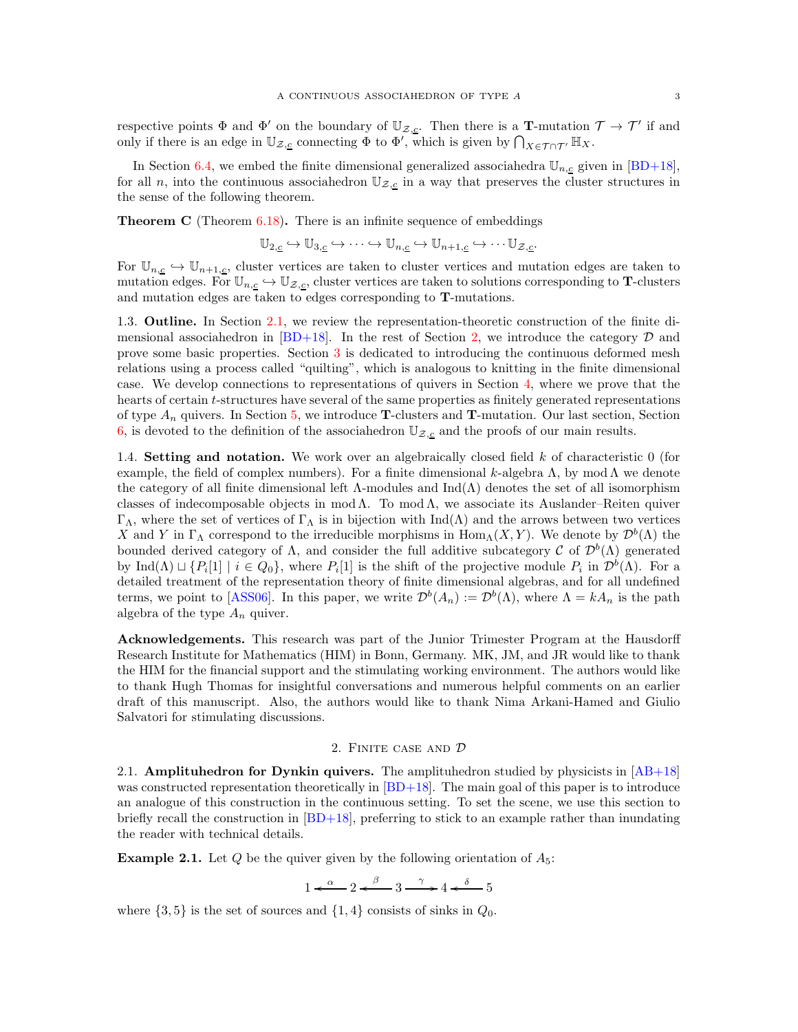respective points  $\Phi$  and  $\Phi'$  on the boundary of  $\mathbb{U}_{\mathcal{Z},\underline{c}}$ . Then there is a **T**-mutation  $\mathcal{T} \to \mathcal{T}'$  if and only if there is an edge in  $\mathbb{U}_{\mathcal{Z},\underline{c}}$  connecting  $\Phi$  to  $\Phi'$ , which is given by  $\bigcap_{X\in\mathcal{T}\cap\mathcal{T}'}\mathbb{H}_X$ .

In Section [6.4,](#page-29-0) we embed the finite dimensional generalized associahedra  $\mathbb{U}_{n,c}$  given in [\[BD+18\]](#page-33-10), for all n, into the continuous associahedron  $\mathbb{U}_{\mathcal{Z},\underline{c}}$  in a way that preserves the cluster structures in the sense of the following theorem.

**Theorem C** (Theorem  $6.18$ ). There is an infinite sequence of embeddings

$$
\mathbb{U}_{2,\underline{c}} \hookrightarrow \mathbb{U}_{3,\underline{c}} \hookrightarrow \cdots \hookrightarrow \mathbb{U}_{n,\underline{c}} \hookrightarrow \mathbb{U}_{n+1,\underline{c}} \hookrightarrow \cdots \mathbb{U}_{\mathcal{Z},\underline{c}}.
$$

For  $\mathbb{U}_{n,\underline{c}} \hookrightarrow \mathbb{U}_{n+1,\underline{c}}$ , cluster vertices are taken to cluster vertices and mutation edges are taken to mutation edges. For  $\mathbb{U}_{n,\underline{c}} \hookrightarrow \mathbb{U}_{\mathcal{Z},\underline{c}}$ , cluster vertices are taken to solutions corresponding to **T**-clusters and mutation edges are taken to edges corresponding to T-mutations.

1.3. Outline. In Section [2.1,](#page-2-1) we review the representation-theoretic construction of the finite dimensional associahedron in  $[BD+18]$ . In the rest of Section [2,](#page-2-0) we introduce the category  $D$  and prove some basic properties. Section [3](#page-10-0) is dedicated to introducing the continuous deformed mesh relations using a process called "quilting", which is analogous to knitting in the finite dimensional case. We develop connections to representations of quivers in Section [4,](#page-17-0) where we prove that the hearts of certain t-structures have several of the same properties as finitely generated representations of type  $A_n$  quivers. In Section [5,](#page-20-0) we introduce **T**-clusters and **T**-mutation. Our last section, Section [6,](#page-25-0) is devoted to the definition of the associahedron  $\mathbb{U}_{\mathcal{Z},c}$  and the proofs of our main results.

1.4. Setting and notation. We work over an algebraically closed field  $k$  of characteristic 0 (for example, the field of complex numbers). For a finite dimensional k-algebra  $\Lambda$ , by mod  $\Lambda$  we denote the category of all finite dimensional left  $\Lambda$ -modules and  $\text{Ind}(\Lambda)$  denotes the set of all isomorphism classes of indecomposable objects in mod  $\Lambda$ . To mod  $\Lambda$ , we associate its Auslander–Reiten quiver  $\Gamma_{\Lambda}$ , where the set of vertices of  $\Gamma_{\Lambda}$  is in bijection with Ind( $\Lambda$ ) and the arrows between two vertices X and Y in  $\Gamma_{\Lambda}$  correspond to the irreducible morphisms in  $\text{Hom}_{\Lambda}(X, Y)$ . We denote by  $\mathcal{D}^{b}(\Lambda)$  the bounded derived category of  $\Lambda$ , and consider the full additive subcategory C of  $\mathcal{D}^b(\Lambda)$  generated by  $\text{Ind}(\Lambda) \sqcup \{P_i[1] \mid i \in Q_0\}$ , where  $P_i[1]$  is the shift of the projective module  $P_i$  in  $\mathcal{D}^b(\Lambda)$ . For a detailed treatment of the representation theory of finite dimensional algebras, and for all undefined terms, we point to [\[ASS06\]](#page-33-12). In this paper, we write  $\mathcal{D}^b(A_n) := \mathcal{D}^b(\Lambda)$ , where  $\Lambda = kA_n$  is the path algebra of the type  $A_n$  quiver.

Acknowledgements. This research was part of the Junior Trimester Program at the Hausdorff Research Institute for Mathematics (HIM) in Bonn, Germany. MK, JM, and JR would like to thank the HIM for the financial support and the stimulating working environment. The authors would like to thank Hugh Thomas for insightful conversations and numerous helpful comments on an earlier draft of this manuscript. Also, the authors would like to thank Nima Arkani-Hamed and Giulio Salvatori for stimulating discussions.

## 2. Finite case and D

<span id="page-2-1"></span><span id="page-2-0"></span>2.1. **Amplituhedron for Dynkin quivers.** The amplituhedron studied by physicists in  $[AB+18]$ was constructed representation theoretically in [\[BD+18\]](#page-33-10). The main goal of this paper is to introduce an analogue of this construction in the continuous setting. To set the scene, we use this section to briefly recall the construction in  $[BD+18]$ , preferring to stick to an example rather than inundating the reader with technical details.

<span id="page-2-2"></span>**Example 2.1.** Let Q be the quiver given by the following orientation of  $A_5$ :

$$
1 \xleftarrow{\alpha} 2 \xleftarrow{\beta} 3 \xrightarrow{\gamma} 4 \xleftarrow{\delta} 5
$$

where  $\{3, 5\}$  is the set of sources and  $\{1, 4\}$  consists of sinks in  $Q_0$ .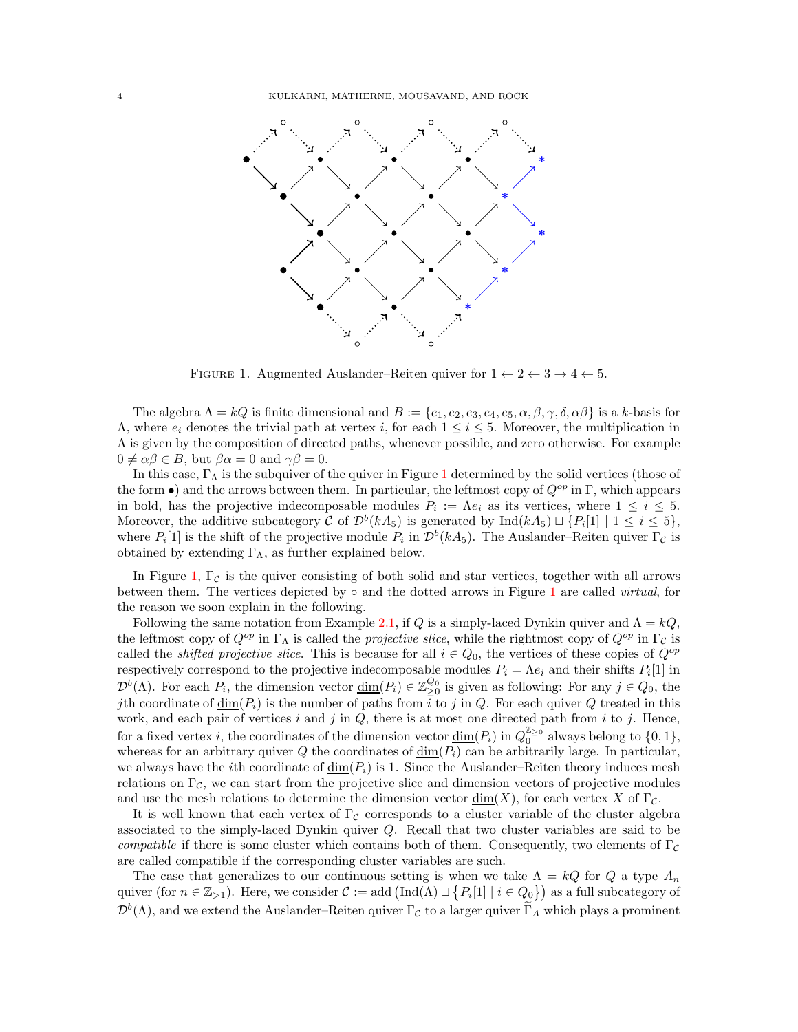

<span id="page-3-0"></span>FIGURE 1. Augmented Auslander–Reiten quiver for  $1 \leftarrow 2 \leftarrow 3 \rightarrow 4 \leftarrow 5$ .

The algebra  $\Lambda = kQ$  is finite dimensional and  $B := \{e_1, e_2, e_3, e_4, e_5, \alpha, \beta, \gamma, \delta, \alpha\beta\}$  is a k-basis for  $Λ$ , where  $e_i$  denotes the trivial path at vertex *i*, for each  $1 \le i \le 5$ . Moreover, the multiplication in Λ is given by the composition of directed paths, whenever possible, and zero otherwise. For example  $0 \neq \alpha \beta \in B$ , but  $\beta \alpha = 0$  and  $\gamma \beta = 0$ .

In this case,  $\Gamma_{\Lambda}$  is the subquiver of the quiver in Figure [1](#page-3-0) determined by the solid vertices (those of the form •) and the arrows between them. In particular, the leftmost copy of  $Q^{op}$  in Γ, which appears in bold, has the projective indecomposable modules  $P_i := \Lambda e_i$  as its vertices, where  $1 \leq i \leq 5$ . Moreover, the additive subcategory C of  $\mathcal{D}^b(kA_5)$  is generated by  $\text{Ind}(kA_5) \sqcup \{P_i[1] \mid 1 \leq i \leq 5\},$ where  $P_i[1]$  is the shift of the projective module  $P_i$  in  $\mathcal{D}^b(kA_5)$ . The Auslander–Reiten quiver  $\Gamma_{\mathcal{C}}$  is obtained by extending  $\Gamma_{\Lambda}$ , as further explained below.

In Figure [1,](#page-3-0)  $\Gamma_c$  is the quiver consisting of both solid and star vertices, together with all arrows between them. The vertices depicted by  $\circ$  and the dotted arrows in Figure [1](#page-3-0) are called *virtual*, for the reason we soon explain in the following.

Following the same notation from Example [2.1,](#page-2-2) if Q is a simply-laced Dynkin quiver and  $\Lambda = kQ$ , the leftmost copy of  $Q^{op}$  in Γ<sub>Λ</sub> is called the *projective slice*, while the rightmost copy of  $Q^{op}$  in Γ<sub>C</sub> is called the *shifted projective slice*. This is because for all  $i \in Q_0$ , the vertices of these copies of  $Q^{op}$ respectively correspond to the projective indecomposable modules  $P_i = \Lambda e_i$  and their shifts  $P_i[1]$  in  $\mathcal{D}^b(\Lambda)$ . For each  $P_i$ , the dimension vector  $\underline{\dim}(P_i) \in \mathbb{Z}_{\geq 0}^{Q_0}$  is given as following: For any  $j \in Q_0$ , the *j*th coordinate of  $\underline{\dim}(P_i)$  is the number of paths from  $\overline{i}$  to j in Q. For each quiver Q treated in this work, and each pair of vertices  $i$  and  $j$  in  $Q$ , there is at most one directed path from  $i$  to  $j$ . Hence, for a fixed vertex *i*, the coordinates of the dimension vector  $\underline{\dim}(P_i)$  in  $Q_0^{\mathbb{Z}_{\geq 0}}$  always belong to  $\{0,1\}$ , whereas for an arbitrary quiver Q the coordinates of  $\underline{\dim}(P_i)$  can be arbitrarily large. In particular, we always have the *i*th coordinate of  $\underline{\dim}(P_i)$  is 1. Since the Auslander–Reiten theory induces mesh relations on  $\Gamma_{\mathcal{C}}$ , we can start from the projective slice and dimension vectors of projective modules and use the mesh relations to determine the dimension vector  $\dim(X)$ , for each vertex X of Γ $<sub>C</sub>$ .</sub>

It is well known that each vertex of  $\Gamma_c$  corresponds to a cluster variable of the cluster algebra associated to the simply-laced Dynkin quiver Q. Recall that two cluster variables are said to be compatible if there is some cluster which contains both of them. Consequently, two elements of  $\Gamma_c$ are called compatible if the corresponding cluster variables are such.

The case that generalizes to our continuous setting is when we take  $\Lambda = kQ$  for Q a type  $A_n$ quiver (for  $n \in \mathbb{Z}_{>1}$ ). Here, we consider  $\mathcal{C} := \text{add}(\text{Ind}(\Lambda) \sqcup \{P_i[1] \mid i \in Q_0\})$  as a full subcategory of  $\mathcal{D}^b(\Lambda)$ , and we extend the Auslander–Reiten quiver  $\Gamma_{\mathcal{C}}$  to a larger quiver  $\Gamma_A$  which plays a prominent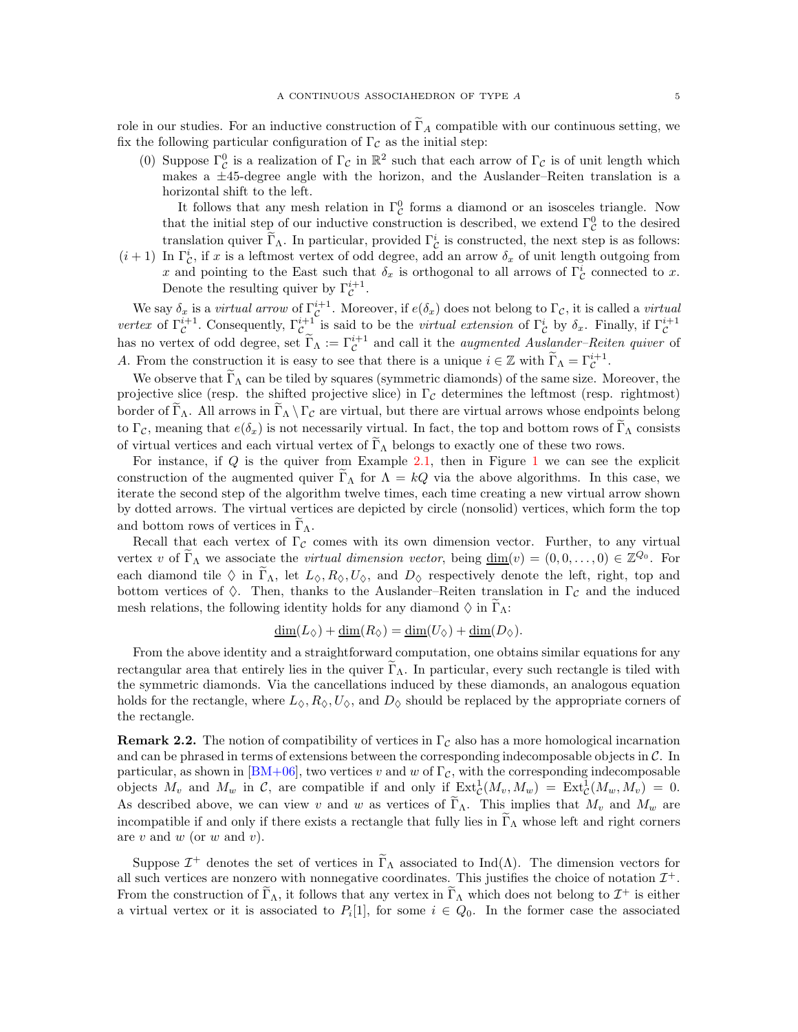role in our studies. For an inductive construction of  $\Gamma_A$  compatible with our continuous setting, we fix the following particular configuration of  $\Gamma_{\mathcal{C}}$  as the initial step:

(0) Suppose  $\Gamma^0_{\mathcal{C}}$  is a realization of  $\Gamma_{\mathcal{C}}$  in  $\mathbb{R}^2$  such that each arrow of  $\Gamma_{\mathcal{C}}$  is of unit length which makes a ±45-degree angle with the horizon, and the Auslander–Reiten translation is a horizontal shift to the left.

It follows that any mesh relation in  $\Gamma^0_{\mathcal{C}}$  forms a diamond or an isosceles triangle. Now that the initial step of our inductive construction is described, we extend  $\Gamma^0_{\mathcal{C}}$  to the desired translation quiver  $\Gamma_{\Lambda}$ . In particular, provided  $\Gamma_{\mathcal{C}}^{i}$  is constructed, the next step is as follows:

 $(i+1)$  In  $\Gamma^i_{\mathcal{C}}$ , if x is a leftmost vertex of odd degree, add an arrow  $\delta_x$  of unit length outgoing from x and pointing to the East such that  $\delta_x$  is orthogonal to all arrows of  $\Gamma^i_{\mathcal{C}}$  connected to x. Denote the resulting quiver by  $\Gamma_{\mathcal{C}}^{i+1}$ .  $\mathcal{C}_{0}^{0}$ 

We say  $\delta_x$  is a *virtual arrow* of  $\Gamma_{\mathcal{C}}^{i+1}$ . Moreover, if  $e(\delta_x)$  does not belong to  $\Gamma_{\mathcal{C}}$ , it is called a *virtual* vertex of  $\Gamma_{\mathcal{C}}^{i+1}$ . Consequently,  $\Gamma_{\mathcal{C}}^{i+1}$  is said to be the *virtual extension* of  $\Gamma_{\mathcal{C}}^{i}$  by  $\delta_{x}$ . Finally, if  $\Gamma_{\mathcal{C}}^{i+1}$ has no vertex of odd degree, set  $\widetilde{\Gamma}_{\Lambda} := \Gamma_{\mathcal{C}}^{i+1}$  and call it the *augmented Auslander–Reiten quiver* of A. From the construction it is easy to see that there is a unique  $i \in \mathbb{Z}$  with  $\widetilde{\Gamma}_{\Lambda} = \Gamma_{\mathcal{C}}^{i+1}$ .

We observe that  $\Gamma_{\Lambda}$  can be tiled by squares (symmetric diamonds) of the same size. Moreover, the projective slice (resp. the shifted projective slice) in  $\Gamma_{\mathcal{C}}$  determines the leftmost (resp. rightmost) border of  $\tilde{\Gamma}_{\Lambda}$ . All arrows in  $\tilde{\Gamma}_{\Lambda} \setminus \Gamma_{\mathcal{C}}$  are virtual, but there are virtual arrows whose endpoints belong to  $\Gamma_{\mathcal{C}}$ , meaning that  $e(\delta_x)$  is not necessarily virtual. In fact, the top and bottom rows of  $\Gamma_{\Lambda}$  consists of virtual vertices and each virtual vertex of  $\tilde{\Gamma}_{\Lambda}$  belongs to exactly one of these two rows.

For instance, if  $Q$  is the quiver from Example [2.1,](#page-2-2) then in Figure [1](#page-3-0) we can see the explicit construction of the augmented quiver  $\Gamma_{\Lambda}$  for  $\Lambda = kQ$  via the above algorithms. In this case, we iterate the second step of the algorithm twelve times, each time creating a new virtual arrow shown by dotted arrows. The virtual vertices are depicted by circle (nonsolid) vertices, which form the top and bottom rows of vertices in  $\Gamma_{\Lambda}$ .

Recall that each vertex of  $\Gamma_c$  comes with its own dimension vector. Further, to any virtual vertex v of  $\widetilde{\Gamma}_{\Lambda}$  we associate the *virtual dimension vector*, being  $\underline{\dim}(v) = (0, 0, \ldots, 0) \in \mathbb{Z}^{Q_0}$ . For each diamond tile  $\Diamond$  in  $\widetilde{\Gamma}_{\Lambda}$ , let  $L_{\Diamond}, R_{\Diamond}, U_{\Diamond}$ , and  $D_{\Diamond}$  respectively denote the left, right, top and bottom vertices of  $\Diamond$ . Then, thanks to the Auslander–Reiten translation in  $\Gamma_c$  and the induced mesh relations, the following identity holds for any diamond  $\Diamond$  in  $\Gamma_{\Lambda}$ :

$$
\underline{\dim}(L_{\diamondsuit}) + \underline{\dim}(R_{\diamondsuit}) = \underline{\dim}(U_{\diamondsuit}) + \underline{\dim}(D_{\diamondsuit}).
$$

From the above identity and a straightforward computation, one obtains similar equations for any rectangular area that entirely lies in the quiver  $\Gamma_{\Lambda}$ . In particular, every such rectangle is tiled with the symmetric diamonds. Via the cancellations induced by these diamonds, an analogous equation holds for the rectangle, where  $L_{\diamondsuit}, R_{\diamondsuit}, U_{\diamondsuit}$ , and  $D_{\diamondsuit}$  should be replaced by the appropriate corners of the rectangle.

<span id="page-4-0"></span>**Remark 2.2.** The notion of compatibility of vertices in  $\Gamma_c$  also has a more homological incarnation and can be phrased in terms of extensions between the corresponding indecomposable objects in C. In particular, as shown in [\[BM+06\]](#page-33-13), two vertices v and w of  $\Gamma_c$ , with the corresponding indecomposable objects  $M_v$  and  $M_w$  in C, are compatible if and only if  $\text{Ext}^1_{\mathcal{C}}(M_v, M_w) = \text{Ext}^1_{\mathcal{C}}(M_w, M_v) = 0$ . As described above, we can view v and w as vertices of  $\Gamma_{\Lambda}$ . This implies that  $M_{\nu}$  and  $M_{\nu}$  are incompatible if and only if there exists a rectangle that fully lies in  $\Gamma_{\Lambda}$  whose left and right corners are  $v$  and  $w$  (or  $w$  and  $v$ ).

Suppose  $\mathcal{I}^+$  denotes the set of vertices in  $\tilde{\Gamma}_{\Lambda}$  associated to Ind( $\Lambda$ ). The dimension vectors for all such vertices are nonzero with nonnegative coordinates. This justifies the choice of notation  $\mathcal{I}^+$ . From the construction of  $\Gamma_{\Lambda}$ , it follows that any vertex in  $\Gamma_{\Lambda}$  which does not belong to  $\mathcal{I}^+$  is either a virtual vertex or it is associated to  $P_i[1]$ , for some  $i \in Q_0$ . In the former case the associated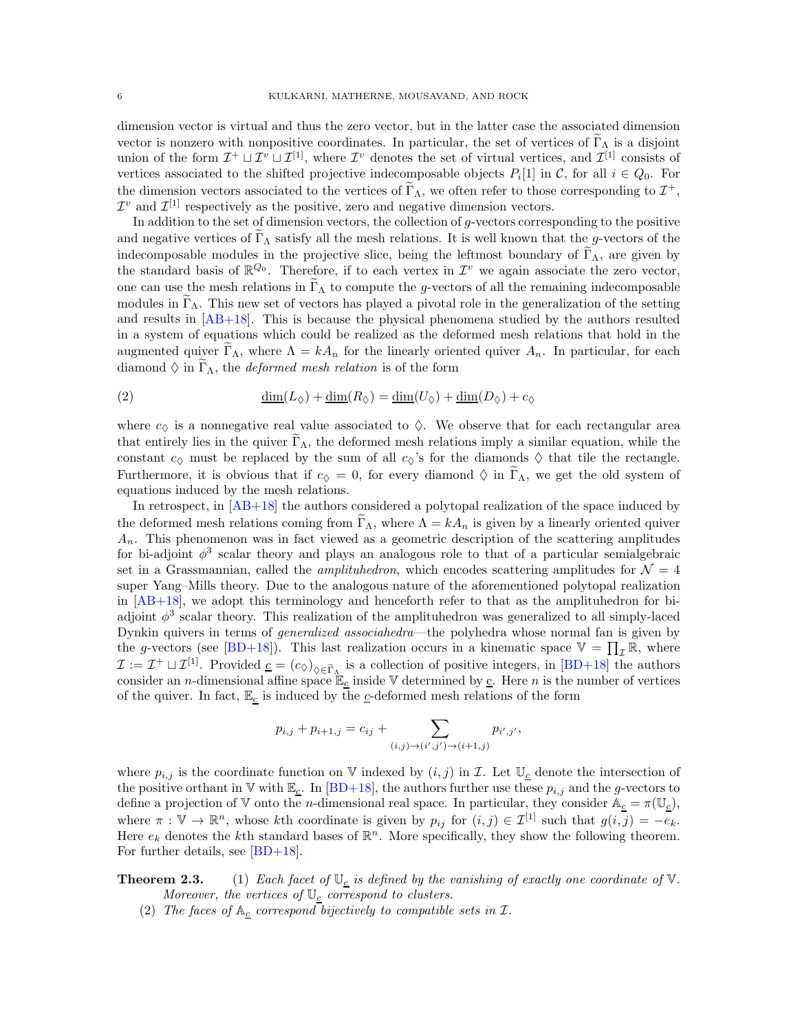dimension vector is virtual and thus the zero vector, but in the latter case the associated dimension vector is nonzero with nonpositive coordinates. In particular, the set of vertices of  $\Gamma_{\Lambda}$  is a disjoint union of the form  $\mathcal{I}^+ \sqcup \mathcal{I}^v \sqcup \mathcal{I}^{[1]}$ , where  $\mathcal{I}^v$  denotes the set of virtual vertices, and  $\mathcal{I}^{[1]}$  consists of vertices associated to the shifted projective indecomposable objects  $P_i[1]$  in C, for all  $i \in Q_0$ . For the dimension vectors associated to the vertices of  $\tilde{\Gamma}_{\Lambda}$ , we often refer to those corresponding to  $\mathcal{I}^+$ ,  $\mathcal{I}^v$  and  $\mathcal{I}^{[1]}$  respectively as the positive, zero and negative dimension vectors.

In addition to the set of dimension vectors, the collection of g-vectors corresponding to the positive and negative vertices of  $\Gamma_{\Lambda}$  satisfy all the mesh relations. It is well known that the g-vectors of the indecomposable modules in the projective slice, being the leftmost boundary of  $\Gamma_{\Lambda}$ , are given by the standard basis of  $\mathbb{R}^{Q_0}$ . Therefore, if to each vertex in  $\mathcal{I}^v$  we again associate the zero vector, one can use the mesh relations in  $\Gamma_{\Lambda}$  to compute the g-vectors of all the remaining indecomposable modules in  $\Gamma_{\Lambda}$ . This new set of vectors has played a pivotal role in the generalization of the setting and results in  $[AB+18]$ . This is because the physical phenomena studied by the authors resulted in a system of equations which could be realized as the deformed mesh relations that hold in the augmented quiver  $\Gamma_{\Lambda}$ , where  $\Lambda = kA_n$  for the linearly oriented quiver  $A_n$ . In particular, for each diamond  $\Diamond$  in  $\Gamma_{\Lambda}$ , the *deformed mesh relation* is of the form

<span id="page-5-0"></span>(2) 
$$
\underline{\dim}(L_{\Diamond}) + \underline{\dim}(R_{\Diamond}) = \underline{\dim}(U_{\Diamond}) + \underline{\dim}(D_{\Diamond}) + c_{\Diamond}
$$

where  $c_{\lozenge}$  is a nonnegative real value associated to  $\lozenge$ . We observe that for each rectangular area that entirely lies in the quiver  $\Gamma_{\Lambda}$ , the deformed mesh relations imply a similar equation, while the constant  $c_{\lozenge}$  must be replaced by the sum of all  $c_{\lozenge}$ 's for the diamonds  $\lozenge$  that tile the rectangle. Furthermore, it is obvious that if  $c_0 = 0$ , for every diamond  $\Diamond$  in  $\Gamma_\Lambda$ , we get the old system of equations induced by the mesh relations.

In retrospect, in  $[AB+18]$  the authors considered a polytopal realization of the space induced by the deformed mesh relations coming from  $\Gamma_{\Lambda}$ , where  $\Lambda = kA_n$  is given by a linearly oriented quiver  $A_n$ . This phenomenon was in fact viewed as a geometric description of the scattering amplitudes for bi-adjoint  $\phi^3$  scalar theory and plays an analogous role to that of a particular semialgebraic set in a Grassmannian, called the *amplituhedron*, which encodes scattering amplitudes for  $\mathcal{N} = 4$ super Yang–Mills theory. Due to the analogous nature of the aforementioned polytopal realization in  $[AB+18]$ , we adopt this terminology and henceforth refer to that as the amplituhedron for biadjoint  $\phi^3$  scalar theory. This realization of the amplituhedron was generalized to all simply-laced Dynkin quivers in terms of generalized associahedra—the polyhedra whose normal fan is given by the g-vectors (see [\[BD+18\]](#page-33-10)). This last realization occurs in a kinematic space  $\mathbb{V} = \prod_{\mathcal{I}} \mathbb{R}$ , where  $\mathcal{I} := \mathcal{I}^+ \sqcup \mathcal{I}^{[1]}$ . Provided  $\underline{c} = (c_0)_{0 \in \widetilde{\Gamma}_{\Lambda}}$  is a collection of positive integers, in [\[BD+18\]](#page-33-10) the authors consider an *n*-dimensional affine space  $\mathbb{E}_c$  inside V determined by  $\underline{c}$ . Here *n* is the number of vertices of the quiver. In fact,  $\mathbb{E}_{\underline{c}}$  is induced by the  $\underline{c}$ -deformed mesh relations of the form

$$
p_{i,j} + p_{i+1,j} = c_{ij} + \sum_{(i,j) \to (i',j') \to (i+1,j)} p_{i',j'},
$$

where  $p_{i,j}$  is the coordinate function on V indexed by  $(i,j)$  in  $\mathcal{I}$ . Let  $\mathbb{U}_{\underline{c}}$  denote the intersection of the positive orthant in V with  $\mathbb{E}_{\underline{c}}$ . In [\[BD+18\]](#page-33-10), the authors further use these  $p_{i,j}$  and the g-vectors to define a projection of V onto the *n*-dimensional real space. In particular, they consider  $A_c = \pi(\mathbb{U}_c)$ , where  $\pi : \mathbb{V} \to \mathbb{R}^n$ , whose kth coordinate is given by  $p_{ij}$  for  $(i, j) \in \mathcal{I}^{[1]}$  such that  $g(i, j) = -e_k$ . Here  $e_k$  denotes the k<sup>th</sup> standard bases of  $\mathbb{R}^n$ . More specifically, they show the following theorem. For further details, see  $|BD+18|$ .

**Theorem 2.3.** (1) Each facet of  $\mathbb{U}_c$  is defined by the vanishing of exactly one coordinate of  $\mathbb{V}$ . Moreover, the vertices of  $\mathbb{U}_c$  correspond to clusters.

(2) The faces of  $A_c$  correspond bijectively to compatible sets in  $\mathcal{I}$ .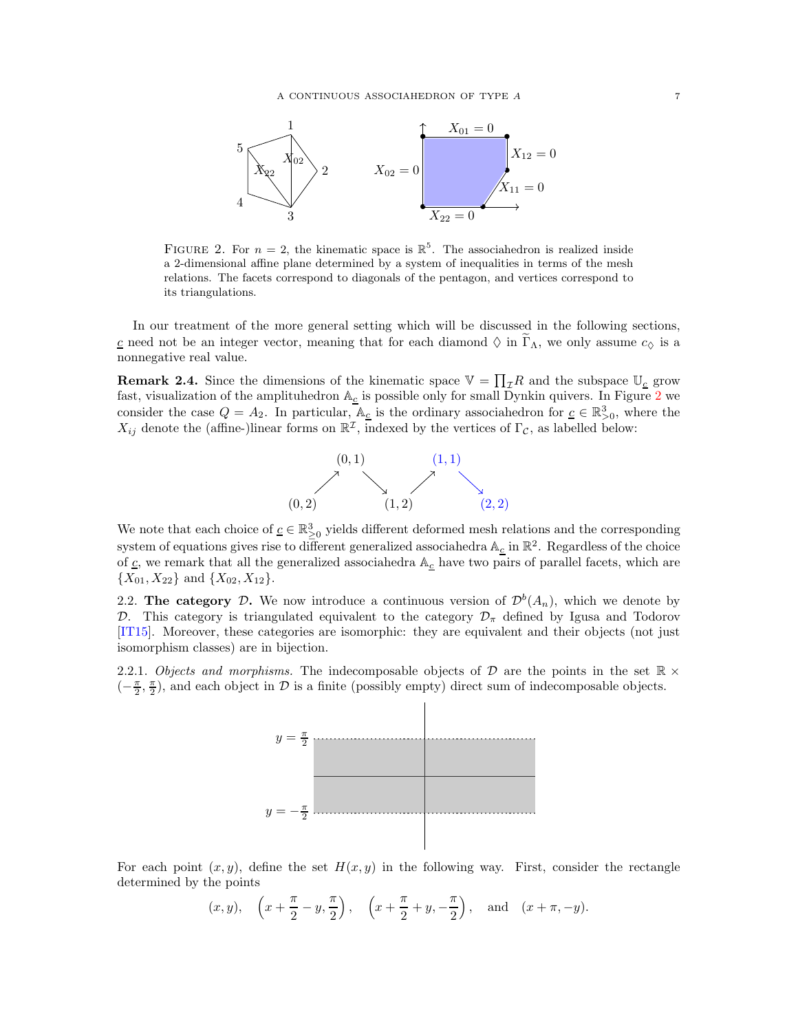

<span id="page-6-1"></span>FIGURE 2. For  $n = 2$ , the kinematic space is  $\mathbb{R}^5$ . The associahedron is realized inside a 2-dimensional affine plane determined by a system of inequalities in terms of the mesh relations. The facets correspond to diagonals of the pentagon, and vertices correspond to its triangulations.

In our treatment of the more general setting which will be discussed in the following sections, c need not be an integer vector, meaning that for each diamond  $\Diamond$  in  $\widetilde{\Gamma}_{\Lambda}$ , we only assume  $c_{\Diamond}$  is a nonnegative real value.

**Remark 2.4.** Since the dimensions of the kinematic space  $\mathbb{V} = \prod_{\mathcal{I}} R$  and the subspace  $\mathbb{U}_{\underline{c}}$  grow fast, visualization of the amplituhedron  $\mathbb{A}_{\underline{c}}$  is possible only for small Dynkin quivers. In Figure [2](#page-6-1) we consider the case  $Q = A_2$ . In particular,  $\mathbb{A}_{\underline{c}}$  is the ordinary associahedron for  $\underline{c} \in \mathbb{R}^3_{>0}$ , where the  $X_{ij}$  denote the (affine-)linear forms on  $\mathbb{R}^{\mathcal{I}}$ , indexed by the vertices of  $\Gamma_{\mathcal{C}}$ , as labelled below:



We note that each choice of  $\underline{c} \in \mathbb{R}^3_{\geq 0}$  yields different deformed mesh relations and the corresponding system of equations gives rise to different generalized associahedra  $\mathbb{A}_{\underline{c}}$  in  $\mathbb{R}^2$ . Regardless of the choice of  $\underline{c}$ , we remark that all the generalized associahedra  $\mathbb{A}_{\underline{c}}$  have two pairs of parallel facets, which are  ${X_{01}, X_{22}}$  and  ${X_{02}, X_{12}}$ .

<span id="page-6-0"></span>2.2. The category D. We now introduce a continuous version of  $\mathcal{D}^b(A_n)$ , which we denote by D. This category is triangulated equivalent to the category  $\mathcal{D}_{\pi}$  defined by Igusa and Todorov [\[IT15\]](#page-33-6). Moreover, these categories are isomorphic: they are equivalent and their objects (not just isomorphism classes) are in bijection.

2.2.1. Objects and morphisms. The indecomposable objects of D are the points in the set  $\mathbb{R} \times$  $\left(-\frac{\pi}{2},\frac{\pi}{2}\right)$ , and each object in  $\mathcal D$  is a finite (possibly empty) direct sum of indecomposable objects.



For each point  $(x, y)$ , define the set  $H(x, y)$  in the following way. First, consider the rectangle determined by the points

$$
(x, y), \quad \left(x + \frac{\pi}{2} - y, \frac{\pi}{2}\right), \quad \left(x + \frac{\pi}{2} + y, -\frac{\pi}{2}\right), \quad \text{and} \quad (x + \pi, -y).
$$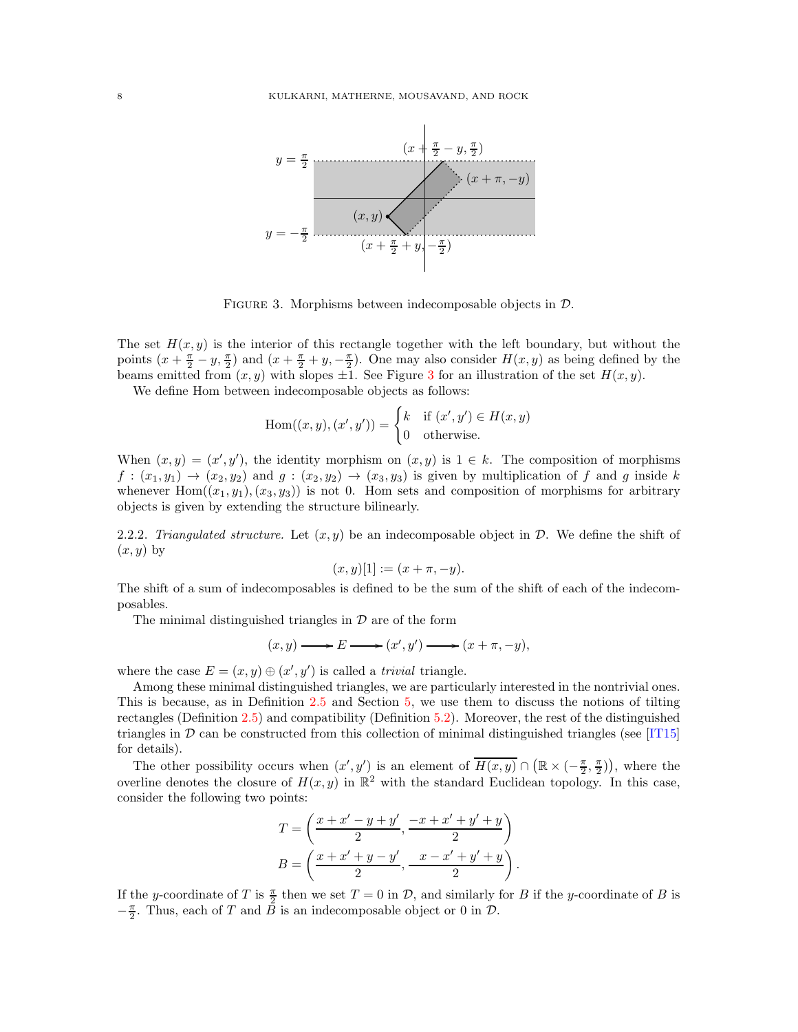

<span id="page-7-0"></span>FIGURE 3. Morphisms between indecomposable objects in  $\mathcal{D}$ .

The set  $H(x, y)$  is the interior of this rectangle together with the left boundary, but without the points  $(x+\frac{\pi}{2}-y,\frac{\pi}{2})$  and  $(x+\frac{\pi}{2}+y,-\frac{\pi}{2})$ . One may also consider  $H(x,y)$  as being defined by the beams emitted from  $(x, y)$  with slopes  $\pm 1$ . See Figure [3](#page-7-0) for an illustration of the set  $H(x, y)$ .

We define Hom between indecomposable objects as follows:

$$
\text{Hom}((x, y), (x', y')) = \begin{cases} k & \text{if } (x', y') \in H(x, y) \\ 0 & \text{otherwise.} \end{cases}
$$

When  $(x, y) = (x', y')$ , the identity morphism on  $(x, y)$  is  $1 \in k$ . The composition of morphisms  $f: (x_1, y_1) \to (x_2, y_2)$  and  $g: (x_2, y_2) \to (x_3, y_3)$  is given by multiplication of f and g inside k whenever Hom $((x_1, y_1), (x_3, y_3))$  is not 0. Hom sets and composition of morphisms for arbitrary objects is given by extending the structure bilinearly.

<span id="page-7-1"></span>2.2.2. Triangulated structure. Let  $(x, y)$  be an indecomposable object in  $\mathcal{D}$ . We define the shift of  $(x, y)$  by

$$
(x, y)[1] := (x + \pi, -y).
$$

The shift of a sum of indecomposables is defined to be the sum of the shift of each of the indecomposables.

The minimal distinguished triangles in  $\mathcal D$  are of the form

$$
(x,y)\longrightarrow E\longrightarrow (x',y')\longrightarrow (x+\pi,-y),
$$

where the case  $E = (x, y) \oplus (x', y')$  is called a *trivial* triangle.

Among these minimal distinguished triangles, we are particularly interested in the nontrivial ones. This is because, as in Definition [2.5](#page-8-0) and Section [5,](#page-20-0) we use them to discuss the notions of tilting rectangles (Definition [2.5\)](#page-8-0) and compatibility (Definition [5.2\)](#page-20-2). Moreover, the rest of the distinguished triangles in  $\mathcal D$  can be constructed from this collection of minimal distinguished triangles (see [\[IT15\]](#page-33-6) for details).

The other possibility occurs when  $(x', y')$  is an element of  $\overline{H(x, y)} \cap (\mathbb{R} \times (-\frac{\pi}{2}, \frac{\pi}{2}))$ , where the overline denotes the closure of  $H(x, y)$  in  $\mathbb{R}^2$  with the standard Euclidean topology. In this case, consider the following two points:

$$
T = \left(\frac{x + x' - y + y'}{2}, \frac{-x + x' + y' + y}{2}\right)
$$

$$
B = \left(\frac{x + x' + y - y'}{2}, \frac{x - x' + y' + y}{2}\right).
$$

If the y-coordinate of T is  $\frac{\pi}{2}$  then we set  $T = 0$  in D, and similarly for B if the y-coordinate of B is  $-\frac{\pi}{2}$ . Thus, each of T and  $\overline{B}$  is an indecomposable object or 0 in  $\mathcal{D}$ .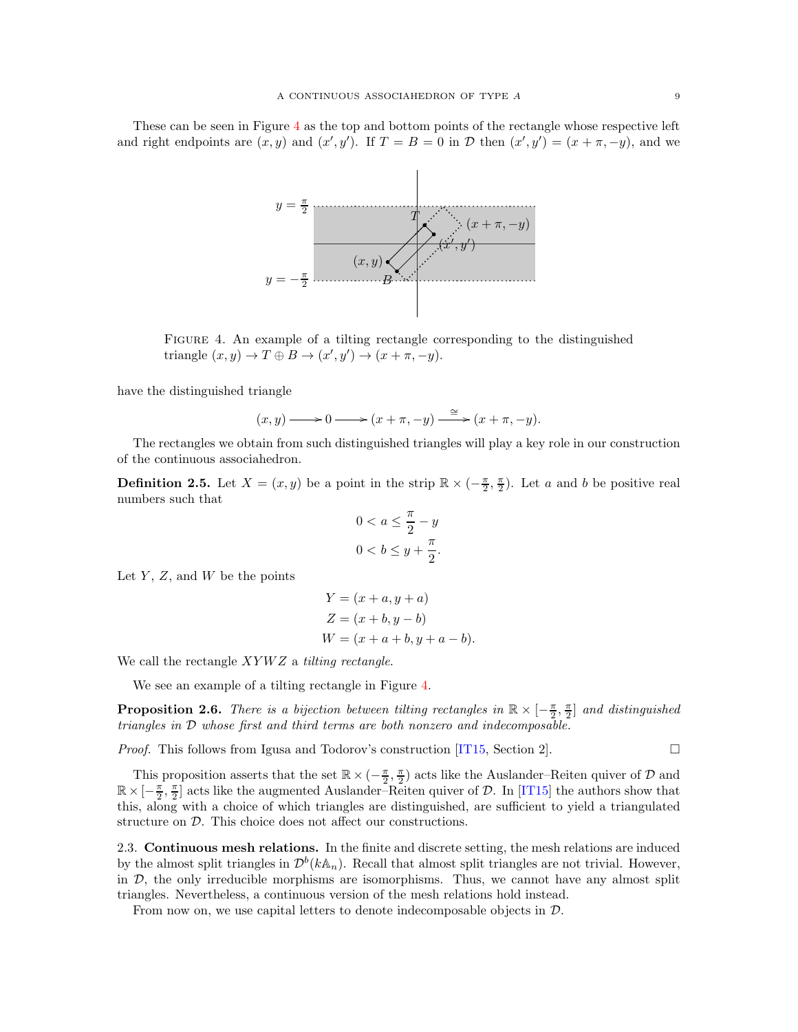These can be seen in Figure [4](#page-8-1) as the top and bottom points of the rectangle whose respective left and right endpoints are  $(x, y)$  and  $(x', y')$ . If  $T = B = 0$  in  $D$  then  $(x', y') = (x + \pi, -y)$ , and we



Figure 4. An example of a tilting rectangle corresponding to the distinguished triangle  $(x, y) \to T \oplus B \to (x', y') \to (x + \pi, -y)$ .

have the distinguished triangle

<span id="page-8-1"></span>
$$
(x,y) \longrightarrow 0 \longrightarrow (x+\pi,-y) \xrightarrow{\simeq} (x+\pi,-y).
$$

The rectangles we obtain from such distinguished triangles will play a key role in our construction of the continuous associahedron.

<span id="page-8-0"></span>**Definition 2.5.** Let  $X = (x, y)$  be a point in the strip  $\mathbb{R} \times (-\frac{\pi}{2}, \frac{\pi}{2})$ . Let a and b be positive real numbers such that

$$
0 < a \le \frac{\pi}{2} - y
$$
\n
$$
0 < b \le y + \frac{\pi}{2}.
$$

Let  $Y, Z$ , and  $W$  be the points

$$
Y = (x + a, y + a)
$$
  
\n
$$
Z = (x + b, y - b)
$$
  
\n
$$
W = (x + a + b, y + a - b).
$$

We call the rectangle  $XYWZ$  a *tilting rectangle*.

We see an example of a tilting rectangle in Figure [4.](#page-8-1)

**Proposition 2.6.** There is a bijection between tilting rectangles in  $\mathbb{R} \times [-\frac{\pi}{2}, \frac{\pi}{2}]$  and distinguished triangles in D whose first and third terms are both nonzero and indecomposable.

*Proof.* This follows from Igusa and Todorov's construction [\[IT15,](#page-33-6) Section 2].  $\Box$ 

This proposition asserts that the set  $\mathbb{R} \times (-\frac{\pi}{2}, \frac{\pi}{2})$  acts like the Auslander–Reiten quiver of  $\mathcal D$  and  $\mathbb{R}\times[-\frac{\pi}{2},\frac{\pi}{2}]$  acts like the augmented Auslander–Reiten quiver of  $\mathcal{D}$ . In [\[IT15\]](#page-33-6) the authors show that this, along with a choice of which triangles are distinguished, are sufficient to yield a triangulated structure on D. This choice does not affect our constructions.

<span id="page-8-2"></span>2.3. Continuous mesh relations. In the finite and discrete setting, the mesh relations are induced by the almost split triangles in  $\mathcal{D}^b(k\mathbb{A}_n)$ . Recall that almost split triangles are not trivial. However, in  $D$ , the only irreducible morphisms are isomorphisms. Thus, we cannot have any almost split triangles. Nevertheless, a continuous version of the mesh relations hold instead.

From now on, we use capital letters to denote indecomposable objects in D.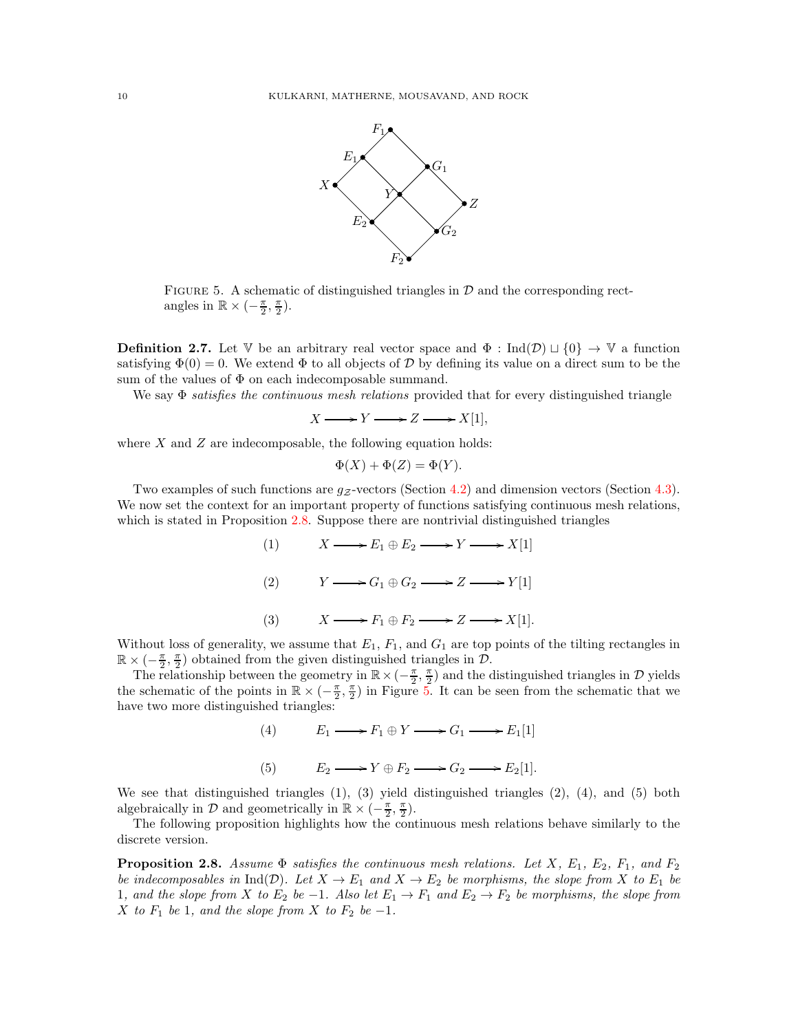

<span id="page-9-1"></span>FIGURE 5. A schematic of distinguished triangles in  $D$  and the corresponding rectangles in  $\mathbb{R} \times \left(-\frac{\pi}{2}, \frac{\pi}{2}\right)$ .

**Definition 2.7.** Let V be an arbitrary real vector space and  $\Phi$  : Ind $(\mathcal{D}) \sqcup \{0\} \rightarrow \mathbb{V}$  a function satisfying  $\Phi(0) = 0$ . We extend  $\Phi$  to all objects of D by defining its value on a direct sum to be the sum of the values of  $\Phi$  on each indecomposable summand.

We say  $\Phi$  satisfies the continuous mesh relations provided that for every distinguished triangle

$$
X \longrightarrow Y \longrightarrow Z \longrightarrow X[1],
$$

where  $X$  and  $Z$  are indecomposable, the following equation holds:

$$
\Phi(X) + \Phi(Z) = \Phi(Y).
$$

Two examples of such functions are  $q_{\mathcal{Z}}$ -vectors (Section [4.2\)](#page-18-0) and dimension vectors (Section [4.3\)](#page-19-0). We now set the context for an important property of functions satisfying continuous mesh relations, which is stated in Proposition [2.8.](#page-9-0) Suppose there are nontrivial distinguished triangles

> (1)  $X \longrightarrow E_1 \oplus E_2 \longrightarrow Y \longrightarrow X[1]$ (2)  $Y \longrightarrow G_1 \oplus G_2 \longrightarrow Z \longrightarrow Y[1]$ (3)  $X \longrightarrow F_1 \oplus F_2 \longrightarrow Z \longrightarrow X[1].$

Without loss of generality, we assume that  $E_1$ ,  $F_1$ , and  $G_1$  are top points of the tilting rectangles in  $\mathbb{R} \times \left(-\frac{\pi}{2}, \frac{\pi}{2}\right)$  obtained from the given distinguished triangles in  $\mathcal{D}$ .

The relationship between the geometry in  $\mathbb{R} \times (-\frac{\pi}{2}, \frac{\pi}{2})$  and the distinguished triangles in  $\mathcal{D}$  yields the schematic of the points in  $\mathbb{R} \times (-\frac{\pi}{2}, \frac{\pi}{2})$  in Figure [5.](#page-9-1) It can be seen from the schematic that we have two more distinguished triangles:

> (4)  $E_1 \longrightarrow F_1 \oplus Y \longrightarrow G_1 \longrightarrow E_1[1]$ (5)  $E_2 \longrightarrow Y \oplus F_2 \longrightarrow G_2 \longrightarrow E_2[1].$

We see that distinguished triangles (1), (3) yield distinguished triangles (2), (4), and (5) both algebraically in  $\mathcal{D}$  and geometrically in  $\mathbb{R} \times (-\frac{\pi}{2}, \frac{\pi}{2})$ .

The following proposition highlights how the continuous mesh relations behave similarly to the discrete version.

<span id="page-9-0"></span>**Proposition 2.8.** Assume  $\Phi$  satisfies the continuous mesh relations. Let X,  $E_1$ ,  $E_2$ ,  $F_1$ , and  $F_2$ be indecomposables in Ind(D). Let  $X \to E_1$  and  $X \to E_2$  be morphisms, the slope from X to  $E_1$  be 1, and the slope from X to  $E_2$  be  $-1$ . Also let  $E_1 \rightarrow F_1$  and  $E_2 \rightarrow F_2$  be morphisms, the slope from X to  $F_1$  be 1, and the slope from X to  $F_2$  be  $-1$ .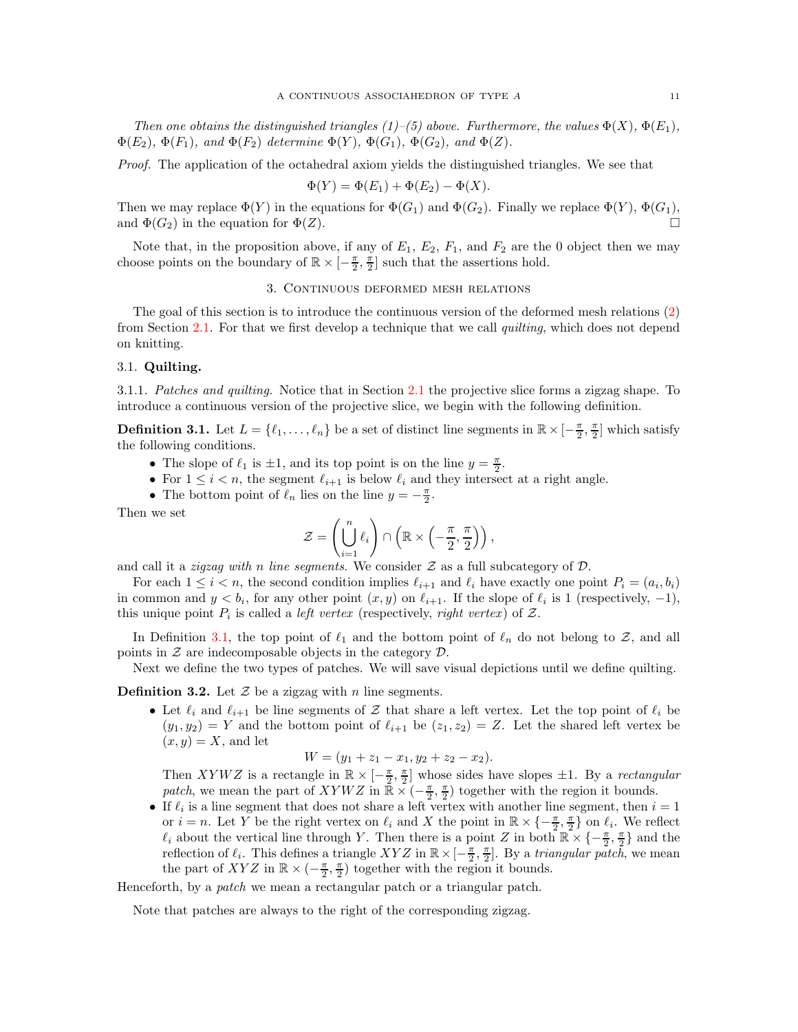Then one obtains the distinguished triangles (1)–(5) above. Furthermore, the values  $\Phi(X)$ ,  $\Phi(E_1)$ ,  $\Phi(E_2)$ ,  $\Phi(F_1)$ , and  $\Phi(F_2)$  determine  $\Phi(Y)$ ,  $\Phi(G_1)$ ,  $\Phi(G_2)$ , and  $\Phi(Z)$ .

Proof. The application of the octahedral axiom yields the distinguished triangles. We see that

$$
\Phi(Y) = \Phi(E_1) + \Phi(E_2) - \Phi(X).
$$

Then we may replace  $\Phi(Y)$  in the equations for  $\Phi(G_1)$  and  $\Phi(G_2)$ . Finally we replace  $\Phi(Y)$ ,  $\Phi(G_1)$ , and  $\Phi(G_2)$  in the equation for  $\Phi(Z)$ .

<span id="page-10-0"></span>Note that, in the proposition above, if any of  $E_1$ ,  $E_2$ ,  $F_1$ , and  $F_2$  are the 0 object then we may choose points on the boundary of  $\mathbb{R} \times [-\frac{\pi}{2}, \frac{\pi}{2}]$  such that the assertions hold.

# 3. Continuous deformed mesh relations

The goal of this section is to introduce the continuous version of the deformed mesh relations [\(2\)](#page-5-0) from Section [2.1.](#page-2-1) For that we first develop a technique that we call *quilting*, which does not depend on knitting.

## 3.1. Quilting.

3.1.1. Patches and quilting. Notice that in Section [2.1](#page-2-1) the projective slice forms a zigzag shape. To introduce a continuous version of the projective slice, we begin with the following definition.

<span id="page-10-1"></span>**Definition 3.1.** Let  $L = \{\ell_1, \ldots, \ell_n\}$  be a set of distinct line segments in  $\mathbb{R} \times [-\frac{\pi}{2}, \frac{\pi}{2}]$  which satisfy the following conditions.

- The slope of  $\ell_1$  is  $\pm 1$ , and its top point is on the line  $y = \frac{\pi}{2}$ .
- For  $1 \leq i < n$ , the segment  $\ell_{i+1}$  is below  $\ell_i$  and they intersect at a right angle.
- The bottom point of  $\ell_n$  lies on the line  $y = -\frac{\pi}{2}$ .

Then we set

$$
\mathcal{Z} = \left(\bigcup_{i=1}^n \ell_i\right) \cap \left(\mathbb{R} \times \left(-\frac{\pi}{2}, \frac{\pi}{2}\right)\right),\,
$$

and call it a *zigzag with n line segments*. We consider  $Z$  as a full subcategory of  $D$ .

For each  $1 \leq i < n$ , the second condition implies  $\ell_{i+1}$  and  $\ell_i$  have exactly one point  $P_i = (a_i, b_i)$ in common and  $y < b_i$ , for any other point  $(x, y)$  on  $\ell_{i+1}$ . If the slope of  $\ell_i$  is 1 (respectively, -1), this unique point  $P_i$  is called a *left vertex* (respectively, *right vertex*) of  $\mathcal{Z}$ .

In Definition [3.1,](#page-10-1) the top point of  $\ell_1$  and the bottom point of  $\ell_n$  do not belong to Z, and all points in  $Z$  are indecomposable objects in the category  $D$ .

Next we define the two types of patches. We will save visual depictions until we define quilting.

**Definition 3.2.** Let  $\mathcal{Z}$  be a zigzag with n line segments.

• Let  $\ell_i$  and  $\ell_{i+1}$  be line segments of Z that share a left vertex. Let the top point of  $\ell_i$  be  $(y_1, y_2) = Y$  and the bottom point of  $\ell_{i+1}$  be  $(z_1, z_2) = Z$ . Let the shared left vertex be  $(x, y) = X$ , and let

$$
W = (y_1 + z_1 - x_1, y_2 + z_2 - x_2).
$$

Then XYWZ is a rectangle in  $\mathbb{R} \times [-\frac{\pi}{2}, \frac{\pi}{2}]$  whose sides have slopes  $\pm 1$ . By a rectangular patch, we mean the part of XYWZ in  $\mathbb{R} \times (-\frac{\pi}{2}, \frac{\pi}{2})$  together with the region it bounds.

• If  $\ell_i$  is a line segment that does not share a left vertex with another line segment, then  $i = 1$ or  $i = n$ . Let Y be the right vertex on  $\ell_i$  and X the point in  $\mathbb{R} \times \{-\frac{\pi}{2}, \frac{\pi}{2}\}\$  on  $\ell_i$ . We reflect  $\ell_i$  about the vertical line through Y. Then there is a point Z in both  $\mathbb{R} \times \{-\frac{\pi}{2}, \frac{\pi}{2}\}\$  and the reflection of  $\ell_i$ . This defines a triangle  $XYZ$  in  $\mathbb{R}\times[-\frac{\pi}{2},\frac{\pi}{2}]$ . By a triangular patch, we mean the part of XYZ in  $\mathbb{R} \times (-\frac{\pi}{2}, \frac{\pi}{2})$  together with the region it bounds.

Henceforth, by a *patch* we mean a rectangular patch or a triangular patch.

Note that patches are always to the right of the corresponding zigzag.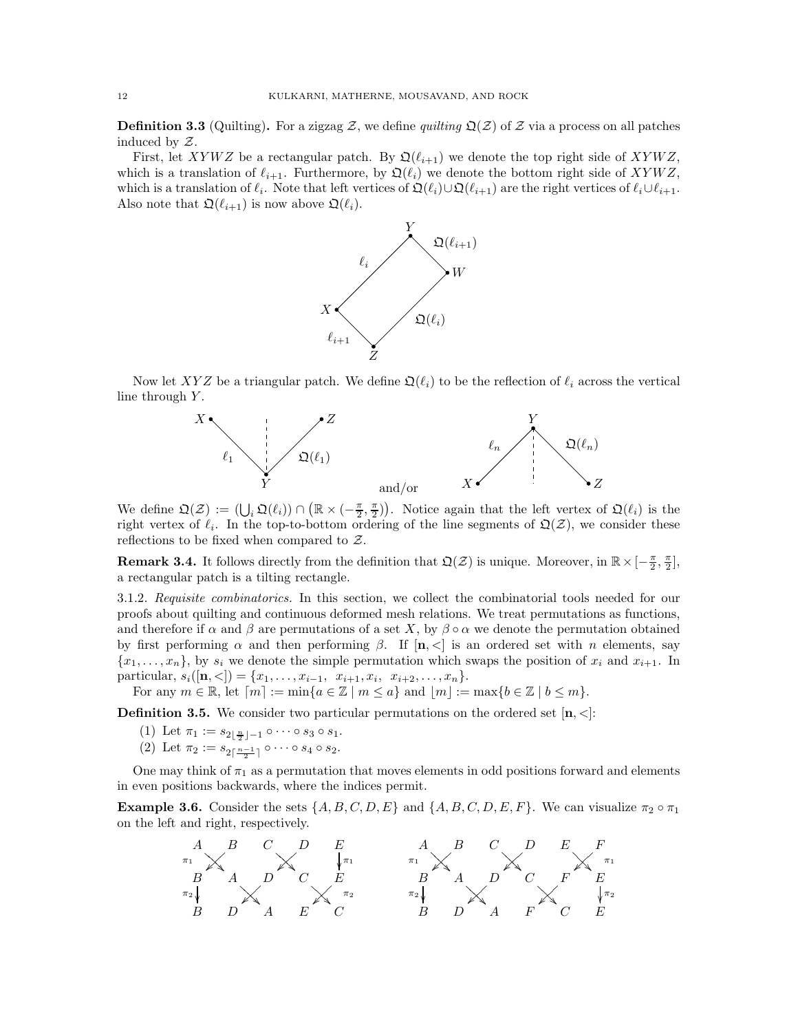<span id="page-11-0"></span>**Definition 3.3** (Quilting). For a zigzag Z, we define quilting  $\mathfrak{Q}(Z)$  of Z via a process on all patches induced by Z.

First, let XYWZ be a rectangular patch. By  $\mathfrak{Q}(\ell_{i+1})$  we denote the top right side of XYWZ, which is a translation of  $\ell_{i+1}$ . Furthermore, by  $\mathfrak{Q}(\ell_i)$  we denote the bottom right side of  $XYWZ$ , which is a translation of  $\ell_i$ . Note that left vertices of  $\mathfrak{Q}(\ell_i) \cup \mathfrak{Q}(\ell_{i+1})$  are the right vertices of  $\ell_i \cup \ell_{i+1}$ . Also note that  $\mathfrak{Q}(\ell_{i+1})$  is now above  $\mathfrak{Q}(\ell_i)$ .



Now let XYZ be a triangular patch. We define  $\mathfrak{Q}(\ell_i)$  to be the reflection of  $\ell_i$  across the vertical line through  $Y$ .



We define  $\mathfrak{Q}(\mathcal{Z}) := (\bigcup_i \mathfrak{Q}(\ell_i)) \cap (\mathbb{R} \times (-\frac{\pi}{2}, \frac{\pi}{2}))$ . Notice again that the left vertex of  $\mathfrak{Q}(\ell_i)$  is the right vertex of  $\ell_i$ . In the top-to-bottom ordering of the line segments of  $\mathfrak{Q}(\mathcal{Z})$ , we consider these reflections to be fixed when compared to  $Z$ .

**Remark 3.4.** It follows directly from the definition that  $\mathfrak{Q}(\mathcal{Z})$  is unique. Moreover, in  $\mathbb{R} \times [-\frac{\pi}{2}, \frac{\pi}{2}]$ , a rectangular patch is a tilting rectangle.

3.1.2. Requisite combinatorics. In this section, we collect the combinatorial tools needed for our proofs about quilting and continuous deformed mesh relations. We treat permutations as functions, and therefore if  $\alpha$  and  $\beta$  are permutations of a set X, by  $\beta \circ \alpha$  we denote the permutation obtained by first performing  $\alpha$  and then performing  $\beta$ . If  $[n, \leq]$  is an ordered set with *n* elements, say  ${x_1, \ldots, x_n}$ , by  $s_i$  we denote the simple permutation which swaps the position of  $x_i$  and  $x_{i+1}$ . In particular,  $s_i([n,<]) = \{x_1, \ldots, x_{i-1}, x_{i+1}, x_i, x_{i+2}, \ldots, x_n\}.$ 

For any  $m \in \mathbb{R}$ , let  $[m] := \min\{a \in \mathbb{Z} \mid m \le a\}$  and  $|m| := \max\{b \in \mathbb{Z} \mid b \le m\}$ .

<span id="page-11-1"></span>**Definition 3.5.** We consider two particular permutations on the ordered set  $[n, \leq]$ :

- (1) Let  $\pi_1 := s_{2\lfloor \frac{n}{2} \rfloor 1} \circ \cdots \circ s_3 \circ s_1$ .
- (2) Let  $\pi_2 := s_{2\lceil \frac{n-1}{2} \rceil} \circ \cdots \circ s_4 \circ s_2$ .

One may think of  $\pi_1$  as a permutation that moves elements in odd positions forward and elements in even positions backwards, where the indices permit.

**Example 3.6.** Consider the sets  $\{A, B, C, D, E\}$  and  $\{A, B, C, D, E, F\}$ . We can visualize  $\pi_2 \circ \pi_1$ on the left and right, respectively.

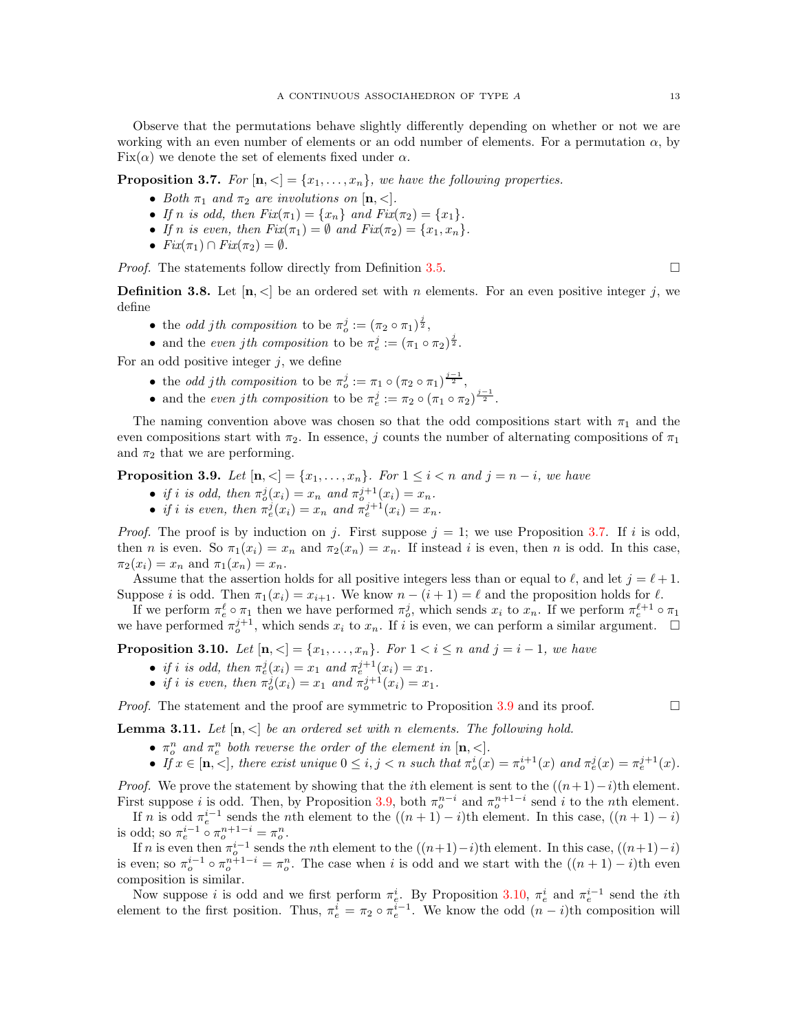Observe that the permutations behave slightly differently depending on whether or not we are working with an even number of elements or an odd number of elements. For a permutation  $\alpha$ , by  $Fix(\alpha)$  we denote the set of elements fixed under  $\alpha$ .

<span id="page-12-0"></span>**Proposition 3.7.** For  $[n, \leq] = \{x_1, \ldots, x_n\}$ , we have the following properties.

- Both  $\pi_1$  and  $\pi_2$  are involutions on  $[n, <]$ .
- If n is odd, then  $Fix(\pi_1) = \{x_n\}$  and  $Fix(\pi_2) = \{x_1\}.$
- If n is even, then  $Fix(\pi_1) = \emptyset$  and  $Fix(\pi_2) = \{x_1, x_n\}.$
- $Fix(\pi_1) \cap Fix(\pi_2) = \emptyset$ .

*Proof.* The statements follow directly from Definition [3.5.](#page-11-1)

**Definition 3.8.** Let  $[n, \leq]$  be an ordered set with n elements. For an even positive integer j, we define

- the *odd jth composition* to be  $\pi_o^j := (\pi_2 \circ \pi_1)^{\frac{j}{2}}$ ,
- and the even jth composition to be  $\pi_e^j := (\pi_1 \circ \pi_2)^{\frac{j}{2}}$ .

For an odd positive integer  $i$ , we define

- the *odd jth composition* to be  $\pi_o^j := \pi_1 \circ (\pi_2 \circ \pi_1)^{\frac{j-1}{2}}$ , o
- and the even jth composition to be  $\pi^j_e := \pi_2 \circ (\pi_1 \circ \pi_2)^{\frac{j-1}{2}}$ .

The naming convention above was chosen so that the odd compositions start with  $\pi_1$  and the even compositions start with  $\pi_2$ . In essence, j counts the number of alternating compositions of  $\pi_1$ and  $\pi_2$  that we are performing.

<span id="page-12-1"></span>**Proposition 3.9.** Let  $[n, \leq] = \{x_1, \ldots, x_n\}$ . For  $1 \leq i \leq n$  and  $j = n - i$ , we have

- if i is odd, then  $\pi_o^j(x_i) = x_n$  and  $\pi_o^{j+1}(x_i) = x_n$ .
- if i is even, then  $\pi_e^j(x_i) = x_n$  and  $\pi_e^{j+1}(x_i) = x_n$ .

*Proof.* The proof is by induction on j. First suppose  $j = 1$ ; we use Proposition [3.7.](#page-12-0) If i is odd, then n is even. So  $\pi_1(x_i) = x_n$  and  $\pi_2(x_n) = x_n$ . If instead i is even, then n is odd. In this case,  $\pi_2(x_i) = x_n$  and  $\pi_1(x_n) = x_n$ .

Assume that the assertion holds for all positive integers less than or equal to  $\ell$ , and let  $j = \ell + 1$ . Suppose i is odd. Then  $\pi_1(x_i) = x_{i+1}$ . We know  $n - (i+1) = \ell$  and the proposition holds for  $\ell$ .

If we perform  $\pi_e^{\ell} \circ \pi_1$  then we have performed  $\pi_o^j$ , which sends  $x_i$  to  $x_n$ . If we perform  $\pi_e^{\ell+1} \circ \pi_1$ we have performed  $\pi_o^{j+1}$ , which sends  $x_i$  to  $x_n$ . If i is even, we can perform a similar argument.  $\Box$ 

<span id="page-12-2"></span>**Proposition 3.10.** Let  $[n, \leq] = \{x_1, ..., x_n\}$ . For  $1 \leq i \leq n$  and  $j = i - 1$ , we have

- if i is odd, then  $\pi_e^j(x_i) = x_1$  and  $\pi_e^{j+1}(x_i) = x_1$ .
- if i is even, then  $\pi_o^j(x_i) = x_1$  and  $\pi_o^{j+1}(x_i) = x_1$ .

*Proof.* The statement and the proof are symmetric to Proposition [3.9](#page-12-1) and its proof.  $\Box$ 

<span id="page-12-3"></span>**Lemma 3.11.** Let  $[n, \leq]$  be an ordered set with n elements. The following hold.

- $\pi_o^n$  and  $\pi_e^n$  both reverse the order of the element in  $[n, \leq].$
- If  $x \in [\mathbf{n}, \leq],$  there exist unique  $0 \leq i, j < n$  such that  $\pi_o^i(x) = \pi_o^{i+1}(x)$  and  $\pi_e^j(x) = \pi_e^{j+1}(x)$ .

*Proof.* We prove the statement by showing that the *i*th element is sent to the  $((n+1)-i)$ <sup>th</sup> element. First suppose *i* is odd. Then, by Proposition [3.9,](#page-12-1) both  $\pi_o^{n-i}$  and  $\pi_o^{n+1-i}$  send *i* to the *n*th element.

If n is odd  $\pi_e^{i-1}$  sends the nth element to the  $((n + 1) - i)$ th element. In this case,  $((n + 1) - i)$ is odd; so  $\pi_e^{i-1} \circ \pi_o^{n+1-i} = \pi_o^n$ .

If n is even then  $\pi_o^{i-1}$  sends the nth element to the  $((n+1)-i)$ th element. In this case,  $((n+1)-i)$ is even; so  $\pi_o^{i-1} \circ \pi_o^{n+1-i} = \pi_o^n$ . The case when i is odd and we start with the  $((n+1)-i)$ th even composition is similar.

Now suppose *i* is odd and we first perform  $\pi_{e}^{i}$ . By Proposition [3.10,](#page-12-2)  $\pi_{e}^{i}$  and  $\pi_{e}^{i-1}$  send the *i*th element to the first position. Thus,  $\pi_e^i = \pi_2 \circ \pi_e^{i-1}$ . We know the odd  $(n-i)$ th composition will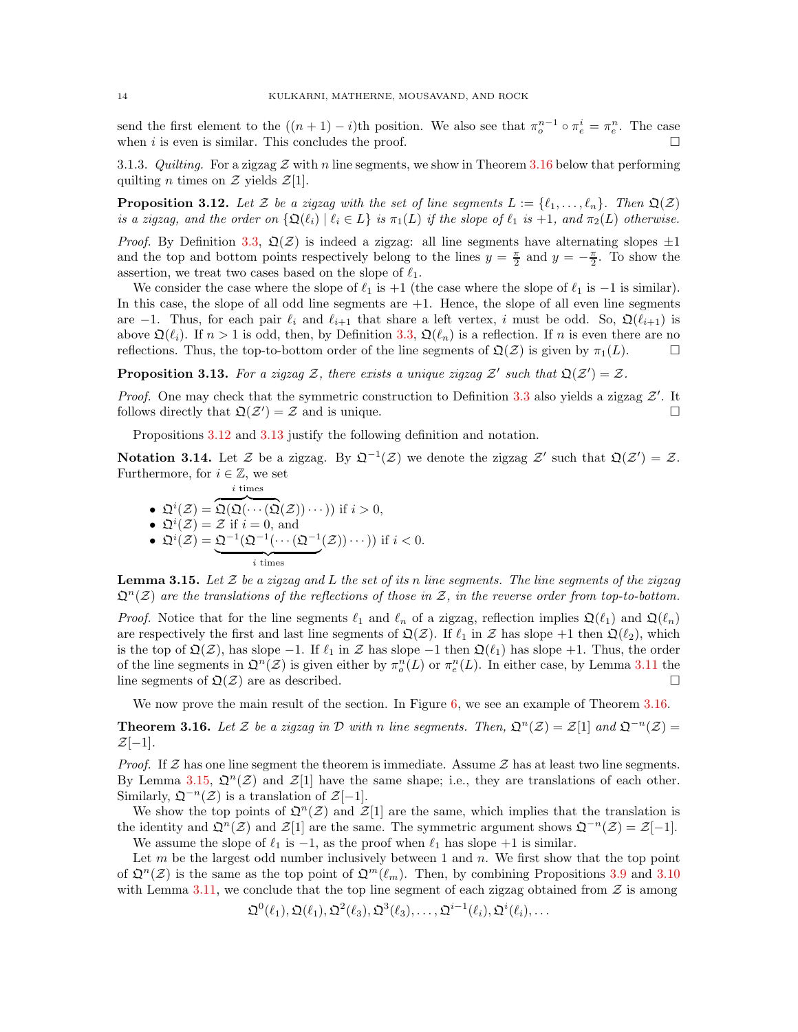send the first element to the  $((n+1)-i)$ th position. We also see that  $\pi_o^{n-1} \circ \pi_e^i = \pi_e^n$ . The case when i is even is similar. This concludes the proof.  $\square$ 

3.1.3. Quilting. For a zigzag  $\mathcal Z$  with n line segments, we show in Theorem [3.16](#page-13-0) below that performing quilting *n* times on  $Z$  yields  $Z[1]$ .

<span id="page-13-1"></span>**Proposition 3.12.** Let Z be a zigzag with the set of line segments  $L := \{\ell_1, \ldots, \ell_n\}$ . Then  $\mathfrak{Q}(\mathcal{Z})$ is a zigzag, and the order on  $\{\mathfrak{Q}(\ell_i) \mid \ell_i \in L\}$  is  $\pi_1(L)$  if the slope of  $\ell_1$  is  $+1$ , and  $\pi_2(L)$  otherwise.

*Proof.* By Definition [3.3,](#page-11-0)  $\mathfrak{Q}(\mathcal{Z})$  is indeed a zigzag: all line segments have alternating slopes  $\pm 1$ and the top and bottom points respectively belong to the lines  $y = \frac{\pi}{2}$  and  $y = -\frac{\pi}{2}$ . To show the assertion, we treat two cases based on the slope of  $\ell_1$ .

We consider the case where the slope of  $\ell_1$  is  $+1$  (the case where the slope of  $\ell_1$  is  $-1$  is similar). In this case, the slope of all odd line segments are  $+1$ . Hence, the slope of all even line segments are −1. Thus, for each pair  $\ell_i$  and  $\ell_{i+1}$  that share a left vertex, i must be odd. So,  $\mathfrak{Q}(\ell_{i+1})$  is above  $\mathfrak{Q}(\ell_i)$ . If  $n > 1$  is odd, then, by Definition [3.3,](#page-11-0)  $\mathfrak{Q}(\ell_n)$  is a reflection. If n is even there are no reflections. Thus, the top-to-bottom order of the line segments of  $\mathfrak{Q}(\mathcal{Z})$  is given by  $\pi_1(L)$ .

<span id="page-13-2"></span>**Proposition 3.13.** For a zigzag Z, there exists a unique zigzag Z' such that  $\mathfrak{Q}(Z') = Z$ .

*Proof.* One may check that the symmetric construction to Definition [3.3](#page-11-0) also yields a zigzag  $Z'$ . It follows directly that  $\mathfrak{Q}(\mathcal{Z}') = \mathcal{Z}$  and is unique.

Propositions [3.12](#page-13-1) and [3.13](#page-13-2) justify the following definition and notation.

Notation 3.14. Let Z be a zigzag. By  $\mathfrak{Q}^{-1}(\mathcal{Z})$  we denote the zigzag  $\mathcal{Z}'$  such that  $\mathfrak{Q}(\mathcal{Z}') = \mathcal{Z}$ . Furthermore, for  $i \in \mathbb{Z}$ , we set

\n- \n
$$
\Omega^{i}(Z) = \Omega(\Omega(\cdots(\Omega(Z))\cdots)) \text{ if } i > 0,
$$
\n
\n- \n
$$
\Omega^{i}(Z) = Z \text{ if } i = 0, \text{ and}
$$
\n
\n- \n
$$
\Omega^{i}(Z) = \Omega^{-1}(\Omega^{-1}(\cdots(\Omega^{-1}(Z))\cdots)) \text{ if } i < 0.
$$
\n
\n

<span id="page-13-3"></span>**Lemma 3.15.** Let  $\mathcal Z$  be a zigzag and L the set of its n line segments. The line segments of the zigzag  $\mathfrak{Q}^n(\mathcal{Z})$  are the translations of the reflections of those in Z, in the reverse order from top-to-bottom.

*Proof.* Notice that for the line segments  $\ell_1$  and  $\ell_n$  of a zigzag, reflection implies  $\mathfrak{Q}(\ell_1)$  and  $\mathfrak{Q}(\ell_n)$ are respectively the first and last line segments of  $\mathfrak{Q}(\mathcal{Z})$ . If  $\ell_1$  in  $\mathcal Z$  has slope +1 then  $\mathfrak{Q}(\ell_2)$ , which is the top of  $\mathfrak{Q}(\mathcal{Z})$ , has slope  $-1$ . If  $\ell_1$  in  $\mathcal Z$  has slope  $-1$  then  $\mathfrak{Q}(\ell_1)$  has slope  $+1$ . Thus, the order of the line segments in  $\mathfrak{Q}^n(\mathcal{Z})$  is given either by  $\pi^n_o(L)$  or  $\pi^n_e(L)$ . In either case, by Lemma [3.11](#page-12-3) the line segments of  $\mathfrak{Q}(\mathcal{Z})$  are as described.

We now prove the main result of the section. In Figure [6,](#page-14-0) we see an example of Theorem [3.16.](#page-13-0)

<span id="page-13-0"></span>**Theorem 3.16.** Let Z be a zigzag in D with n line segments. Then,  $\mathfrak{Q}^n(\mathcal{Z}) = \mathcal{Z}[1]$  and  $\mathfrak{Q}^{-n}(\mathcal{Z}) =$  $\mathcal{Z}[-1].$ 

*Proof.* If  $\mathcal Z$  has one line segment the theorem is immediate. Assume  $\mathcal Z$  has at least two line segments. By Lemma [3.15,](#page-13-3)  $\mathfrak{Q}^n(\mathcal{Z})$  and  $\mathcal{Z}[1]$  have the same shape; i.e., they are translations of each other. Similarly,  $\mathfrak{Q}^{-n}(\mathcal{Z})$  is a translation of  $\mathcal{Z}[-1]$ .

We show the top points of  $\mathfrak{Q}^n(\mathcal{Z})$  and  $\mathcal{Z}[1]$  are the same, which implies that the translation is the identity and  $\mathfrak{Q}^n(\mathcal{Z})$  and  $\mathcal{Z}[1]$  are the same. The symmetric argument shows  $\mathfrak{Q}^{-n}(\mathcal{Z}) = \mathcal{Z}[-1]$ . We assume the slope of  $\ell_1$  is  $-1$ , as the proof when  $\ell_1$  has slope  $+1$  is similar.

Let  $m$  be the largest odd number inclusively between 1 and  $n$ . We first show that the top point of  $\mathfrak{Q}^n(\mathcal{Z})$  is the same as the top point of  $\mathfrak{Q}^m(\ell_m)$ . Then, by combining Propositions [3.9](#page-12-1) and [3.10](#page-12-2) with Lemma [3.11,](#page-12-3) we conclude that the top line segment of each zigzag obtained from  $\mathcal Z$  is among

 $\mathfrak{Q}^{0}(\ell_1),\mathfrak{Q}(\ell_1),\mathfrak{Q}^{2}(\ell_3),\mathfrak{Q}^{3}(\ell_3),\ldots,\mathfrak{Q}^{i-1}(\ell_i),\mathfrak{Q}^{i}(\ell_i),\ldots$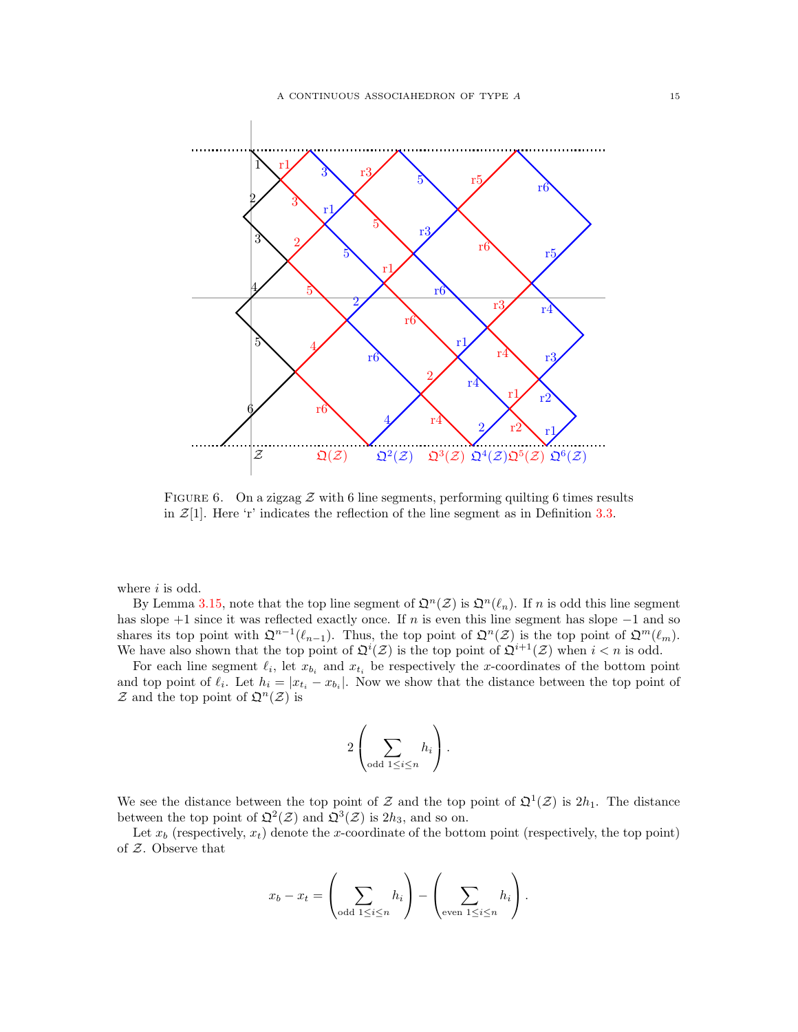

<span id="page-14-0"></span>FIGURE 6. On a zigzag  $\mathcal Z$  with 6 line segments, performing quilting 6 times results in  $\mathcal{Z}[1]$ . Here 'r' indicates the reflection of the line segment as in Definition [3.3.](#page-11-0)

where  $i$  is odd.

By Lemma [3.15,](#page-13-3) note that the top line segment of  $\mathfrak{Q}^n(\mathcal{Z})$  is  $\mathfrak{Q}^n(\ell_n)$ . If n is odd this line segment has slope  $+1$  since it was reflected exactly once. If n is even this line segment has slope  $-1$  and so shares its top point with  $\mathfrak{Q}^{n-1}(\ell_{n-1})$ . Thus, the top point of  $\mathfrak{Q}^n(\mathcal{Z})$  is the top point of  $\mathfrak{Q}^m(\ell_m)$ . We have also shown that the top point of  $\mathfrak{Q}^i(\mathcal{Z})$  is the top point of  $\mathfrak{Q}^{i+1}(\mathcal{Z})$  when  $i < n$  is odd.

For each line segment  $\ell_i$ , let  $x_{b_i}$  and  $x_{t_i}$  be respectively the x-coordinates of the bottom point and top point of  $\ell_i$ . Let  $h_i = |x_{t_i} - x_{b_i}|$ . Now we show that the distance between the top point of  $\mathcal Z$  and the top point of  $\mathfrak{Q}^n(\mathcal Z)$  is

$$
2\left(\sum_{\text{odd }1\leq i\leq n}h_i\right).
$$

We see the distance between the top point of Z and the top point of  $\mathfrak{Q}^1(\mathcal{Z})$  is  $2h_1$ . The distance between the top point of  $\mathfrak{Q}^2(\mathcal{Z})$  and  $\mathfrak{Q}^3(\mathcal{Z})$  is  $2h_3$ , and so on.

Let  $x_b$  (respectively,  $x_t$ ) denote the x-coordinate of the bottom point (respectively, the top point) of Z. Observe that

$$
x_b - x_t = \left(\sum_{\text{odd }1 \leq i \leq n} h_i\right) - \left(\sum_{\text{even }1 \leq i \leq n} h_i\right).
$$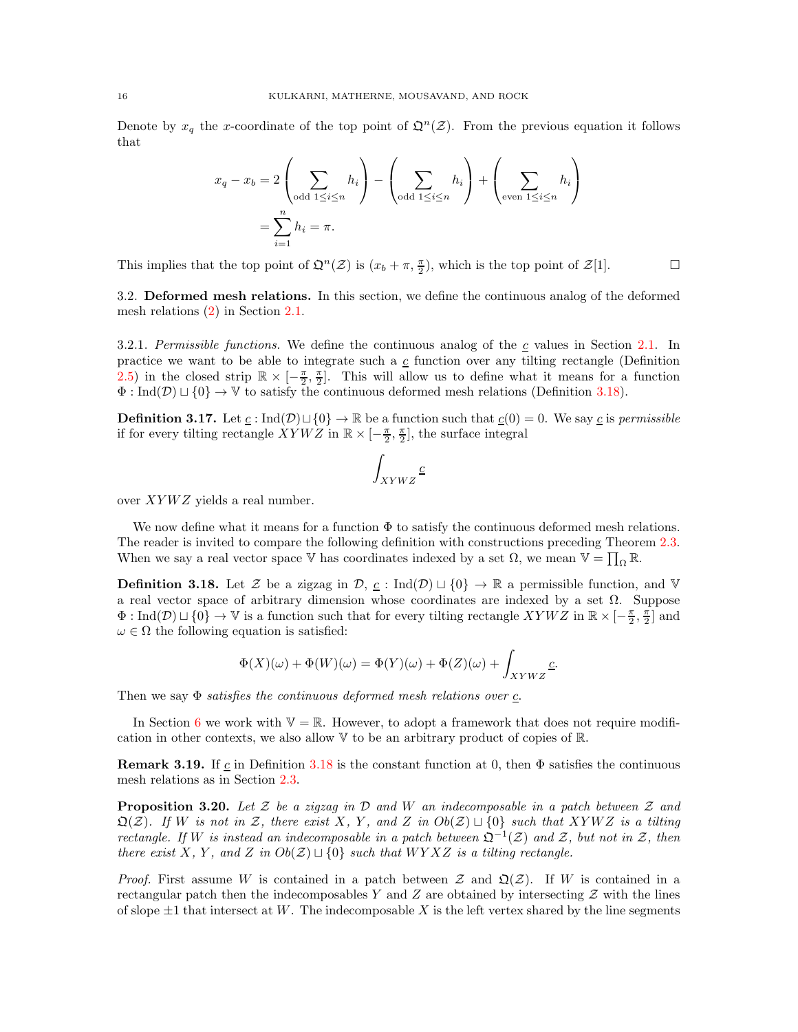Denote by  $x_q$  the x-coordinate of the top point of  $\mathfrak{Q}^n(\mathcal{Z})$ . From the previous equation it follows that

$$
x_q - x_b = 2\left(\sum_{\text{odd }1 \le i \le n} h_i\right) - \left(\sum_{\text{odd }1 \le i \le n} h_i\right) + \left(\sum_{\text{even }1 \le i \le n} h_i\right)
$$

$$
= \sum_{i=1}^n h_i = \pi.
$$

This implies that the top point of  $\mathfrak{Q}^n(\mathcal{Z})$  is  $(x_b + \pi, \frac{\pi}{2})$ , which is the top point of  $\mathcal{Z}[1]$ .

3.2. Deformed mesh relations. In this section, we define the continuous analog of the deformed mesh relations [\(2\)](#page-5-0) in Section [2.1.](#page-2-1)

3.[2.1.](#page-2-1) Permissible functions. We define the continuous analog of the c values in Section 2.1. In practice we want to be able to integrate such a  $c$  function over any tilting rectangle (Definition [2.5\)](#page-8-0) in the closed strip  $\mathbb{R} \times [-\frac{\pi}{2}, \frac{\pi}{2}]$ . This will allow us to define what it means for a function  $\Phi: \text{Ind}(\mathcal{D}) \sqcup \{0\} \to \mathbb{V}$  to satisfy the continuous deformed mesh relations (Definition [3.18\)](#page-15-0).

<span id="page-15-2"></span>**Definition 3.17.** Let  $\underline{c}$  : Ind( $\mathcal{D}$ ) $\sqcup$ {0} →  $\mathbb{R}$  be a function such that  $\underline{c}(0) = 0$ . We say  $\underline{c}$  is permissible if for every tilting rectangle  $XYWZ$  in  $\mathbb{R} \times [-\frac{\pi}{2}, \frac{\pi}{2}]$ , the surface integral

$$
\int_{XYWZ} \underline{c}
$$

over  $XYWZ$  yields a real number.

We now define what it means for a function  $\Phi$  to satisfy the continuous deformed mesh relations. The reader is invited to compare the following definition with constructions preceding Theorem 2.3. When we say a real vector space  $\mathbb V$  has coordinates indexed by a set  $\Omega$ , we mean  $\mathbb V = \prod_\Omega \mathbb R$ .

<span id="page-15-0"></span>**Definition 3.18.** Let Z be a zigzag in  $\mathcal{D}$ ,  $\underline{c}$  : Ind( $\mathcal{D}$ )  $\sqcup$  {0}  $\rightarrow \mathbb{R}$  a permissible function, and V a real vector space of arbitrary dimension whose coordinates are indexed by a set  $\Omega$ . Suppose  $\Phi: \text{Ind}(\mathcal{D}) \sqcup \{0\} \to \mathbb{V}$  is a function such that for every tilting rectangle  $XYWZ$  in  $\mathbb{R} \times [-\frac{\pi}{2}, \frac{\pi}{2}]$  and  $\omega \in \Omega$  the following equation is satisfied:

$$
\Phi(X)(\omega) + \Phi(W)(\omega) = \Phi(Y)(\omega) + \Phi(Z)(\omega) + \int_{XYWZ} \underline{c}.
$$

Then we say  $\Phi$  satisfies the continuous deformed mesh relations over c.

In Section [6](#page-25-0) we work with  $\mathbb{V} = \mathbb{R}$ . However, to adopt a framework that does not require modification in other contexts, we also allow V to be an arbitrary product of copies of R.

**Remark 3.19.** If c in Definition [3.18](#page-15-0) is the constant function at 0, then  $\Phi$  satisfies the continuous mesh relations as in Section [2.3.](#page-8-2)

<span id="page-15-1"></span>**Proposition 3.20.** Let Z be a zigzag in D and W an indecomposable in a patch between Z and  $\mathfrak{Q}(\mathcal{Z})$ . If W is not in Z, there exist X, Y, and Z in  $Ob(\mathcal{Z}) \sqcup \{0\}$  such that XYWZ is a tilting rectangle. If W is instead an indecomposable in a patch between  $\mathfrak{Q}^{-1}(\mathcal{Z})$  and  $\mathcal{Z}$ , but not in  $\mathcal{Z}$ , then there exist X, Y, and Z in  $Ob(\mathcal{Z}) \sqcup \{0\}$  such that WYXZ is a tilting rectangle.

*Proof.* First assume W is contained in a patch between  $\mathcal Z$  and  $\mathfrak Q(\mathcal Z)$ . If W is contained in a rectangular patch then the indecomposables Y and Z are obtained by intersecting  $\mathcal Z$  with the lines of slope  $\pm 1$  that intersect at W. The indecomposable X is the left vertex shared by the line segments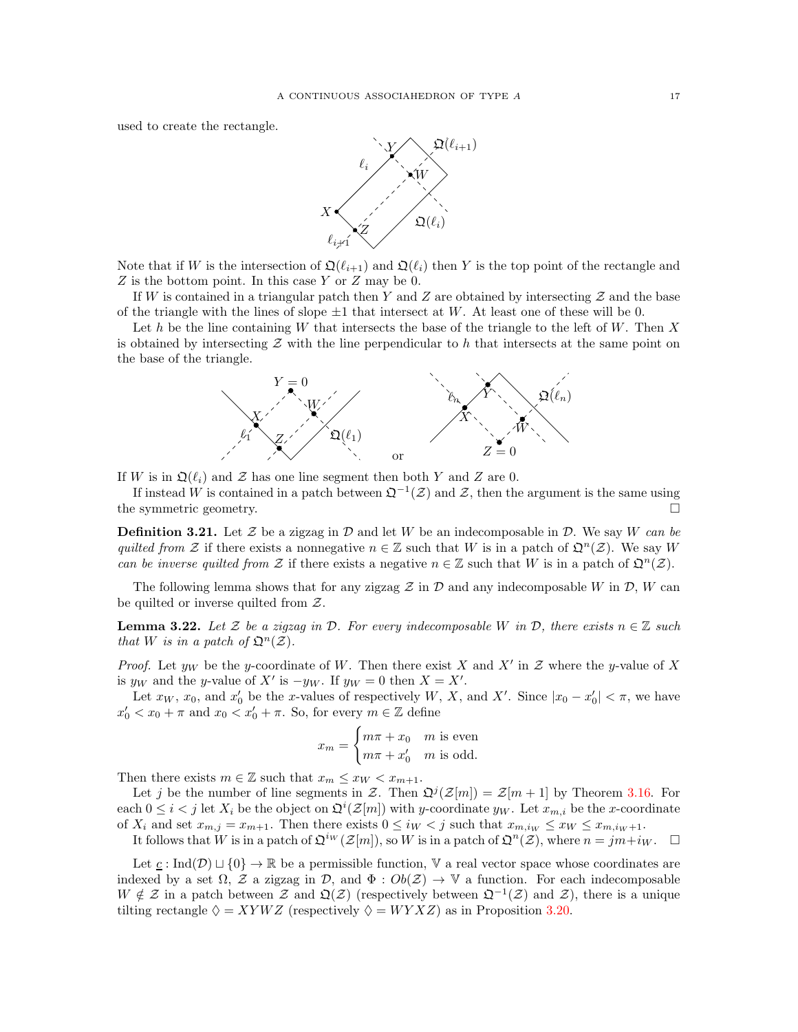used to create the rectangle.



Note that if W is the intersection of  $\mathfrak{Q}(\ell_{i+1})$  and  $\mathfrak{Q}(\ell_i)$  then Y is the top point of the rectangle and  $Z$  is the bottom point. In this case Y or  $Z$  may be 0.

If W is contained in a triangular patch then Y and Z are obtained by intersecting  $\mathcal Z$  and the base of the triangle with the lines of slope  $\pm 1$  that intersect at W. At least one of these will be 0.

Let h be the line containing W that intersects the base of the triangle to the left of W. Then  $X$ is obtained by intersecting  $\mathcal Z$  with the line perpendicular to h that intersects at the same point on the base of the triangle.



If W is in  $\mathfrak{Q}(\ell_i)$  and Z has one line segment then both Y and Z are 0.

If instead W is contained in a patch between  $\mathfrak{Q}^{-1}(\mathcal{Z})$  and  $\mathcal{Z}$ , then the argument is the same using the symmetric geometry.

**Definition 3.21.** Let Z be a zigzag in D and let W be an indecomposable in D. We say W can be quilted from Z if there exists a nonnegative  $n \in \mathbb{Z}$  such that W is in a patch of  $\mathfrak{Q}^n(\mathcal{Z})$ . We say W can be inverse quilted from Z if there exists a negative  $n \in \mathbb{Z}$  such that W is in a patch of  $\mathfrak{Q}^n(\mathcal{Z})$ .

The following lemma shows that for any zigzag  $\mathcal Z$  in  $\mathcal D$  and any indecomposable W in  $\mathcal D$ , W can be quilted or inverse quilted from  $Z$ .

<span id="page-16-0"></span>**Lemma 3.22.** Let Z be a zigzag in D. For every indecomposable W in D, there exists  $n \in \mathbb{Z}$  such that W is in a patch of  $\mathfrak{Q}^n(\mathcal{Z})$ .

*Proof.* Let  $y_W$  be the y-coordinate of W. Then there exist X and X' in Z where the y-value of X is  $y_W$  and the y-value of X' is  $-y_W$ . If  $y_W = 0$  then  $X = X'$ .

Let  $x_W$ ,  $x_0$ , and  $x'_0$  be the x-values of respectively W, X, and X'. Since  $|x_0 - x'_0| < \pi$ , we have  $x'_0 < x_0 + \pi$  and  $x_0 < x'_0 + \pi$ . So, for every  $m \in \mathbb{Z}$  define

$$
x_m = \begin{cases} m\pi + x_0 & m \text{ is even} \\ m\pi + x'_0 & m \text{ is odd.} \end{cases}
$$

Then there exists  $m \in \mathbb{Z}$  such that  $x_m \leq x_W < x_{m+1}$ .

Let j be the number of line segments in Z. Then  $\mathfrak{Q}^j(\mathcal{Z}[m]) = \mathcal{Z}[m+1]$  by Theorem [3.16.](#page-13-0) For each  $0 \leq i < j$  let  $X_i$  be the object on  $\mathfrak{Q}^i(\mathcal{Z}[m])$  with y-coordinate  $y_W$ . Let  $x_{m,i}$  be the x-coordinate of  $X_i$  and set  $x_{m,j} = x_{m+1}$ . Then there exists  $0 \leq i_W < j$  such that  $x_{m,i_W} \leq x_W \leq x_{m,i_W+1}$ .

It follows that W is in a patch of  $\mathfrak{Q}^{iw}(\mathcal{Z}[m])$ , so W is in a patch of  $\mathfrak{Q}^n(\mathcal{Z})$ , where  $n = jm + i_W$ .  $\Box$ 

Let  $\underline{c}$  : Ind(D)  $\sqcup$  {0}  $\rightarrow \mathbb{R}$  be a permissible function, V a real vector space whose coordinates are indexed by a set  $\Omega$ , Z a zigzag in D, and  $\Phi: Ob(\mathcal{Z}) \to \mathbb{V}$  a function. For each indecomposable  $W \notin \mathcal{Z}$  in a patch between  $\mathcal{Z}$  and  $\mathfrak{Q}(\mathcal{Z})$  (respectively between  $\mathfrak{Q}^{-1}(\mathcal{Z})$  and  $\mathcal{Z}$ ), there is a unique tilting rectangle  $\Diamond = XYWZ$  (respectively  $\Diamond = WYXZ$ ) as in Proposition [3.20.](#page-15-1)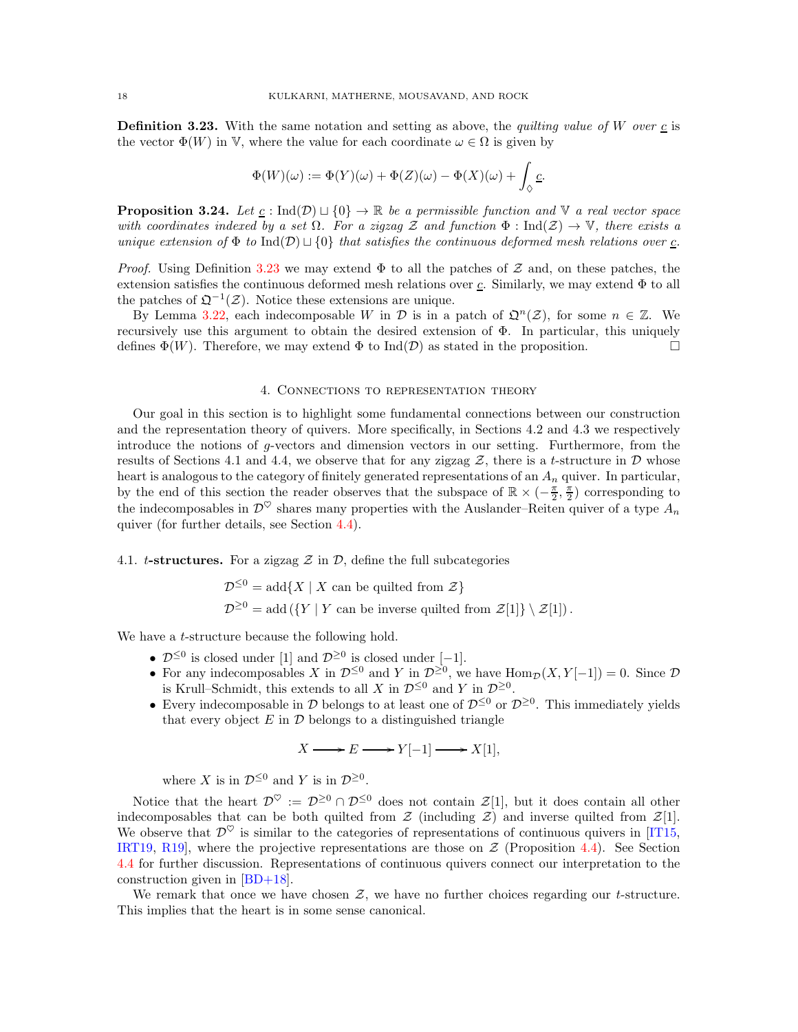<span id="page-17-2"></span>**Definition 3.23.** With the same notation and setting as above, the *quilting value of W over*  $\underline{c}$  is the vector  $\Phi(W)$  in V, where the value for each coordinate  $\omega \in \Omega$  is given by

$$
\Phi(W)(\omega):=\Phi(Y)(\omega)+\Phi(Z)(\omega)-\Phi(X)(\omega)+\int_{\Diamond}\underline{c}.
$$

<span id="page-17-3"></span>**Proposition 3.24.** Let  $\underline{c}$  : Ind(D)  $\sqcup$  {0}  $\rightarrow \mathbb{R}$  be a permissible function and  $\mathbb{V}$  a real vector space with coordinates indexed by a set  $\Omega$ . For a zigzag Z and function  $\Phi : \text{Ind}(\mathcal{Z}) \to \mathbb{V}$ , there exists a unique extension of  $\Phi$  to Ind(D)  $\sqcup$  {0} that satisfies the continuous deformed mesh relations over  $\underline{c}$ .

*Proof.* Using Definition [3.23](#page-17-2) we may extend  $\Phi$  to all the patches of Z and, on these patches, the extension satisfies the continuous deformed mesh relations over  $c$ . Similarly, we may extend  $\Phi$  to all the patches of  $\mathfrak{Q}^{-1}(\mathcal{Z})$ . Notice these extensions are unique.

By Lemma [3.22,](#page-16-0) each indecomposable W in D is in a patch of  $\mathfrak{Q}^n(\mathcal{Z})$ , for some  $n \in \mathbb{Z}$ . We recursively use this argument to obtain the desired extension of  $\Phi$ . In particular, this uniquely defines  $\Phi(W)$ . Therefore, we may extend  $\Phi$  to Ind( $\mathcal{D}$ ) as stated in the proposition.

#### 4. Connections to representation theory

<span id="page-17-0"></span>Our goal in this section is to highlight some fundamental connections between our construction and the representation theory of quivers. More specifically, in Sections 4.2 and 4.3 we respectively introduce the notions of g-vectors and dimension vectors in our setting. Furthermore, from the results of Sections 4.1 and 4.4, we observe that for any zigzag  $\mathcal{Z}$ , there is a t-structure in  $\mathcal{D}$  whose heart is analogous to the category of finitely generated representations of an  $A_n$  quiver. In particular, by the end of this section the reader observes that the subspace of  $\mathbb{R} \times (-\frac{\pi}{2}, \frac{\pi}{2})$  corresponding to the indecomposables in  $\mathcal{D}^{\heartsuit}$  shares many properties with the Auslander–Reiten quiver of a type  $A_n$ quiver (for further details, see Section [4.4\)](#page-20-1).

### <span id="page-17-1"></span>4.1. t-structures. For a zigzag  $\mathcal Z$  in  $\mathcal D$ , define the full subcategories

$$
\mathcal{D}^{\leq 0} = \text{add}\{X \mid X \text{ can be quilted from } \mathcal{Z}\}
$$
  

$$
\mathcal{D}^{\geq 0} = \text{add}\left(\{Y \mid Y \text{ can be inverse quilted from } \mathcal{Z}[1]\}\setminus \mathcal{Z}[1]\right).
$$

We have a *t*-structure because the following hold.

- $\mathcal{D}^{\leq 0}$  is closed under [1] and  $\mathcal{D}^{\geq 0}$  is closed under [-1].
- For any indecomposables X in  $\mathcal{D}^{\leq 0}$  and Y in  $\mathcal{D}^{\geq 0}$ , we have  $\text{Hom}_{\mathcal{D}}(X, Y[-1]) = 0$ . Since  $\mathcal D$ is Krull–Schmidt, this extends to all X in  $\mathcal{D}^{\leq 0}$  and Y in  $\mathcal{D}^{\geq 0}$ .
- Every indecomposable in  $\mathcal D$  belongs to at least one of  $\mathcal D^{\leq 0}$  or  $\mathcal D^{\geq 0}$ . This immediately yields that every object  $E$  in  $\mathcal D$  belongs to a distinguished triangle

$$
X \longrightarrow E \longrightarrow Y[-1] \longrightarrow X[1],
$$

where X is in  $\mathcal{D}^{\leq 0}$  and Y is in  $\mathcal{D}^{\geq 0}$ .

Notice that the heart  $\mathcal{D}^{\heartsuit} := \mathcal{D}^{\geq 0} \cap \mathcal{D}^{\leq 0}$  does not contain  $\mathcal{Z}[1]$ , but it does contain all other indecomposables that can be both quilted from  $\mathcal{Z}$  (including  $\mathcal{Z}$ ) and inverse quilted from  $\mathcal{Z}[1]$ . We observe that  $\mathcal{D}^{\heartsuit}$  is similar to the categories of representations of continuous quivers in [\[IT15,](#page-33-6) [IRT19,](#page-33-14) R19, where the projective representations are those on  $Z$  (Proposition [4.4\)](#page-20-3). See Section [4.4](#page-20-1) for further discussion. Representations of continuous quivers connect our interpretation to the construction given in [\[BD+18\]](#page-33-10).

We remark that once we have chosen  $Z$ , we have no further choices regarding our *t*-structure. This implies that the heart is in some sense canonical.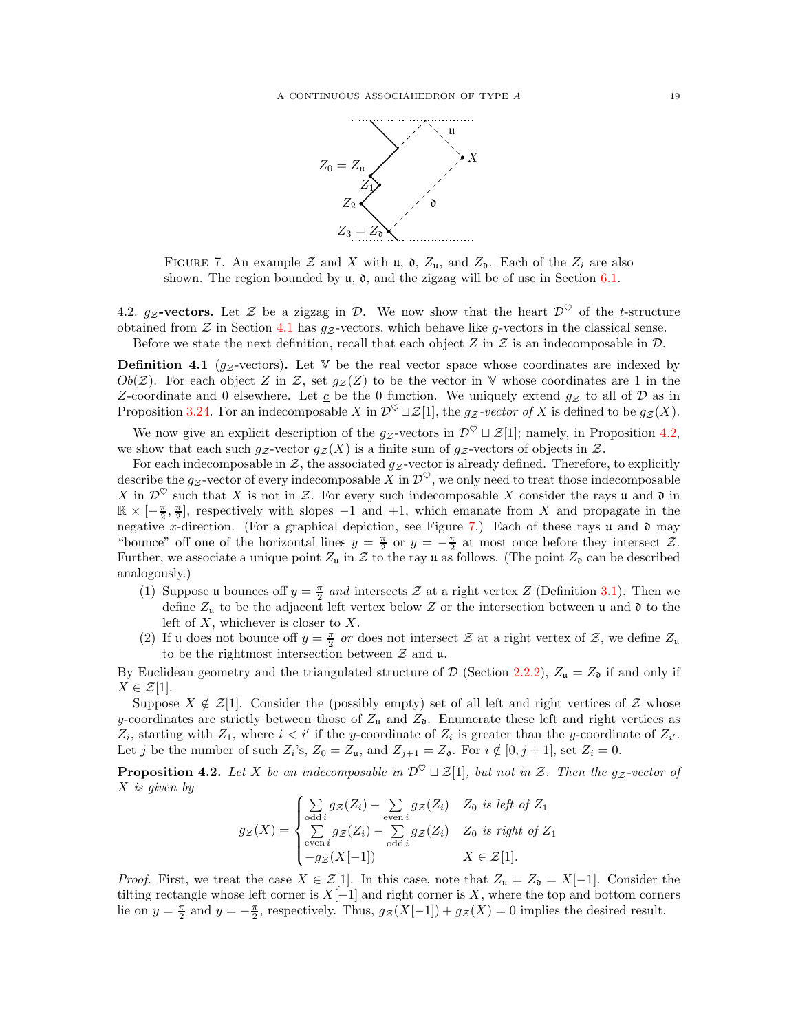

<span id="page-18-2"></span>FIGURE 7. An example  $\mathcal Z$  and  $X$  with  $\mathfrak u$ ,  $\mathfrak d$ ,  $Z_{\mathfrak u}$ , and  $Z_{\mathfrak d}$ . Each of the  $Z_i$  are also shown. The region bounded by  $\mathfrak{u}$ ,  $\mathfrak{d}$ , and the zigzag will be of use in Section [6.1.](#page-25-2)

<span id="page-18-0"></span>4.2.  $g_Z$ -vectors. Let Z be a zigzag in D. We now show that the heart  $\mathcal{D}^{\heartsuit}$  of the t-structure obtained from  $\mathcal Z$  in Section [4.1](#page-17-1) has  $g_{\mathcal Z}$ -vectors, which behave like g-vectors in the classical sense. Before we state the next definition, recall that each object Z in Z is an indecomposable in  $\mathcal{D}$ .

<span id="page-18-3"></span>**Definition 4.1** ( $g_z$ -vectors). Let V be the real vector space whose coordinates are indexed by  $Ob(Z)$ . For each object Z in Z, set  $g_Z(Z)$  to be the vector in V whose coordinates are 1 in the Z-coordinate and 0 elsewhere. Let  $\underline{c}$  be the 0 function. We uniquely extend  $g_{\mathcal{Z}}$  to all of  $\mathcal D$  as in Proposition [3.24.](#page-17-3) For an indecomposable X in  $\mathcal{D}^{\heartsuit} \sqcup \mathcal{Z}[1]$ , the  $g_{\mathcal{Z}}$ -vector of X is defined to be  $g_{\mathcal{Z}}(X)$ .

We now give an explicit description of the  $g_{\mathcal{Z}}$ -vectors in  $\mathcal{D}^{\heartsuit} \sqcup \mathcal{Z}[1]$ ; namely, in Proposition [4.2,](#page-18-1) we show that each such  $g_Z$ -vector  $g_Z(X)$  is a finite sum of  $g_Z$ -vectors of objects in Z.

For each indecomposable in  $\mathcal{Z}$ , the associated  $g_{\mathcal{Z}}$ -vector is already defined. Therefore, to explicitly describe the g<sub>Z</sub>-vector of every indecomposable X in  $\mathcal{D}^{\heartsuit}$ , we only need to treat those indecomposable X in  $\mathcal{D}^{\heartsuit}$  such that X is not in Z. For every such indecomposable X consider the rays u and  $\mathfrak d$  in  $\mathbb{R} \times [-\frac{\pi}{2}, \frac{\pi}{2}]$ , respectively with slopes -1 and +1, which emanate from X and propagate in the negative x-direction. (For a graphical depiction, see Figure [7.](#page-18-2)) Each of these rays u and  $\mathfrak d$  may "bounce" off one of the horizontal lines  $y = \frac{\pi}{2}$  or  $y = -\frac{\pi}{2}$  at most once before they intersect Z. Further, we associate a unique point  $Z_u$  in  $\mathcal Z$  to the ray u as follows. (The point  $Z_0$  can be described analogously.)

- (1) Suppose u bounces off  $y = \frac{\pi}{2}$  and intersects Z at a right vertex Z (Definition [3.1\)](#page-10-1). Then we define  $Z_u$  to be the adjacent left vertex below Z or the intersection between u and  $\mathfrak d$  to the left of  $X$ , whichever is closer to  $X$ .
- (2) If u does not bounce off  $y = \frac{\pi}{2}$  or does not intersect  $\mathcal Z$  at a right vertex of  $\mathcal Z$ , we define  $Z_u$ to be the rightmost intersection between  $\mathcal Z$  and  $\mathfrak u$ .

By Euclidean geometry and the triangulated structure of  $\mathcal{D}$  (Section [2.2.2\)](#page-7-1),  $Z_u = Z_0$  if and only if  $X \in \mathcal{Z}[1].$ 

Suppose  $X \notin \mathcal{Z}[1]$ . Consider the (possibly empty) set of all left and right vertices of Z whose y-coordinates are strictly between those of  $Z_u$  and  $Z_\delta$ . Enumerate these left and right vertices as  $Z_i$ , starting with  $Z_1$ , where  $i < i'$  if the y-coordinate of  $Z_i$  is greater than the y-coordinate of  $Z_{i'}$ . Let j be the number of such  $Z_i$ 's,  $Z_0 = Z_u$ , and  $Z_{j+1} = Z_0$ . For  $i \notin [0, j+1]$ , set  $Z_i = 0$ .

<span id="page-18-1"></span>**Proposition 4.2.** Let X be an indecomposable in  $\mathcal{D}^{\heartsuit} \sqcup \mathcal{Z}[1]$ , but not in Z. Then the g<sub>Z</sub>-vector of X is given by

$$
g_{\mathcal{Z}}(X) = \begin{cases} \sum_{\text{odd }i} g_{\mathcal{Z}}(Z_i) - \sum_{\text{even }i} g_{\mathcal{Z}}(Z_i) & Z_0 \text{ is left of } Z_1\\ \sum_{\text{even }i} g_{\mathcal{Z}}(Z_i) - \sum_{\text{odd }i} g_{\mathcal{Z}}(Z_i) & Z_0 \text{ is right of } Z_1\\ -g_{\mathcal{Z}}(X[-1]) & X \in \mathcal{Z}[1]. \end{cases}
$$

*Proof.* First, we treat the case  $X \in \mathcal{Z}[1]$ . In this case, note that  $Z_{\mathfrak{u}} = Z_{\mathfrak{d}} = X[-1]$ . Consider the tilting rectangle whose left corner is  $X[-1]$  and right corner is X, where the top and bottom corners lie on  $y = \frac{\pi}{2}$  and  $y = -\frac{\pi}{2}$ , respectively. Thus,  $g_{\mathcal{Z}}(X[-1]) + g_{\mathcal{Z}}(X) = 0$  implies the desired result.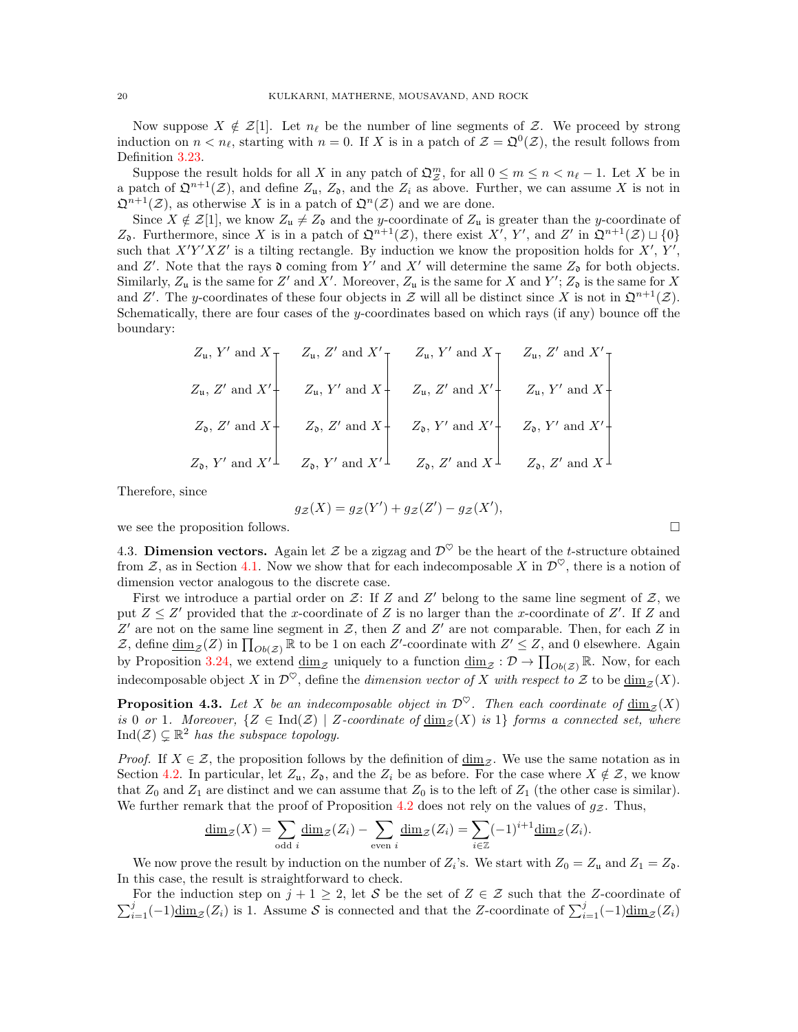Now suppose  $X \notin \mathcal{Z}[1]$ . Let  $n_\ell$  be the number of line segments of Z. We proceed by strong induction on  $n < n_{\ell}$ , starting with  $n = 0$ . If X is in a patch of  $\mathcal{Z} = \mathfrak{Q}^0(\mathcal{Z})$ , the result follows from Definition [3.23.](#page-17-2)

Suppose the result holds for all X in any patch of  $\mathfrak{Q}_{\mathcal{Z}}^m$ , for all  $0 \leq m \leq n < n_\ell - 1$ . Let X be in a patch of  $\mathfrak{Q}^{n+1}(\mathcal{Z})$ , and define  $Z_{\mathfrak{u}}$ ,  $Z_{\mathfrak{d}}$ , and the  $Z_i$  as above. Further, we can assume X is not in  $\mathfrak{Q}^{n+1}(\mathcal{Z})$ , as otherwise X is in a patch of  $\mathfrak{Q}^n(\mathcal{Z})$  and we are done.

Since  $X \notin \mathcal{Z}[1]$ , we know  $Z_u \neq Z_0$  and the y-coordinate of  $Z_u$  is greater than the y-coordinate of Z<sub>0</sub>. Furthermore, since X is in a patch of  $\mathfrak{Q}^{n+1}(\mathcal{Z})$ , there exist X', Y', and Z' in  $\mathfrak{Q}^{n+1}(\mathcal{Z}) \sqcup \{0\}$ such that  $X'Y'XZ'$  is a tilting rectangle. By induction we know the proposition holds for  $X', Y',$ and Z'. Note that the rays  $\mathfrak d$  coming from Y' and X' will determine the same  $Z_{\mathfrak d}$  for both objects. Similarly,  $Z_u$  is the same for Z' and X'. Moreover,  $Z_u$  is the same for X and Y';  $Z_0$  is the same for X and Z'. The y-coordinates of these four objects in Z will all be distinct since X is not in  $\mathfrak{Q}^{n+1}(\mathcal{Z})$ . Schematically, there are four cases of the y-coordinates based on which rays (if any) bounce off the boundary:

$$
Z_{\mathfrak{u}}, Z' \text{ and } X'
$$
\n
$$
Z_{\mathfrak{u}}, Z' \text{ and } X'
$$
\n
$$
Z_{\mathfrak{u}}, Z' \text{ and } X'
$$
\n
$$
Z_{\mathfrak{u}}, Z' \text{ and } X'
$$
\n
$$
Z_{\mathfrak{u}}, Z' \text{ and } X'
$$
\n
$$
Z_{\mathfrak{d}}, Z' \text{ and } X'
$$
\n
$$
Z_{\mathfrak{d}}, Z' \text{ and } X'
$$
\n
$$
Z_{\mathfrak{d}}, Z' \text{ and } X'
$$
\n
$$
Z_{\mathfrak{d}}, Y' \text{ and } X'
$$
\n
$$
Z_{\mathfrak{d}}, Y' \text{ and } X'
$$
\n
$$
Z_{\mathfrak{d}}, Y' \text{ and } X'
$$
\n
$$
Z_{\mathfrak{d}}, Y' \text{ and } X'
$$
\n
$$
Z_{\mathfrak{d}}, Y' \text{ and } X'
$$
\n
$$
Z_{\mathfrak{d}}, Z' \text{ and } X'
$$
\n
$$
Z_{\mathfrak{d}}, Z' \text{ and } X'
$$
\n
$$
Z_{\mathfrak{d}}, Z' \text{ and } X'
$$
\n
$$
Z_{\mathfrak{d}}, Z' \text{ and } X'
$$
\n
$$
Z_{\mathfrak{d}}, Z' \text{ and } X'
$$
\n
$$
Z_{\mathfrak{d}}, Z' \text{ and } X'
$$
\n
$$
Z_{\mathfrak{d}}, Z' \text{ and } X'
$$

Therefore, since

$$
g_{\mathcal{Z}}(X) = g_{\mathcal{Z}}(Y') + g_{\mathcal{Z}}(Z') - g_{\mathcal{Z}}(X'),
$$

<span id="page-19-0"></span>we see the proposition follows.  $\Box$ 

4.3. Dimension vectors. Again let Z be a zigzag and  $\mathcal{D}^{\heartsuit}$  be the heart of the t-structure obtained from Z, as in Section [4.1.](#page-17-1) Now we show that for each indecomposable X in  $\mathcal{D}^{\heartsuit}$ , there is a notion of dimension vector analogous to the discrete case.

First we introduce a partial order on  $\mathcal{Z}$ : If Z and Z' belong to the same line segment of  $\mathcal{Z}$ , we put  $Z \leq Z'$  provided that the x-coordinate of Z is no larger than the x-coordinate of Z'. If Z and  $Z'$  are not on the same line segment in  $Z$ , then  $Z$  and  $Z'$  are not comparable. Then, for each  $Z$  in Z, define  $\underline{\dim}_{\mathcal{Z}}(Z)$  in  $\prod_{Ob(\mathcal{Z})} \mathbb{R}$  to be 1 on each Z'-coordinate with  $Z' \leq Z$ , and 0 elsewhere. Again by Proposition [3.24,](#page-17-3) we extend  $\underline{\dim}_{\mathcal{Z}}$  uniquely to a function  $\underline{\dim}_{\mathcal{Z}} : \mathcal{D} \to \prod_{Ob(\mathcal{Z})} \mathbb{R}$ . Now, for each indecomposable object X in  $\mathcal{D}^{\heartsuit}$ , define the *dimension vector of X with respect to* Z to be  $\underline{\dim}_{\mathcal{Z}}(X)$ .

**Proposition 4.3.** Let X be an indecomposable object in  $\mathcal{D}^{\heartsuit}$ . Then each coordinate of  $\dim_{\mathcal{I}}(X)$ is 0 or 1. Moreover,  $\{Z \in \text{Ind}(\mathcal{Z}) \mid Z\text{-coordinate of } \underline{\dim}_{\mathcal{Z}}(X) \text{ is } 1\}$  forms a connected set, where  $\text{Ind}(\mathcal{Z}) \subseteq \mathbb{R}^2$  has the subspace topology.

*Proof.* If  $X \in \mathcal{Z}$ , the proposition follows by the definition of  $\underline{\dim}_{\mathcal{Z}}$ . We use the same notation as in Section [4.2.](#page-18-0) In particular, let  $Z_u$ ,  $Z_0$ , and the  $Z_i$  be as before. For the case where  $X \notin \mathcal{Z}$ , we know that  $Z_0$  and  $Z_1$  are distinct and we can assume that  $Z_0$  is to the left of  $Z_1$  (the other case is similar). We further remark that the proof of Proposition [4.2](#page-18-1) does not rely on the values of  $g_Z$ . Thus,

$$
\underline{\dim}_{\mathcal{Z}}(X) = \sum_{\text{odd }i} \underline{\dim}_{\mathcal{Z}}(Z_i) - \sum_{\text{even }i} \underline{\dim}_{\mathcal{Z}}(Z_i) = \sum_{i \in \mathbb{Z}} (-1)^{i+1} \underline{\dim}_{\mathcal{Z}}(Z_i).
$$

We now prove the result by induction on the number of  $Z_i$ 's. We start with  $Z_0 = Z_u$  and  $Z_1 = Z_o$ . In this case, the result is straightforward to check.

 $\sum_{i=1}^{j}(-1)\underline{\dim}_{\mathcal{Z}}(Z_i)$  is 1. Assume S is connected and that the Z-coordinate of  $\sum_{i=1}^{j}(-1)\underline{\dim}_{\mathcal{Z}}(Z_i)$ For the induction step on  $j + 1 \geq 2$ , let S be the set of  $Z \in \mathcal{Z}$  such that the Z-coordinate of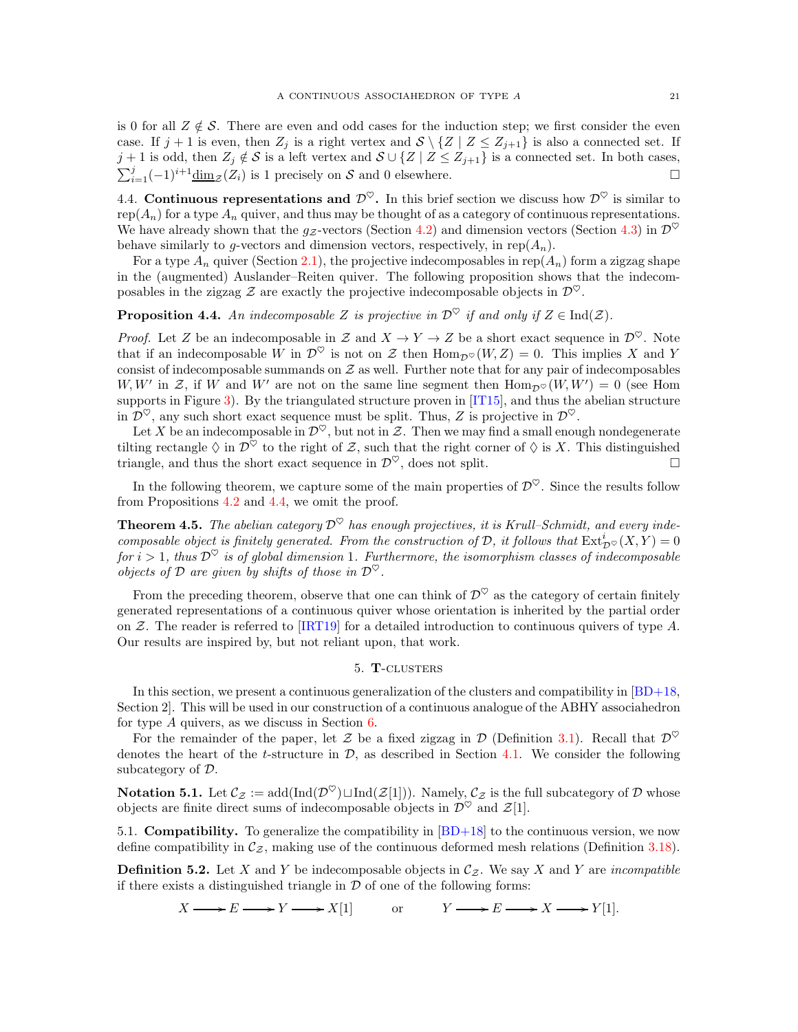is 0 for all  $Z \notin \mathcal{S}$ . There are even and odd cases for the induction step; we first consider the even case. If  $j + 1$  is even, then  $Z_j$  is a right vertex and  $S \setminus \{Z | Z \le Z_{j+1}\}$  is also a connected set. If j + 1 is odd, then  $Z_j \notin S$  is a left vertex and  $S \cup \{Z \mid Z \leq Z_{j+1}\}$  is a connected set. In both cases,  $\sum_{i=1}^{j}(-1)^{i+1}\underline{\dim}_{\mathcal{Z}}(Z_i)$  is 1 precisely on S and 0 elsewhere.

<span id="page-20-1"></span>4.4. Continuous representations and  $\mathcal{D}^{\heartsuit}$ . In this brief section we discuss how  $\mathcal{D}^{\heartsuit}$  is similar to rep( $A_n$ ) for a type  $A_n$  quiver, and thus may be thought of as a category of continuous representations. We have already shown that the g<sub>z</sub>-vectors (Section [4.2\)](#page-18-0) and dimension vectors (Section [4.3\)](#page-19-0) in  $\mathcal{D}^{\heartsuit}$ behave similarly to g-vectors and dimension vectors, respectively, in rep $(A_n)$ .

For a type  $A_n$  quiver (Section [2.1\)](#page-2-1), the projective indecomposables in rep( $A_n$ ) form a zigzag shape in the (augmented) Auslander–Reiten quiver. The following proposition shows that the indecomposables in the zigzag Z are exactly the projective indecomposable objects in  $\mathcal{D}^{\heartsuit}$ .

# <span id="page-20-3"></span>**Proposition 4.4.** An indecomposable Z is projective in  $\mathcal{D}^{\heartsuit}$  if and only if  $Z \in \text{Ind}(\mathcal{Z})$ .

*Proof.* Let Z be an indecomposable in Z and  $X \to Y \to Z$  be a short exact sequence in  $\mathcal{D}^{\heartsuit}$ . Note that if an indecomposable W in  $\mathcal{D}^{\heartsuit}$  is not on Z then  $\text{Hom}_{\mathcal{D}^{\heartsuit}}(W, Z) = 0$ . This implies X and Y consist of indecomposable summands on  $Z$  as well. Further note that for any pair of indecomposables W, W' in Z, if W and W' are not on the same line segment then  $\text{Hom}_{\mathcal{D}^{\heartsuit}}(W, W') = 0$  (see Hom supports in Figure [3\)](#page-7-0). By the triangulated structure proven in  $[T15]$ , and thus the abelian structure in  $\mathcal{D}^{\heartsuit}$ , any such short exact sequence must be split. Thus, Z is projective in  $\mathcal{D}^{\heartsuit}$ .

Let X be an indecomposable in  $\mathcal{D}^{\heartsuit}$ , but not in Z. Then we may find a small enough nondegenerate tilting rectangle  $\Diamond$  in  $\mathcal{D}^{\Diamond}$  to the right of Z, such that the right corner of  $\Diamond$  is X. This distinguished triangle, and thus the short exact sequence in  $\mathcal{D}^{\heartsuit}$ , does not split.

In the following theorem, we capture some of the main properties of  $\mathcal{D}^{\heartsuit}$ . Since the results follow from Propositions [4.2](#page-18-1) and [4.4,](#page-20-3) we omit the proof.

**Theorem 4.5.** The abelian category  $\mathcal{D}^{\heartsuit}$  has enough projectives, it is Krull–Schmidt, and every indecomposable object is finitely generated. From the construction of  $D$ , it follows that  $\text{Ext}^i_{\mathcal{D}^\heartsuit}(X,Y)=0$ for  $i > 1$ , thus  $\mathcal{D}^{\heartsuit}$  is of global dimension 1. Furthermore, the isomorphism classes of indecomposable objects of D are given by shifts of those in  $\mathcal{D}^{\heartsuit}$ .

From the preceding theorem, observe that one can think of  $\mathcal{D}^{\heartsuit}$  as the category of certain finitely generated representations of a continuous quiver whose orientation is inherited by the partial order on Z. The reader is referred to [\[IRT19\]](#page-33-14) for a detailed introduction to continuous quivers of type A. Our results are inspired by, but not reliant upon, that work.

# 5. T-clusters

<span id="page-20-0"></span>In this section, we present a continuous generalization of the clusters and compatibility in  $|BD+18$ , Section 2]. This will be used in our construction of a continuous analogue of the ABHY associahedron for type  $A$  quivers, as we discuss in Section  $6$ .

For the remainder of the paper, let Z be a fixed zigzag in  $\mathcal D$  (Definition [3.1\)](#page-10-1). Recall that  $\mathcal D^{\heartsuit}$ denotes the heart of the t-structure in  $\mathcal{D}$ , as described in Section [4.1.](#page-17-1) We consider the following subcategory of D.

<span id="page-20-4"></span>**Notation 5.1.** Let  $\mathcal{C}_{\mathcal{Z}} := \text{add}(\text{Ind}(\mathcal{D}^{\heartsuit}) \sqcup \text{Ind}(\mathcal{Z}[1]))$ . Namely,  $\mathcal{C}_{\mathcal{Z}}$  is the full subcategory of  $\mathcal D$  whose objects are finite direct sums of indecomposable objects in  $\mathcal{D}^{\heartsuit}$  and  $\mathcal{Z}[1]$ .

5.1. Compatibility. To generalize the compatibility in [\[BD+18\]](#page-33-10) to the continuous version, we now define compatibility in  $\mathcal{C}_{\mathcal{Z}}$ , making use of the continuous deformed mesh relations (Definition [3.18\)](#page-15-0).

<span id="page-20-2"></span>**Definition 5.2.** Let X and Y be indecomposable objects in  $\mathcal{C}_{\mathcal{Z}}$ . We say X and Y are incompatible if there exists a distinguished triangle in  $\mathcal D$  of one of the following forms:

 $X \longrightarrow E \longrightarrow Y \longrightarrow X[1]$  or  $Y \longrightarrow E \longrightarrow X \longrightarrow Y[1].$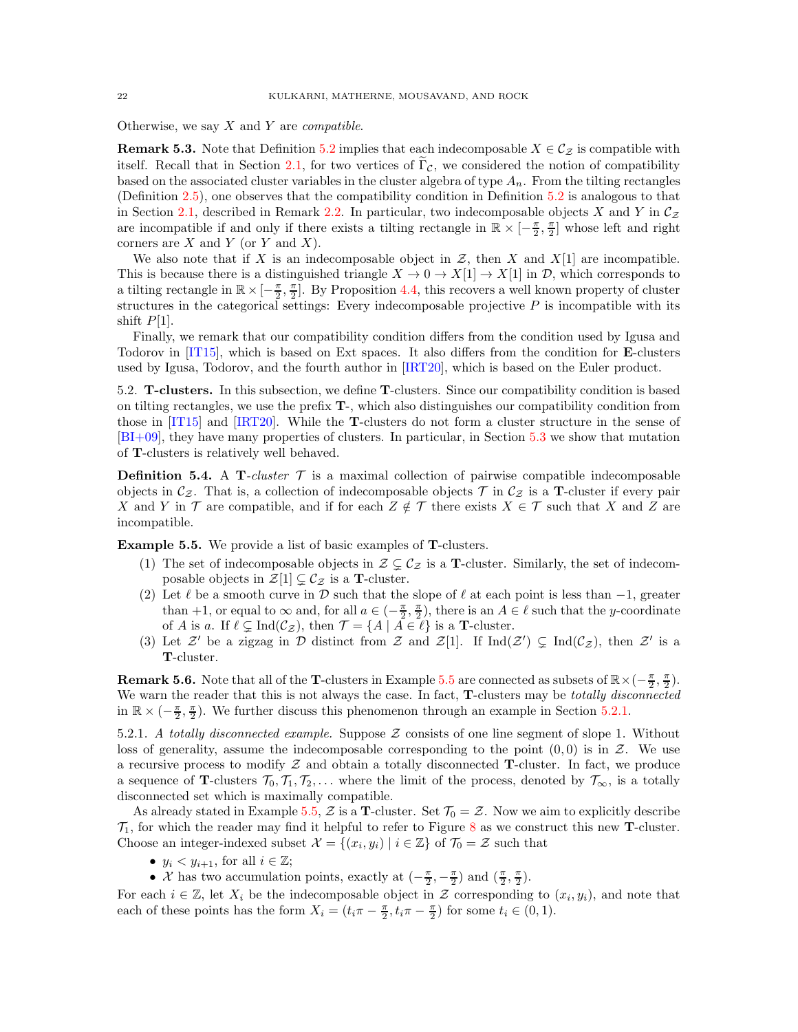Otherwise, we say  $X$  and  $Y$  are *compatible*.

**Remark 5.3.** Note that Definition [5.2](#page-20-2) implies that each indecomposable  $X \in C_{\mathcal{Z}}$  is compatible with itself. Recall that in Section [2.1,](#page-2-1) for two vertices of  $\Gamma_{\mathcal{C}}$ , we considered the notion of compatibility based on the associated cluster variables in the cluster algebra of type  $A_n$ . From the tilting rectangles (Definition [2.5\)](#page-8-0), one observes that the compatibility condition in Definition [5.2](#page-20-2) is analogous to that in Section [2.1,](#page-2-1) described in Remark [2.2.](#page-4-0) In particular, two indecomposable objects X and Y in  $\mathcal{C}_{z}$ are incompatible if and only if there exists a tilting rectangle in  $\mathbb{R} \times [-\frac{\pi}{2}, \frac{\pi}{2}]$  whose left and right corners are  $X$  and  $Y$  (or  $Y$  and  $X$ ).

We also note that if X is an indecomposable object in  $\mathcal{Z}$ , then X and X[1] are incompatible. This is because there is a distinguished triangle  $X \to 0 \to X[1] \to X[1]$  in  $\mathcal{D}$ , which corresponds to a tilting rectangle in  $\mathbb{R} \times [-\frac{\pi}{2}, \frac{\pi}{2}]$ . By Proposition [4.4,](#page-20-3) this recovers a well known property of cluster structures in the categorical settings: Every indecomposable projective  $P$  is incompatible with its shift  $P[1]$ .

Finally, we remark that our compatibility condition differs from the condition used by Igusa and Todorov in [\[IT15\]](#page-33-6), which is based on Ext spaces. It also differs from the condition for E-clusters used by Igusa, Todorov, and the fourth author in [\[IRT20\]](#page-33-7), which is based on the Euler product.

5.2. T-clusters. In this subsection, we define T-clusters. Since our compatibility condition is based on tilting rectangles, we use the prefix T-, which also distinguishes our compatibility condition from those in [\[IT15\]](#page-33-6) and [\[IRT20\]](#page-33-7). While the T-clusters do not form a cluster structure in the sense of [\[BI+09\]](#page-33-16), they have many properties of clusters. In particular, in Section [5.3](#page-23-0) we show that mutation of T-clusters is relatively well behaved.

<span id="page-21-0"></span>**Definition 5.4.** A T-cluster  $\mathcal T$  is a maximal collection of pairwise compatible indecomposable objects in  $\mathcal{C}_{z}$ . That is, a collection of indecomposable objects  $\mathcal{T}$  in  $\mathcal{C}_{z}$  is a **T**-cluster if every pair X and Y in T are compatible, and if for each  $Z \notin \mathcal{T}$  there exists  $X \in \mathcal{T}$  such that X and Z are incompatible.

<span id="page-21-1"></span>Example 5.5. We provide a list of basic examples of T-clusters.

- (1) The set of indecomposable objects in  $\mathcal{Z} \subsetneq \mathcal{C}_{\mathcal{Z}}$  is a **T**-cluster. Similarly, the set of indecomposable objects in  $\mathcal{Z}[1] \subsetneq \mathcal{C}_{\mathcal{Z}}$  is a **T**-cluster.
- <span id="page-21-3"></span>(2) Let  $\ell$  be a smooth curve in D such that the slope of  $\ell$  at each point is less than  $-1$ , greater than +1, or equal to  $\infty$  and, for all  $a \in \left(-\frac{\pi}{2}, \frac{\pi}{2}\right)$ , there is an  $A \in \ell$  such that the y-coordinate of A is a. If  $\ell \subsetneq \text{Ind}(\mathcal{C}_{\mathcal{Z}})$ , then  $\mathcal{T} = \{A \mid A \in \ell\}$  is a **T**-cluster.
- (3) Let  $\mathcal{Z}'$  be a zigzag in  $\mathcal D$  distinct from  $\mathcal Z$  and  $\mathcal Z[1]$ . If  $\text{Ind}(\mathcal{Z}') \subsetneq \text{Ind}(\mathcal{C}_{\mathcal{Z}})$ , then  $\mathcal{Z}'$  is a T-cluster.

**Remark 5.6.** Note that all of the **T**-clusters in Example [5.5](#page-21-1) are connected as subsets of  $\mathbb{R} \times (-\frac{\pi}{2}, \frac{\pi}{2})$ . We warn the reader that this is not always the case. In fact, **T**-clusters may be *totally disconnected* in  $\mathbb{R} \times (-\frac{\pi}{2}, \frac{\pi}{2})$ . We further discuss this phenomenon through an example in Section [5.2.1.](#page-21-2)

<span id="page-21-2"></span>5.2.1. A totally disconnected example. Suppose  $\mathcal Z$  consists of one line segment of slope 1. Without loss of generality, assume the indecomposable corresponding to the point  $(0,0)$  is in  $\mathcal{Z}$ . We use a recursive process to modify  $\mathcal Z$  and obtain a totally disconnected T-cluster. In fact, we produce a sequence of T-clusters  $\mathcal{T}_0, \mathcal{T}_1, \mathcal{T}_2, \ldots$  where the limit of the process, denoted by  $\mathcal{T}_{\infty}$ , is a totally disconnected set which is maximally compatible.

As already stated in Example [5.5,](#page-21-1) Z is a T-cluster. Set  $\mathcal{T}_0 = \mathcal{Z}$ . Now we aim to explicitly describe  $\mathcal{T}_1$ , for which the reader may find it helpful to refer to Figure [8](#page-22-0) as we construct this new **T**-cluster. Choose an integer-indexed subset  $\mathcal{X} = \{(x_i, y_i) \mid i \in \mathbb{Z}\}\$  of  $\mathcal{T}_0 = \mathcal{Z}$  such that

- $y_i < y_{i+1}$ , for all  $i \in \mathbb{Z}$ ;
- *X* has two accumulation points, exactly at  $\left(-\frac{\pi}{2}, -\frac{\pi}{2}\right)$  and  $\left(\frac{\pi}{2}, \frac{\pi}{2}\right)$ .

For each  $i \in \mathbb{Z}$ , let  $X_i$  be the indecomposable object in  $\mathcal Z$  corresponding to  $(x_i, y_i)$ , and note that each of these points has the form  $X_i = (t_i \pi - \frac{\pi}{2}, t_i \pi - \frac{\pi}{2})$  for some  $t_i \in (0, 1)$ .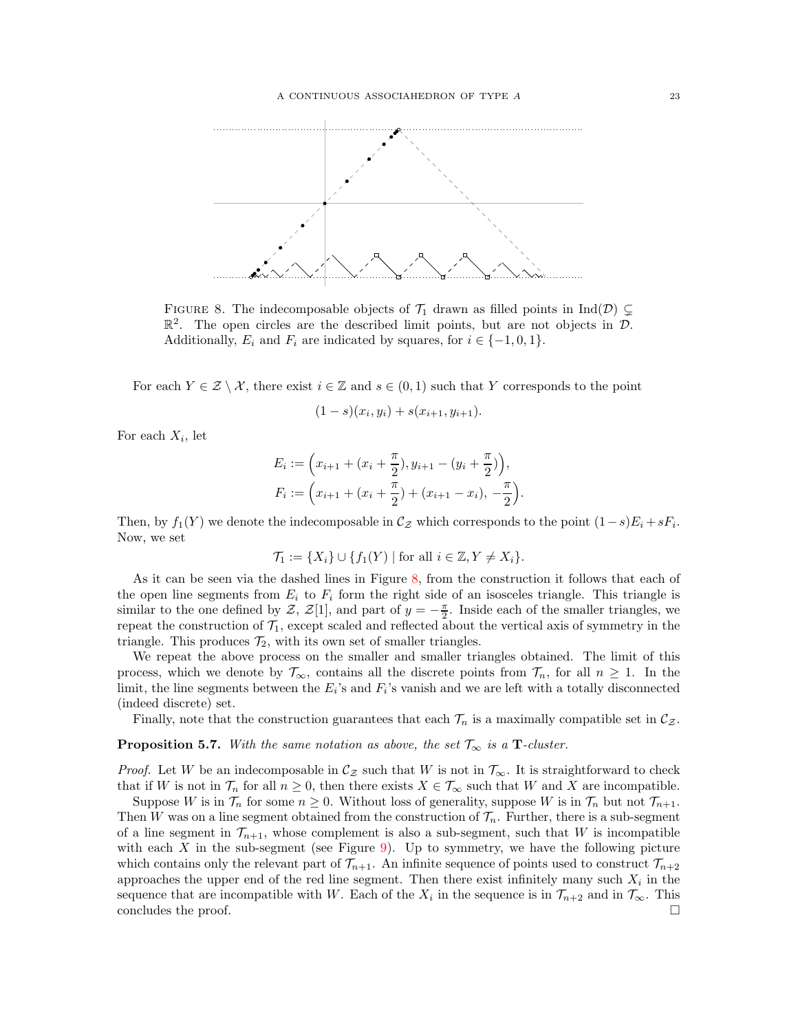

<span id="page-22-0"></span>FIGURE 8. The indecomposable objects of  $\mathcal{T}_1$  drawn as filled points in Ind(D)  $\subsetneq$  $\mathbb{R}^2$ . The open circles are the described limit points, but are not objects in  $\mathcal{D}$ . Additionally,  $E_i$  and  $F_i$  are indicated by squares, for  $i \in \{-1, 0, 1\}$ .

For each  $Y \in \mathcal{Z} \setminus \mathcal{X}$ , there exist  $i \in \mathbb{Z}$  and  $s \in (0,1)$  such that Y corresponds to the point

$$
(1-s)(x_i, y_i) + s(x_{i+1}, y_{i+1}).
$$

For each  $X_i$ , let

$$
E_i := \left(x_{i+1} + (x_i + \frac{\pi}{2}), y_{i+1} - (y_i + \frac{\pi}{2})\right),
$$
  

$$
F_i := \left(x_{i+1} + (x_i + \frac{\pi}{2}) + (x_{i+1} - x_i), -\frac{\pi}{2}\right).
$$

Then, by  $f_1(Y)$  we denote the indecomposable in  $\mathcal{C}_{\mathcal{Z}}$  which corresponds to the point  $(1-s)E_i + sF_i$ . Now, we set

$$
\mathcal{T}_1 := \{ X_i \} \cup \{ f_1(Y) \mid \text{for all } i \in \mathbb{Z}, Y \neq X_i \}.
$$

As it can be seen via the dashed lines in Figure [8,](#page-22-0) from the construction it follows that each of the open line segments from  $E_i$  to  $F_i$  form the right side of an isosceles triangle. This triangle is similar to the one defined by Z, Z[1], and part of  $y = -\frac{\pi}{2}$ . Inside each of the smaller triangles, we repeat the construction of  $\mathcal{T}_1$ , except scaled and reflected about the vertical axis of symmetry in the triangle. This produces  $\mathcal{T}_2$ , with its own set of smaller triangles.

We repeat the above process on the smaller and smaller triangles obtained. The limit of this process, which we denote by  $\mathcal{T}_{\infty}$ , contains all the discrete points from  $\mathcal{T}_n$ , for all  $n \geq 1$ . In the limit, the line segments between the  $E_i$ 's and  $F_i$ 's vanish and we are left with a totally disconnected (indeed discrete) set.

Finally, note that the construction guarantees that each  $\mathcal{T}_n$  is a maximally compatible set in  $\mathcal{C}_{\mathcal{Z}}$ .

<span id="page-22-1"></span>**Proposition 5.7.** With the same notation as above, the set  $\mathcal{T}_{\infty}$  is a **T**-cluster.

*Proof.* Let W be an indecomposable in  $\mathcal{C}_z$  such that W is not in  $\mathcal{T}_{\infty}$ . It is straightforward to check that if W is not in  $\mathcal{T}_n$  for all  $n \geq 0$ , then there exists  $X \in \mathcal{T}_{\infty}$  such that W and X are incompatible.

Suppose W is in  $\mathcal{T}_n$  for some  $n \geq 0$ . Without loss of generality, suppose W is in  $\mathcal{T}_n$  but not  $\mathcal{T}_{n+1}$ . Then W was on a line segment obtained from the construction of  $\mathcal{T}_n$ . Further, there is a sub-segment of a line segment in  $\mathcal{T}_{n+1}$ , whose complement is also a sub-segment, such that W is incompatible with each  $X$  in the sub-segment (see Figure [9\)](#page-23-1). Up to symmetry, we have the following picture which contains only the relevant part of  $\mathcal{T}_{n+1}$ . An infinite sequence of points used to construct  $\mathcal{T}_{n+2}$ approaches the upper end of the red line segment. Then there exist infinitely many such  $X_i$  in the sequence that are incompatible with W. Each of the  $X_i$  in the sequence is in  $\mathcal{T}_{n+2}$  and in  $\mathcal{T}_{\infty}$ . This concludes the proof.  $\Box$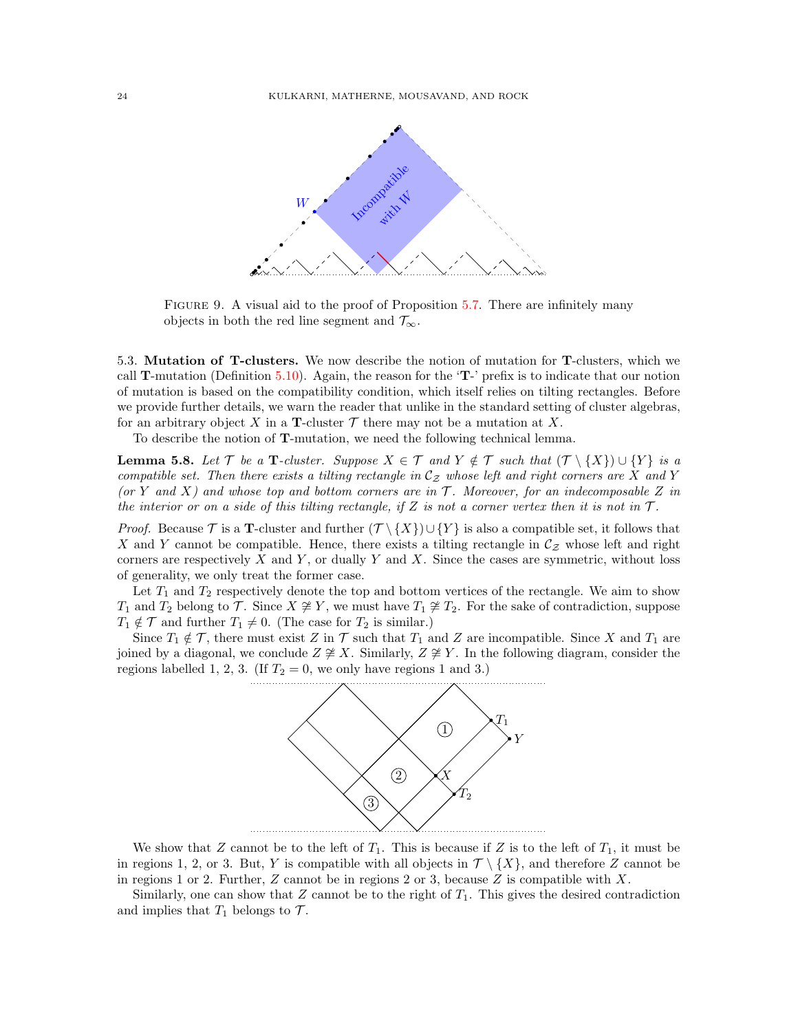

<span id="page-23-1"></span>FIGURE 9. A visual aid to the proof of Proposition [5.7.](#page-22-1) There are infinitely many objects in both the red line segment and  $\mathcal{T}_{\infty}$ .

<span id="page-23-0"></span>5.3. Mutation of T-clusters. We now describe the notion of mutation for T-clusters, which we call T-mutation (Definition [5.10\)](#page-24-0). Again, the reason for the 'T-' prefix is to indicate that our notion of mutation is based on the compatibility condition, which itself relies on tilting rectangles. Before we provide further details, we warn the reader that unlike in the standard setting of cluster algebras, for an arbitrary object X in a T-cluster  $\mathcal T$  there may not be a mutation at X.

To describe the notion of T-mutation, we need the following technical lemma.

<span id="page-23-2"></span>**Lemma 5.8.** Let T be a T-cluster. Suppose  $X \in \mathcal{T}$  and  $Y \notin \mathcal{T}$  such that  $(\mathcal{T} \setminus \{X\}) \cup \{Y\}$  is a compatible set. Then there exists a tilting rectangle in  $\mathcal{C}_z$  whose left and right corners are X and Y (or Y and X) and whose top and bottom corners are in  $\mathcal T$ . Moreover, for an indecomposable Z in the interior or on a side of this tilting rectangle, if Z is not a corner vertex then it is not in  $\mathcal{T}$ .

*Proof.* Because  $\mathcal T$  is a **T**-cluster and further  $(\mathcal T \setminus \{X\}) \cup \{Y\}$  is also a compatible set, it follows that X and Y cannot be compatible. Hence, there exists a tilting rectangle in  $\mathcal{C}_{\mathcal{Z}}$  whose left and right corners are respectively  $X$  and  $Y$ , or dually  $Y$  and  $X$ . Since the cases are symmetric, without loss of generality, we only treat the former case.

Let  $T_1$  and  $T_2$  respectively denote the top and bottom vertices of the rectangle. We aim to show  $T_1$  and  $T_2$  belong to  $\mathcal{T}$ . Since  $X \not\cong Y$ , we must have  $T_1 \not\cong T_2$ . For the sake of contradiction, suppose  $T_1 \notin \mathcal{T}$  and further  $T_1 \neq 0$ . (The case for  $T_2$  is similar.)

Since  $T_1 \notin \mathcal{T}$ , there must exist Z in T such that  $T_1$  and Z are incompatible. Since X and  $T_1$  are joined by a diagonal, we conclude  $Z \not\cong X$ . Similarly,  $Z \not\cong Y$ . In the following diagram, consider the regions labelled 1, 2, 3. (If  $T_2 = 0$ , we only have regions 1 and 3.)



We show that Z cannot be to the left of  $T_1$ . This is because if Z is to the left of  $T_1$ , it must be in regions 1, 2, or 3. But, Y is compatible with all objects in  $\mathcal{T} \setminus \{X\}$ , and therefore Z cannot be in regions 1 or 2. Further,  $Z$  cannot be in regions 2 or 3, because  $Z$  is compatible with  $X$ .

Similarly, one can show that  $Z$  cannot be to the right of  $T_1$ . This gives the desired contradiction and implies that  $T_1$  belongs to  $\mathcal{T}$ .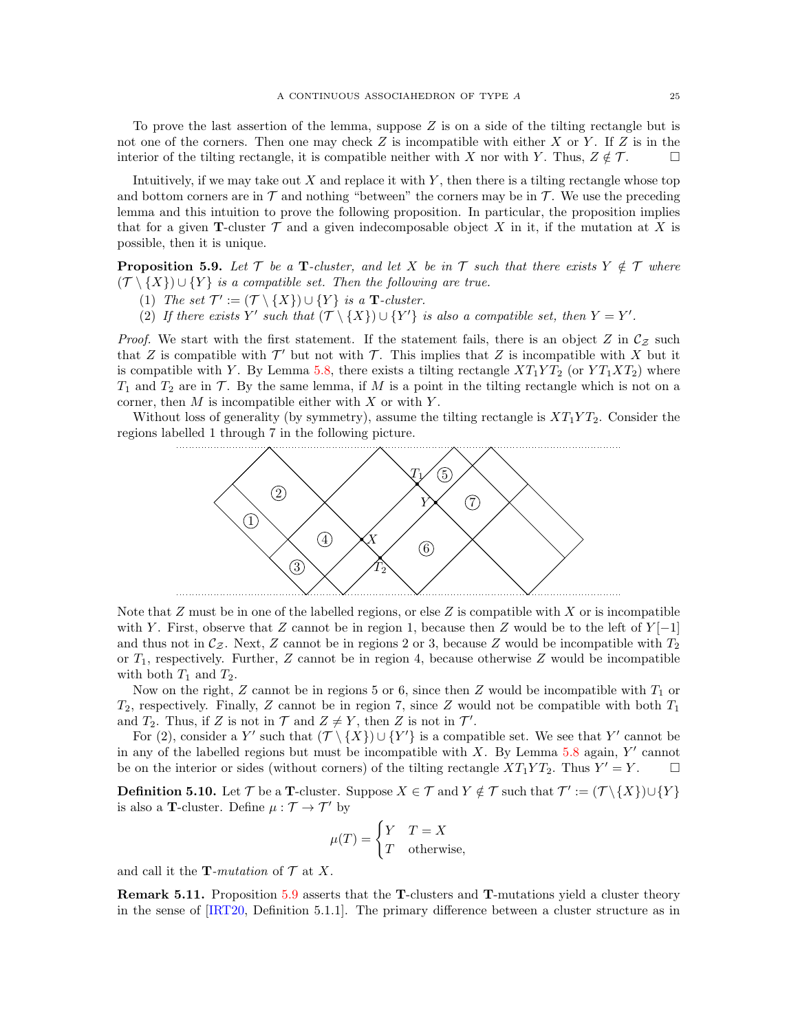To prove the last assertion of the lemma, suppose  $Z$  is on a side of the tilting rectangle but is not one of the corners. Then one may check  $Z$  is incompatible with either  $X$  or  $Y$ . If  $Z$  is in the interior of the tilting rectangle, it is compatible neither with X nor with Y. Thus,  $Z \notin \mathcal{T}$ .

Intuitively, if we may take out X and replace it with Y, then there is a tilting rectangle whose top and bottom corners are in  $\mathcal T$  and nothing "between" the corners may be in  $\mathcal T$ . We use the preceding lemma and this intuition to prove the following proposition. In particular, the proposition implies that for a given **T**-cluster  $\mathcal T$  and a given indecomposable object X in it, if the mutation at X is possible, then it is unique.

<span id="page-24-1"></span>**Proposition 5.9.** Let  $\mathcal{T}$  be a T-cluster, and let X be in  $\mathcal{T}$  such that there exists  $Y \notin \mathcal{T}$  where  $(\mathcal{T} \setminus \{X\}) \cup \{Y\}$  is a compatible set. Then the following are true.

- (1) The set  $\mathcal{T}' := (\mathcal{T} \setminus \{X\}) \cup \{Y\}$  is a **T**-cluster.
- (2) If there exists Y' such that  $(\mathcal{T} \setminus \{X\}) \cup \{Y'\}$  is also a compatible set, then  $Y = Y'$ .

*Proof.* We start with the first statement. If the statement fails, there is an object Z in  $\mathcal{C}_z$  such that Z is compatible with  $\mathcal{T}'$  but not with  $\mathcal{T}$ . This implies that Z is incompatible with X but it is compatible with Y. By Lemma [5.8,](#page-23-2) there exists a tilting rectangle  $XT_1YT_2$  (or  $YT_1XT_2$ ) where  $T_1$  and  $T_2$  are in  $\mathcal T$ . By the same lemma, if M is a point in the tilting rectangle which is not on a corner, then  $M$  is incompatible either with  $X$  or with  $Y$ .

Without loss of generality (by symmetry), assume the tilting rectangle is  $XT_1YT_2$ . Consider the regions labelled 1 through 7 in the following picture.



Note that  $Z$  must be in one of the labelled regions, or else  $Z$  is compatible with  $X$  or is incompatible with Y. First, observe that Z cannot be in region 1, because then Z would be to the left of  $Y[-1]$ and thus not in  $\mathcal{C}_{Z}$ . Next, Z cannot be in regions 2 or 3, because Z would be incompatible with  $T_2$ or  $T_1$ , respectively. Further, Z cannot be in region 4, because otherwise Z would be incompatible with both  $T_1$  and  $T_2$ .

Now on the right, Z cannot be in regions 5 or 6, since then Z would be incompatible with  $T_1$  or  $T_2$ , respectively. Finally, Z cannot be in region 7, since Z would not be compatible with both  $T_1$ and  $T_2$ . Thus, if Z is not in  $\mathcal T$  and  $Z \neq Y$ , then Z is not in  $\mathcal T'$ .

For (2), consider a Y' such that  $(\mathcal{T} \setminus \{X\}) \cup \{Y'\}$  is a compatible set. We see that Y' cannot be in any of the labelled regions but must be incompatible with  $X$ . By Lemma [5.8](#page-23-2) again,  $Y'$  cannot be on the interior or sides (without corners) of the tilting rectangle  $XT_1YT_2$ . Thus  $Y' = Y$ .  $\Box$ 

<span id="page-24-0"></span>**Definition 5.10.** Let  $\mathcal{T}$  be a **T**-cluster. Suppose  $X \in \mathcal{T}$  and  $Y \notin \mathcal{T}$  such that  $\mathcal{T}' := (\mathcal{T} \setminus \{X\}) \cup \{Y\}$ is also a T-cluster. Define  $\mu: \mathcal{T} \rightarrow \mathcal{T}'$  by

$$
\mu(T) = \begin{cases} Y & T = X \\ T & \text{otherwise,} \end{cases}
$$

and call it the **T**-mutation of  $\mathcal{T}$  at X.

Remark 5.11. Proposition [5.9](#page-24-1) asserts that the T-clusters and T-mutations yield a cluster theory in the sense of [\[IRT20,](#page-33-7) Definition 5.1.1]. The primary difference between a cluster structure as in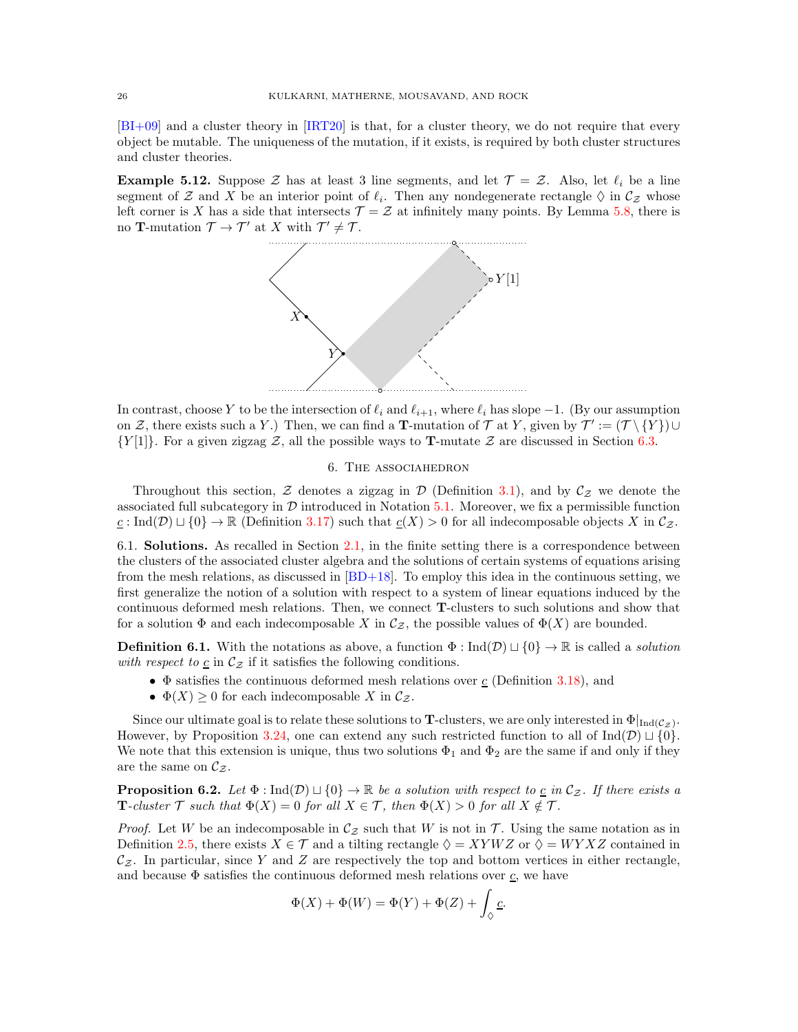[\[BI+09\]](#page-33-16) and a cluster theory in [\[IRT20\]](#page-33-7) is that, for a cluster theory, we do not require that every object be mutable. The uniqueness of the mutation, if it exists, is required by both cluster structures and cluster theories.

<span id="page-25-1"></span>**Example 5.12.** Suppose Z has at least 3 line segments, and let  $\mathcal{T} = \mathcal{Z}$ . Also, let  $\ell_i$  be a line segment of Z and X be an interior point of  $\ell_i$ . Then any nondegenerate rectangle  $\Diamond$  in  $\mathcal{C}_{\mathcal{Z}}$  whose left corner is X has a side that intersects  $\mathcal{T} = \mathcal{Z}$  at infinitely many points. By Lemma [5.8,](#page-23-2) there is no **T**-mutation  $\mathcal{T} \to \mathcal{T}'$  at X with  $\mathcal{T}' \neq \mathcal{T}$ .



In contrast, choose Y to be the intersection of  $\ell_i$  and  $\ell_{i+1}$ , where  $\ell_i$  has slope  $-1$ . (By our assumption on Z, there exists such a Y.) Then, we can find a **T**-mutation of T at Y, given by  $\mathcal{T}' := (\mathcal{T} \setminus \{Y\}) \cup$  $\{Y[1]\}$ . For a given zigzag Z, all the possible ways to **T**-mutate Z are discussed in Section [6.3.](#page-28-1)

## 6. The associahedron

<span id="page-25-0"></span>Throughout this section, Z denotes a zigzag in  $\mathcal D$  (Definition [3.1\)](#page-10-1), and by  $\mathcal C_Z$  we denote the associated full subcategory in  $\mathcal D$  introduced in Notation [5.1.](#page-20-4) Moreover, we fix a permissible function  $\underline{c}$ : Ind( $\mathcal{D}$ )  $\sqcup$  {0}  $\rightarrow \mathbb{R}$  (Definition [3.17\)](#page-15-2) such that  $\underline{c}(X) > 0$  for all indecomposable objects X in  $\mathcal{C}_{\mathcal{Z}}$ .

<span id="page-25-2"></span>6.1. **Solutions.** As recalled in Section [2.1,](#page-2-1) in the finite setting there is a correspondence between the clusters of the associated cluster algebra and the solutions of certain systems of equations arising from the mesh relations, as discussed in  $|BD+18|$ . To employ this idea in the continuous setting, we first generalize the notion of a solution with respect to a system of linear equations induced by the continuous deformed mesh relations. Then, we connect T-clusters to such solutions and show that for a solution  $\Phi$  and each indecomposable X in  $\mathcal{C}_{Z}$ , the possible values of  $\Phi(X)$  are bounded.

**Definition 6.1.** With the notations as above, a function  $\Phi : \text{Ind}(\mathcal{D}) \cup \{0\} \to \mathbb{R}$  is called a *solution* with respect to  $\underline{c}$  in  $\mathcal{C}_{\mathcal{Z}}$  if it satisfies the following conditions.

- $\Phi$  satisfies the continuous deformed mesh relations over  $\underline{c}$  (Definition [3.18\)](#page-15-0), and
- $\Phi(X) \geq 0$  for each indecomposable X in  $\mathcal{C}_{\mathcal{Z}}$ .

Since our ultimate goal is to relate these solutions to T-clusters, we are only interested in  $\Phi|_{\text{Ind}({\mathcal{C}}_Z)}$ . However, by Proposition [3.24,](#page-17-3) one can extend any such restricted function to all of Ind $(\mathcal{D}) \sqcup \{0\}$ . We note that this extension is unique, thus two solutions  $\Phi_1$  and  $\Phi_2$  are the same if and only if they are the same on  $\mathcal{C}_{\mathcal{Z}}$ .

<span id="page-25-3"></span>**Proposition 6.2.** Let  $\Phi$  : Ind $(\mathcal{D}) \sqcup \{0\} \rightarrow \mathbb{R}$  be a solution with respect to <u>c</u> in  $\mathcal{C}_{\mathcal{Z}}$ . If there exists a **T**-cluster  $\mathcal T$  such that  $\Phi(X) = 0$  for all  $X \in \mathcal T$ , then  $\Phi(X) > 0$  for all  $X \notin \mathcal T$ .

*Proof.* Let W be an indecomposable in  $C_z$  such that W is not in T. Using the same notation as in Definition [2.5,](#page-8-0) there exists  $X \in \mathcal{T}$  and a tilting rectangle  $\Diamond = XYWZ$  or  $\Diamond = WYXZ$  contained in  $\mathcal{C}_{\mathcal{Z}}$ . In particular, since Y and Z are respectively the top and bottom vertices in either rectangle, and because  $\Phi$  satisfies the continuous deformed mesh relations over  $\underline{c}$ , we have

$$
\Phi(X) + \Phi(W) = \Phi(Y) + \Phi(Z) + \int_{\Diamond} \underline{c}.
$$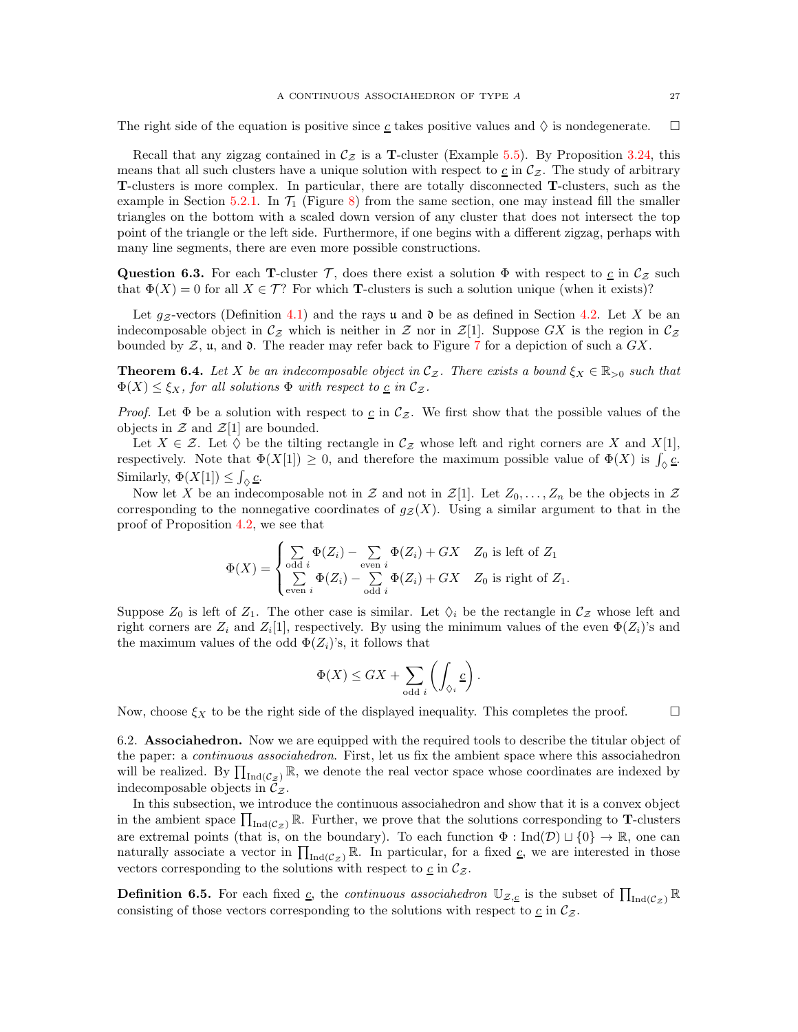The right side of the equation is positive since  $\underline{c}$  takes positive values and  $\Diamond$  is nondegenerate.  $\square$ 

Recall that any zigzag contained in  $\mathcal{C}_z$  is a **T**-cluster (Example [5.5\)](#page-21-1). By Proposition [3.24,](#page-17-3) this means that all such clusters have a unique solution with respect to  $c$  in  $\mathcal{C}_{z}$ . The study of arbitrary T-clusters is more complex. In particular, there are totally disconnected T-clusters, such as the example in Section [5.2.1.](#page-21-2) In  $\mathcal{T}_1$  (Figure [8\)](#page-22-0) from the same section, one may instead fill the smaller triangles on the bottom with a scaled down version of any cluster that does not intersect the top point of the triangle or the left side. Furthermore, if one begins with a different zigzag, perhaps with many line segments, there are even more possible constructions.

<span id="page-26-1"></span>Question 6.3. For each T-cluster T, does there exist a solution  $\Phi$  with respect to  $c$  in  $\mathcal{C}_{z}$  such that  $\Phi(X) = 0$  for all  $X \in \mathcal{T}$ ? For which **T**-clusters is such a solution unique (when it exists)?

Let  $g_Z$ -vectors (Definition [4.1\)](#page-18-3) and the rays u and  $\mathfrak d$  be as defined in Section [4.2.](#page-18-0) Let X be an indecomposable object in  $\mathcal{C}_{\mathcal{Z}}$  which is neither in  $\mathcal{Z}$  nor in  $\mathcal{Z}[1]$ . Suppose GX is the region in  $\mathcal{C}_{\mathcal{Z}}$ bounded by  $\mathcal{Z}$ ,  $\mathfrak{u}$ , and  $\mathfrak{d}$ . The reader may refer back to Figure [7](#page-18-2) for a depiction of such a  $GX$ .

**Theorem 6.4.** Let X be an indecomposable object in  $C_z$ . There exists a bound  $\xi_X \in \mathbb{R}_{>0}$  such that  $\Phi(X) \leq \xi_X$ , for all solutions  $\Phi$  with respect to <u>c</u> in  $\mathcal{C}_{\mathcal{Z}}$ .

*Proof.* Let  $\Phi$  be a solution with respect to <u>c</u> in  $\mathcal{C}_{z}$ . We first show that the possible values of the objects in  $\mathcal Z$  and  $\mathcal Z[1]$  are bounded.

Let  $X \in \mathcal{Z}$ . Let  $\Diamond$  be the tilting rectangle in  $\mathcal{C}_{\mathcal{Z}}$  whose left and right corners are X and X[1], respectively. Note that  $\Phi(X[1]) \geq 0$ , and therefore the maximum possible value of  $\Phi(X)$  is  $\int_{Q} \mathcal{L}$ . Similarly,  $\Phi(X[1]) \leq \int_{\Diamond} \underline{c}$ .

Now let X be an indecomposable not in Z and not in  $\mathcal{Z}[1]$ . Let  $Z_0, \ldots, Z_n$  be the objects in Z corresponding to the nonnegative coordinates of  $g_{\mathcal{Z}}(X)$ . Using a similar argument to that in the proof of Proposition [4.2,](#page-18-1) we see that

$$
\Phi(X) = \begin{cases} \sum_{\text{odd }i} \Phi(Z_i) - \sum_{\text{even }i} \Phi(Z_i) + GX & Z_0 \text{ is left of } Z_1 \\ \sum_{\text{even }i} \Phi(Z_i) - \sum_{\text{odd }i} \Phi(Z_i) + GX & Z_0 \text{ is right of } Z_1. \end{cases}
$$

Suppose  $Z_0$  is left of  $Z_1$ . The other case is similar. Let  $\Diamond_i$  be the rectangle in  $\mathcal{C}_z$  whose left and right corners are  $Z_i$  and  $Z_i[1]$ , respectively. By using the minimum values of the even  $\Phi(Z_i)$ 's and the maximum values of the odd  $\Phi(Z_i)$ 's, it follows that

$$
\Phi(X) \leq GX + \sum_{\text{odd }i} \left( \int_{\Diamond_i} \underline{c} \right).
$$

Now, choose  $\xi_X$  to be the right side of the displayed inequality. This completes the proof.  $\Box$ 

6.2. **Associahedron.** Now we are equipped with the required tools to describe the titular object of the paper: a *continuous associahedron*. First, let us fix the ambient space where this associahedron will be realized. By  $\prod_{Ind(\mathcal{C}_z)} \mathbb{R}$ , we denote the real vector space whose coordinates are indexed by indecomposable objects in  $\mathcal{C}_{\mathcal{Z}}$ .

In this subsection, we introduce the continuous associahedron and show that it is a convex object in the ambient space  $\prod_{Ind(\mathcal{C}_\mathcal{Z})} \mathbb{R}$ . Further, we prove that the solutions corresponding to **T**-clusters are extremal points (that is, on the boundary). To each function  $\Phi : \text{Ind}(\mathcal{D}) \cup \{0\} \to \mathbb{R}$ , one can naturally associate a vector in  $\prod_{\text{Ind}(C_{\mathcal{Z}})} \mathbb{R}$ . In particular, for a fixed  $\underline{c}$ , we are interested in those vectors corresponding to the solutions with respect to  $\underline{c}$  in  $\mathcal{C}_{\mathcal{Z}}$ .

<span id="page-26-0"></span>**Definition 6.5.** For each fixed <u>c</u>, the *continuous associahedron*  $\mathbb{U}_{\mathcal{Z},\underline{c}}$  is the subset of  $\prod_{\text{Ind}(\mathcal{C}_z)}\mathbb{R}$ consisting of those vectors corresponding to the solutions with respect to  $\underline{c}$  in  $\mathcal{C}_{\mathcal{Z}}$ .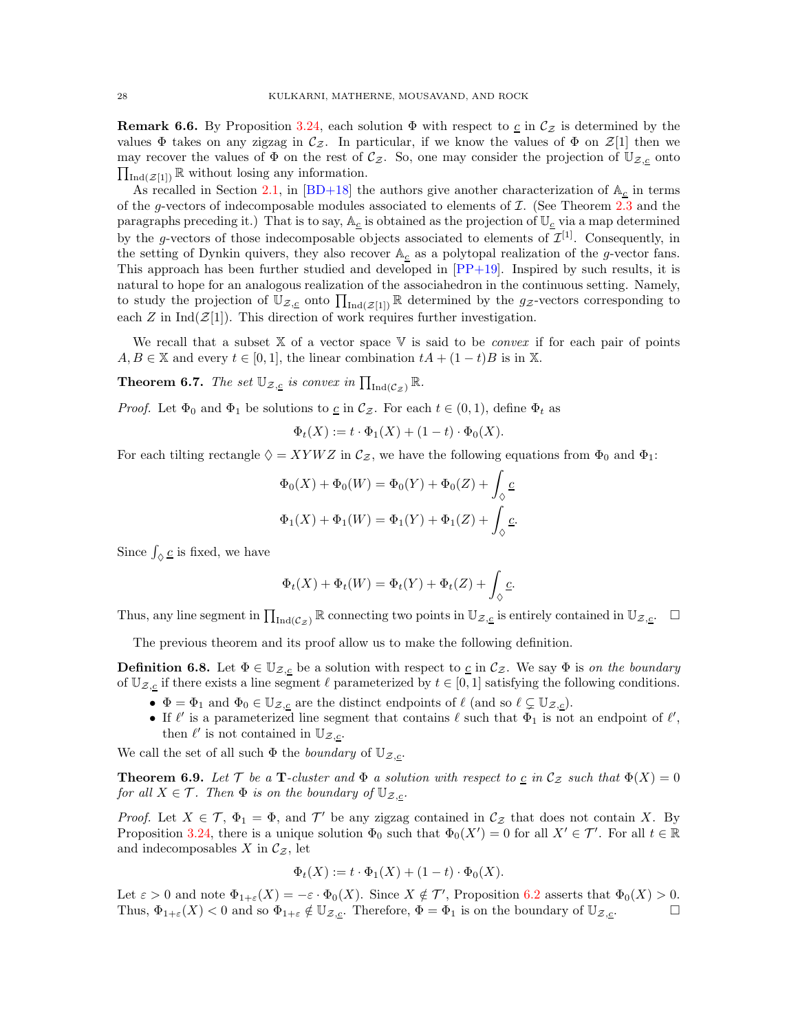**Remark 6.6.** By Proposition [3.24,](#page-17-3) each solution  $\Phi$  with respect to  $c$  in  $\mathcal{C}_z$  is determined by the values  $\Phi$  takes on any zigzag in  $\mathcal{C}_{z}$ . In particular, if we know the values of  $\Phi$  on  $\mathcal{Z}[1]$  then we may recover the values of  $\Phi$  on the rest of  $\mathcal{C}_{z}$ . So, one may consider the projection of  $\mathbb{U}_{\mathcal{Z},\mathcal{L}}$  onto  $\prod_{\text{Ind}(\mathcal{Z}[1])} \mathbb{R}$  without losing any information.

As recalled in Section [2.1,](#page-2-1) in [\[BD+18\]](#page-33-10) the authors give another characterization of  $A_c$  in terms of the g-vectors of indecomposable modules associated to elements of  $\mathcal{I}$ . (See Theorem 2.3 and the paragraphs preceding it.) That is to say,  $A_c$  is obtained as the projection of  $\mathbb{U}_c$  via a map determined by the g-vectors of those indecomposable objects associated to elements of  $\mathcal{I}^{[1]}$ . Consequently, in the setting of Dynkin quivers, they also recover  $\mathbb{A}_{\underline{c}}$  as a polytopal realization of the g-vector fans. This approach has been further studied and developed in  $[PP+19]$ . Inspired by such results, it is natural to hope for an analogous realization of the associahedron in the continuous setting. Namely, to study the projection of  $\mathbb{U}_{\mathcal{Z},\underline{c}}$  onto  $\prod_{\text{Ind}(\mathcal{Z}[1])} \mathbb{R}$  determined by the  $g_{\mathcal{Z}}$ -vectors corresponding to each  $Z$  in Ind( $\mathcal{Z}[1]$ ). This direction of work requires further investigation.

We recall that a subset  $X$  of a vector space  $V$  is said to be *convex* if for each pair of points  $A, B \in \mathbb{X}$  and every  $t \in [0, 1]$ , the linear combination  $tA + (1 - t)B$  is in X.

<span id="page-27-0"></span>**Theorem 6.7.** The set  $\mathbb{U}_{\mathcal{Z},\underline{c}}$  is convex in  $\prod_{\text{Ind}(\mathcal{C}_\mathcal{Z})}\mathbb{R}$ .

*Proof.* Let  $\Phi_0$  and  $\Phi_1$  be solutions to <u>c</u> in  $\mathcal{C}_{\mathcal{Z}}$ . For each  $t \in (0,1)$ , define  $\Phi_t$  as

$$
\Phi_t(X) := t \cdot \Phi_1(X) + (1 - t) \cdot \Phi_0(X).
$$

For each tilting rectangle  $\Diamond = XYWZ$  in  $\mathcal{C}_{\mathcal{Z}}$ , we have the following equations from  $\Phi_0$  and  $\Phi_1$ :

$$
\Phi_0(X) + \Phi_0(W) = \Phi_0(Y) + \Phi_0(Z) + \int_{\Diamond} \underline{c}
$$
  

$$
\Phi_1(X) + \Phi_1(W) = \Phi_1(Y) + \Phi_1(Z) + \int_{\Diamond} \underline{c}.
$$

Since  $\int_{\Diamond} \underline{c}$  is fixed, we have

$$
\Phi_t(X) + \Phi_t(W) = \Phi_t(Y) + \Phi_t(Z) + \int_{\Diamond} \underline{c}.
$$

Thus, any line segment in  $\prod_{\text{Ind}(C_{\mathcal{Z}})} \mathbb{R}$  connecting two points in  $\mathbb{U}_{\mathcal{Z},\underline{c}}$  is entirely contained in  $\mathbb{U}_{\mathcal{Z},\underline{c}}$ .

The previous theorem and its proof allow us to make the following definition.

<span id="page-27-1"></span>**Definition 6.8.** Let  $\Phi \in \mathbb{U}_{\mathcal{Z},\underline{c}}$  be a solution with respect to  $\underline{c}$  in  $\mathcal{C}_{\mathcal{Z}}$ . We say  $\Phi$  is on the boundary of  $\mathbb{U}_{\mathcal{Z},\underline{c}}$  if there exists a line segment  $\ell$  parameterized by  $t \in [0,1]$  satisfying the following conditions.

- $\Phi = \Phi_1$  and  $\Phi_0 \in \mathbb{U}_{\mathcal{Z},c}$  are the distinct endpoints of  $\ell$  (and so  $\ell \subsetneq \mathbb{U}_{\mathcal{Z},c}$ ).
- If  $\ell'$  is a parameterized line segment that contains  $\ell$  such that  $\Phi_1$  is not an endpoint of  $\ell'$ , then  $\ell'$  is not contained in  $\mathbb{U}_{\mathcal{Z},\underline{c}}$ .

We call the set of all such  $\Phi$  the *boundary* of  $\mathbb{U}_{\mathcal{Z},c}$ .

<span id="page-27-2"></span>**Theorem 6.9.** Let T be a **T**-cluster and  $\Phi$  a solution with respect to  $\underline{c}$  in  $\mathcal{C}_z$  such that  $\Phi(X) = 0$ for all  $X \in \mathcal{T}$ . Then  $\Phi$  is on the boundary of  $\mathbb{U}_{\mathcal{Z},c}$ .

*Proof.* Let  $X \in \mathcal{T}$ ,  $\Phi_1 = \Phi$ , and  $\mathcal{T}'$  be any zigzag contained in  $\mathcal{C}_{\mathcal{Z}}$  that does not contain X. By Proposition [3.24,](#page-17-3) there is a unique solution  $\Phi_0$  such that  $\Phi_0(X') = 0$  for all  $X' \in \mathcal{T}'$ . For all  $t \in \mathbb{R}$ and indecomposables X in  $\mathcal{C}_{\mathcal{Z}}$ , let

$$
\Phi_t(X) := t \cdot \Phi_1(X) + (1 - t) \cdot \Phi_0(X).
$$

Let  $\varepsilon > 0$  and note  $\Phi_{1+\varepsilon}(X) = -\varepsilon \cdot \Phi_0(X)$ . Since  $X \notin \mathcal{T}'$ , Proposition [6.2](#page-25-3) asserts that  $\Phi_0(X) > 0$ . Thus,  $\Phi_{1+\varepsilon}(X) < 0$  and so  $\Phi_{1+\varepsilon} \notin \mathbb{U}_{\mathcal{Z},c}$ . Therefore,  $\Phi = \Phi_1$  is on the boundary of  $\mathbb{U}_{\mathcal{Z},c}$ .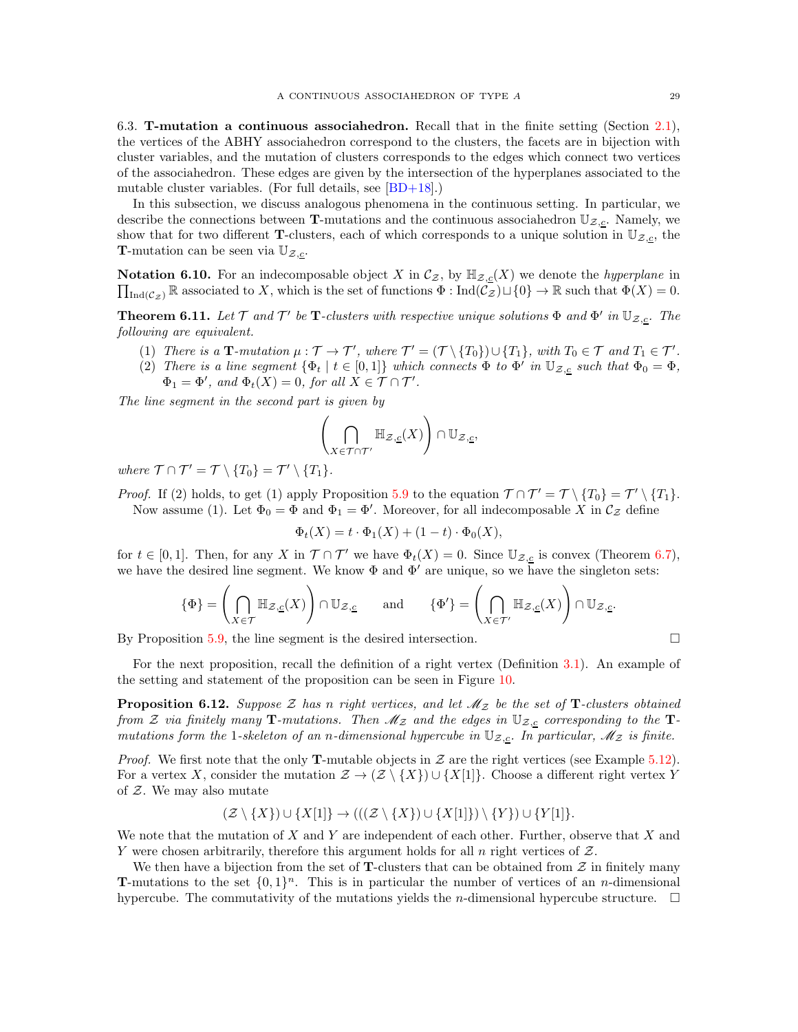<span id="page-28-1"></span>6.3. T-mutation a continuous associahedron. Recall that in the finite setting (Section [2.1\)](#page-2-1), the vertices of the ABHY associahedron correspond to the clusters, the facets are in bijection with cluster variables, and the mutation of clusters corresponds to the edges which connect two vertices of the associahedron. These edges are given by the intersection of the hyperplanes associated to the mutable cluster variables. (For full details, see [\[BD+18\]](#page-33-10).)

In this subsection, we discuss analogous phenomena in the continuous setting. In particular, we describe the connections between T-mutations and the continuous associahedron  $\mathbb{U}_{\mathcal{Z},\underline{c}}$ . Namely, we show that for two different **T**-clusters, each of which corresponds to a unique solution in  $\mathbb{U}_{\mathcal{Z},\underline{c}}$ , the **T**-mutation can be seen via  $\mathbb{U}_{\mathcal{Z},c}$ .

 $\prod_{\text{Ind}(\mathcal{C}_\mathcal{Z})} \mathbb{R}$  associated to X, which is the set of functions  $\Phi : \text{Ind}(\mathcal{C}_\mathcal{Z}) \cup \{0\} \to \mathbb{R}$  such that  $\Phi(X) = 0$ . **Notation 6.10.** For an indecomposable object X in  $\mathcal{C}_{\mathcal{Z}}$ , by  $\mathbb{H}_{\mathcal{Z},\mathcal{L}}(X)$  we denote the *hyperplane* in

<span id="page-28-0"></span>**Theorem 6.11.** Let  $\mathcal T$  and  $\mathcal T'$  be **T**-clusters with respective unique solutions  $\Phi$  and  $\Phi'$  in  $\mathbb{U}_{\mathcal{Z},\mathcal{L}}$ . The following are equivalent.

- (1) There is a  $\mathbf{T}\text{-}mutation \mu : \mathcal{T} \to \mathcal{T}'$ , where  $\mathcal{T}' = (\mathcal{T} \setminus \{T_0\}) \cup \{T_1\}$ , with  $T_0 \in \mathcal{T}$  and  $T_1 \in \mathcal{T}'$ .
- (2) There is a line segment  $\{\Phi_t \mid t \in [0,1]\}$  which connects  $\Phi$  to  $\Phi'$  in  $\mathbb{U}_{\mathcal{Z},\underline{c}}$  such that  $\Phi_0 = \Phi$ ,  $\Phi_1 = \Phi'$ , and  $\Phi_t(X) = 0$ , for all  $X \in \mathcal{T} \cap \mathcal{T}'$ .

The line segment in the second part is given by

$$
\left(\bigcap_{X\in \mathcal{T}\cap \mathcal{T}'}\mathbb{H}_{\mathcal{Z},\underline{c}}(X)\right)\cap \mathbb{U}_{\mathcal{Z},\underline{c}},
$$

where  $\mathcal{T} \cap \mathcal{T}' = \mathcal{T} \setminus \{T_0\} = \mathcal{T}' \setminus \{T_1\}.$ 

*Proof.* If (2) holds, to get (1) apply Proposition [5.9](#page-24-1) to the equation  $\mathcal{T} \cap \mathcal{T}' = \mathcal{T} \setminus \{T_0\} = \mathcal{T}' \setminus \{T_1\}.$ Now assume (1). Let  $\Phi_0 = \Phi$  and  $\Phi_1 = \Phi'$ . Moreover, for all indecomposable X in  $\mathcal{C}_{\mathcal{Z}}$  define

$$
\Phi_t(X) = t \cdot \Phi_1(X) + (1 - t) \cdot \Phi_0(X),
$$

for  $t \in [0,1]$ . Then, for any X in  $\mathcal{T} \cap \mathcal{T}'$  we have  $\Phi_t(X) = 0$ . Since  $\mathbb{U}_{\mathcal{Z},\mathcal{L}}$  is convex (Theorem [6.7\)](#page-27-0), we have the desired line segment. We know  $\Phi$  and  $\Phi'$  are unique, so we have the singleton sets:

$$
\{\Phi\}=\left(\bigcap_{X\in\mathcal{T}}\mathbb{H}_{\mathcal{Z},\underline{c}}(X)\right)\cap\mathbb{U}_{\mathcal{Z},\underline{c}}\qquad\text{and}\qquad \{\Phi'\}=\left(\bigcap_{X\in\mathcal{T}'}\mathbb{H}_{\mathcal{Z},\underline{c}}(X)\right)\cap\mathbb{U}_{\mathcal{Z},\underline{c}}.
$$

By Proposition [5.9,](#page-24-1) the line segment is the desired intersection.  $\Box$ 

For the next proposition, recall the definition of a right vertex (Definition [3.1\)](#page-10-1). An example of the setting and statement of the proposition can be seen in Figure [10.](#page-29-1)

**Proposition 6.12.** Suppose  $\mathcal{Z}$  has n right vertices, and let  $\mathcal{M}_{\mathcal{Z}}$  be the set of T-clusters obtained from  $\mathcal Z$  via finitely many  $\mathbf T$ -mutations. Then  $\mathscr M_{\mathcal Z}$  and the edges in  $\mathbb U_{\mathcal Z, \underline c}$  corresponding to the  $\mathbf T$ mutations form the 1-skeleton of an n-dimensional hypercube in  $\mathbb{U}_{z,\underline{c}}$ . In particular,  $\mathscr{M}_z$  is finite.

*Proof.* We first note that the only **T**-mutable objects in  $\mathcal Z$  are the right vertices (see Example [5.12\)](#page-25-1). For a vertex X, consider the mutation  $\mathcal{Z} \to (\mathcal{Z} \setminus \{X\}) \cup \{X[1]\}$ . Choose a different right vertex Y of  $Z$ . We may also mutate

$$
(\mathcal{Z} \setminus \{X\}) \cup \{X[1]\} \to (((\mathcal{Z} \setminus \{X\}) \cup \{X[1]\}) \setminus \{Y\}) \cup \{Y[1]\}.
$$

We note that the mutation of X and Y are independent of each other. Further, observe that X and Y were chosen arbitrarily, therefore this argument holds for all  $n$  right vertices of  $Z$ .

We then have a bijection from the set of **T**-clusters that can be obtained from  $\mathcal{Z}$  in finitely many **T**-mutations to the set  $\{0,1\}^n$ . This is in particular the number of vertices of an *n*-dimensional hypercube. The commutativity of the mutations yields the *n*-dimensional hypercube structure.  $\square$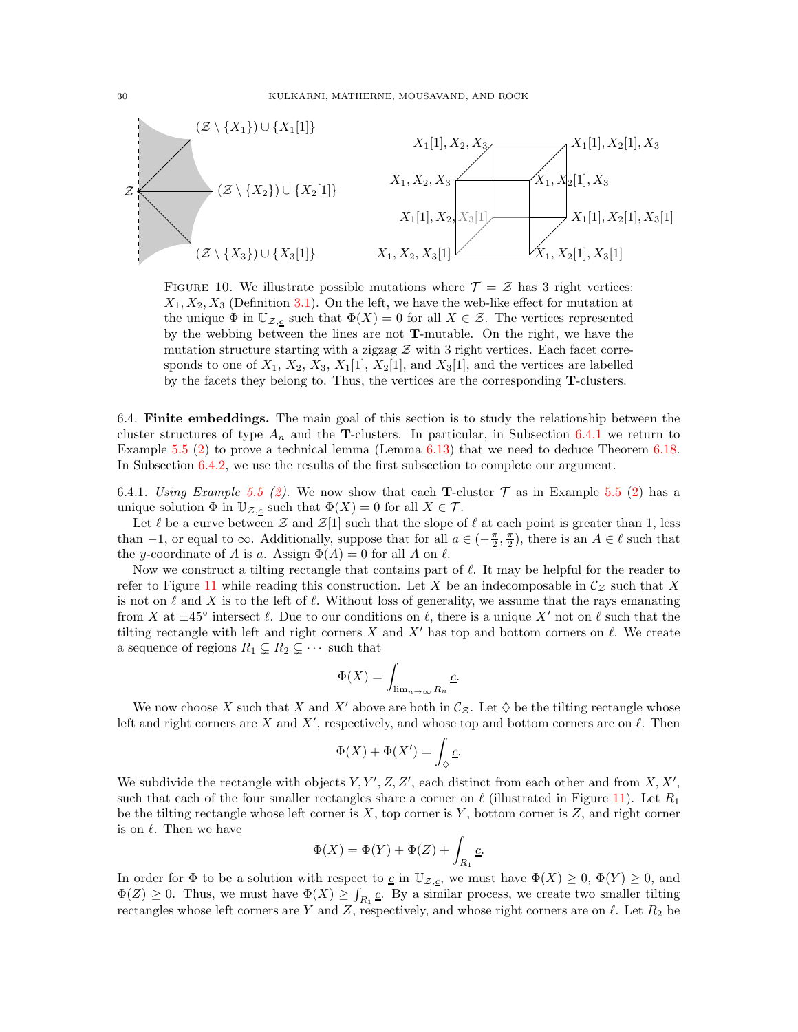

<span id="page-29-1"></span>FIGURE 10. We illustrate possible mutations where  $\mathcal{T} = \mathcal{Z}$  has 3 right vertices:  $X_1, X_2, X_3$  (Definition [3.1\)](#page-10-1). On the left, we have the web-like effect for mutation at the unique  $\Phi$  in  $\mathbb{U}_{\mathcal{Z},c}$  such that  $\Phi(X) = 0$  for all  $X \in \mathcal{Z}$ . The vertices represented by the webbing between the lines are not T-mutable. On the right, we have the mutation structure starting with a zigzag  $\mathcal Z$  with 3 right vertices. Each facet corresponds to one of  $X_1, X_2, X_3, X_1[1], X_2[1]$ , and  $X_3[1]$ , and the vertices are labelled by the facets they belong to. Thus, the vertices are the corresponding T-clusters.

<span id="page-29-0"></span>6.4. Finite embeddings. The main goal of this section is to study the relationship between the cluster structures of type  $A_n$  and the **T**-clusters. In particular, in Subsection [6.4.1](#page-29-2) we return to Example [5.5](#page-21-1) [\(2\)](#page-21-3) to prove a technical lemma (Lemma [6.13\)](#page-30-0) that we need to deduce Theorem [6.18.](#page-32-0) In Subsection [6.4.2,](#page-30-1) we use the results of the first subsection to complete our argument.

<span id="page-29-2"></span>6.4.1. Using Example [5.5](#page-21-1) [\(2\)](#page-21-3). We now show that each **T**-cluster  $\mathcal T$  as in Example 5.5 (2) has a unique solution  $\Phi$  in  $\mathbb{U}_{\mathcal{Z},\underline{c}}$  such that  $\Phi(X) = 0$  for all  $X \in \mathcal{T}$ .

Let  $\ell$  be a curve between  $\mathcal Z$  and  $\mathcal Z[1]$  such that the slope of  $\ell$  at each point is greater than 1, less than  $-1$ , or equal to  $\infty$ . Additionally, suppose that for all  $a \in \left(-\frac{\pi}{2}, \frac{\pi}{2}\right)$ , there is an  $A \in \ell$  such that the y-coordinate of A is a. Assign  $\Phi(A) = 0$  for all A on  $\ell$ .

Now we construct a tilting rectangle that contains part of  $\ell$ . It may be helpful for the reader to refer to Figure [11](#page-30-2) while reading this construction. Let X be an indecomposable in  $\mathcal{C}_{z}$  such that X is not on  $\ell$  and X is to the left of  $\ell$ . Without loss of generality, we assume that the rays emanating from X at  $\pm 45^{\circ}$  intersect  $\ell$ . Due to our conditions on  $\ell$ , there is a unique X' not on  $\ell$  such that the tilting rectangle with left and right corners X and  $X'$  has top and bottom corners on  $\ell$ . We create a sequence of regions  $R_1 \subsetneq R_2 \subsetneq \cdots$  such that

$$
\Phi(X)=\int_{\lim_{n\rightarrow\infty}R_n}\underline{c}.
$$

We now choose X such that X and X' above are both in  $C_z$ . Let  $\diamondsuit$  be the tilting rectangle whose left and right corners are X and X', respectively, and whose top and bottom corners are on  $\ell$ . Then

$$
\Phi(X) + \Phi(X') = \int_{\Diamond} \underline{c}.
$$

We subdivide the rectangle with objects  $Y, Y', Z, Z'$ , each distinct from each other and from  $X, X'$ , such that each of the four smaller rectangles share a corner on  $\ell$  (illustrated in Figure [11\)](#page-30-2). Let  $R_1$ be the tilting rectangle whose left corner is  $X$ , top corner is  $Y$ , bottom corner is  $Z$ , and right corner is on  $\ell$ . Then we have

$$
\Phi(X)=\Phi(Y)+\Phi(Z)+\int_{R_1}\underline{c}.
$$

In order for  $\Phi$  to be a solution with respect to  $\underline{c}$  in  $\mathbb{U}_{\mathcal{Z},\underline{c}}$ , we must have  $\Phi(X) \geq 0$ ,  $\Phi(Y) \geq 0$ , and  $\Phi(Z) \geq 0$ . Thus, we must have  $\Phi(X) \geq \int_{R_1} \mathcal{L}$ . By a similar process, we create two smaller tilting rectangles whose left corners are Y and Z, respectively, and whose right corners are on  $\ell$ . Let  $R_2$  be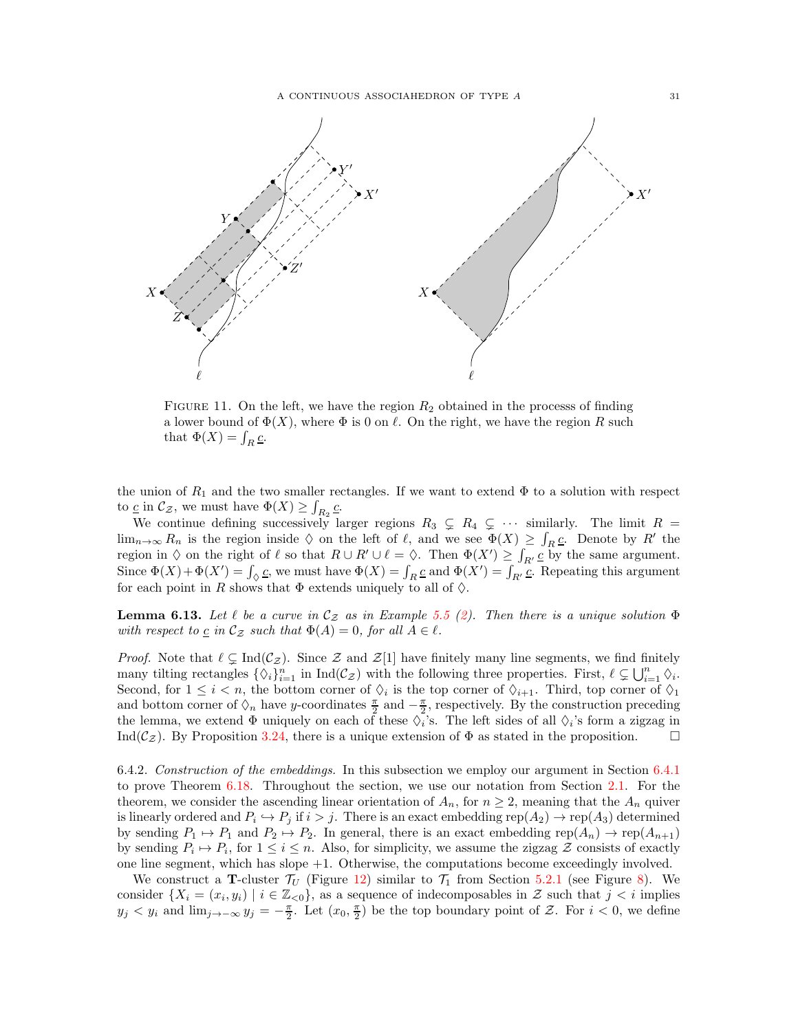

<span id="page-30-2"></span>FIGURE 11. On the left, we have the region  $R_2$  obtained in the processs of finding a lower bound of  $\Phi(X)$ , where  $\Phi$  is 0 on  $\ell$ . On the right, we have the region R such that  $\Phi(X) = \int_R \underline{c}$ .

the union of  $R_1$  and the two smaller rectangles. If we want to extend  $\Phi$  to a solution with respect to  $\underline{c}$  in  $\mathcal{C}_{\mathcal{Z}}$ , we must have  $\Phi(X) \geq \int_{R_2} \underline{c}$ .

We continue defining successively larger regions  $R_3 \subsetneq R_4 \subsetneq \cdots$  similarly. The limit  $R =$  $\lim_{n\to\infty} R_n$  is the region inside  $\Diamond$  on the left of  $\ell$ , and we see  $\Phi(X) \geq \int_R \underline{c}$ . Denote by  $R'$  the region in  $\diamond$  on the right of  $\ell$  so that  $R \cup R' \cup \ell = \diamondsuit$ . Then  $\Phi(X') \geq \int_{R'} \underline{c}$  by the same argument. Since  $\Phi(X) + \Phi(X') = \int_{\Diamond} \underline{c}$ , we must have  $\Phi(X) = \int_{R} \underline{c}$  and  $\Phi(X') = \int_{R'} \underline{c}$ . Repeating this argument for each point in R shows that  $\Phi$  extends uniquely to all of  $\Diamond$ .

<span id="page-30-0"></span>**Lemma 6.13.** Let  $\ell$  be a curve in  $\mathcal{C}_{\mathcal{Z}}$  as in Example [5.5](#page-21-1) [\(2\)](#page-21-3). Then there is a unique solution  $\Phi$ with respect to  $\underline{c}$  in  $\mathcal{C}_{\mathcal{Z}}$  such that  $\Phi(A) = 0$ , for all  $A \in \ell$ .

*Proof.* Note that  $\ell \subsetneq \text{Ind}(\mathcal{C}_{\mathcal{Z}})$ . Since  $\mathcal{Z}$  and  $\mathcal{Z}[1]$  have finitely many line segments, we find finitely many tilting rectangles  $\{\Diamond_i\}_{i=1}^n$  in  $\text{Ind}(\mathcal{C}_{\mathcal{Z}})$  with the following three properties. First,  $\ell \subsetneq \bigcup_{i=1}^n \Diamond_i$ . Second, for  $1 \leq i < n$ , the bottom corner of  $\Diamond_i$  is the top corner of  $\Diamond_{i+1}$ . Third, top corner of  $\Diamond_1$ and bottom corner of  $\Diamond_n$  have y-coordinates  $\frac{\pi}{2}$  and  $-\frac{\pi}{2}$ , respectively. By the construction preceding the lemma, we extend  $\Phi$  uniquely on each of these  $\Diamond_i$ 's. The left sides of all  $\Diamond_i$ 's form a zigzag in Ind( $\mathcal{C}_{\mathcal{Z}}$ ). By Proposition [3.24,](#page-17-3) there is a unique extension of  $\Phi$  as stated in the proposition.

<span id="page-30-1"></span>6.4.2. Construction of the embeddings. In this subsection we employ our argument in Section [6.4.1](#page-29-2) to prove Theorem [6.18.](#page-32-0) Throughout the section, we use our notation from Section [2.1.](#page-2-1) For the theorem, we consider the ascending linear orientation of  $A_n$ , for  $n \geq 2$ , meaning that the  $A_n$  quiver is linearly ordered and  $P_i \hookrightarrow P_j$  if  $i > j$ . There is an exact embedding rep $(A_2) \to \text{rep}(A_3)$  determined by sending  $P_1 \mapsto P_1$  and  $P_2 \mapsto P_2$ . In general, there is an exact embedding rep( $A_n$ )  $\mapsto$  rep( $A_{n+1}$ ) by sending  $P_i \mapsto P_i$ , for  $1 \leq i \leq n$ . Also, for simplicity, we assume the zigzag  $\mathcal Z$  consists of exactly one line segment, which has slope +1. Otherwise, the computations become exceedingly involved.

We construct a T-cluster  $\mathcal{T}_U$  (Figure [12\)](#page-31-0) similar to  $\mathcal{T}_1$  from Section [5.2.1](#page-21-2) (see Figure [8\)](#page-22-0). We consider  $\{X_i = (x_i, y_i) \mid i \in \mathbb{Z}_{\leq 0}\}$ , as a sequence of indecomposables in  $\mathcal Z$  such that  $j < i$  implies  $y_j < y_i$  and  $\lim_{j\to-\infty} y_j = -\frac{\pi}{2}$ . Let  $(x_0, \frac{\pi}{2})$  be the top boundary point of Z. For  $i < 0$ , we define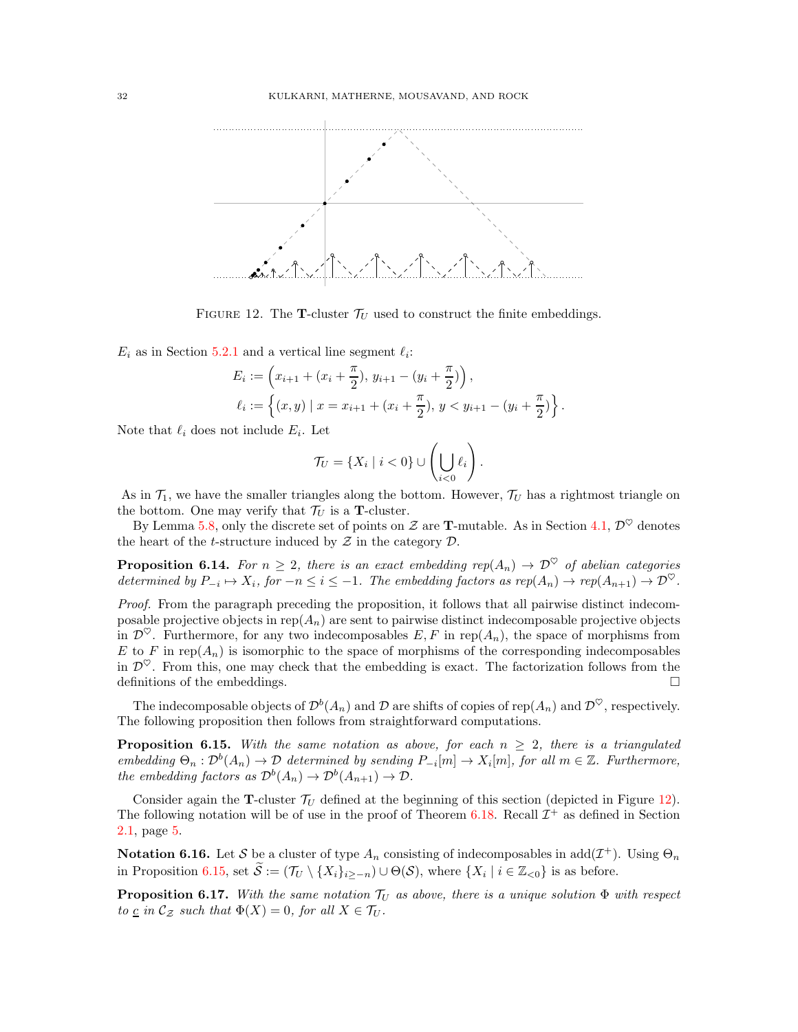

FIGURE 12. The **T**-cluster  $\mathcal{T}_U$  used to construct the finite embeddings.

 $E_i$  as in Section [5.2.1](#page-21-2) and a vertical line segment  $\ell_i$ :

<span id="page-31-0"></span>
$$
E_i := \left(x_{i+1} + (x_i + \frac{\pi}{2}), y_{i+1} - (y_i + \frac{\pi}{2})\right),
$$
  

$$
\ell_i := \left\{(x, y) \mid x = x_{i+1} + (x_i + \frac{\pi}{2}), y < y_{i+1} - (y_i + \frac{\pi}{2})\right\}.
$$

Note that  $\ell_i$  does not include  $E_i$ . Let

$$
\mathcal{T}_U = \{X_i \mid i < 0\} \cup \left(\bigcup_{i < 0} \ell_i\right).
$$

As in  $\mathcal{T}_1$ , we have the smaller triangles along the bottom. However,  $\mathcal{T}_U$  has a rightmost triangle on the bottom. One may verify that  $\mathcal{T}_U$  is a **T**-cluster.

By Lemma [5.8,](#page-23-2) only the discrete set of points on  $\mathcal Z$  are **T**-mutable. As in Section [4.1,](#page-17-1)  $\mathcal D^{\heartsuit}$  denotes the heart of the *t*-structure induced by  $\mathcal Z$  in the category  $\mathcal D$ .

**Proposition 6.14.** For  $n \geq 2$ , there is an exact embedding rep $(A_n) \to \mathcal{D}^{\heartsuit}$  of abelian categories determined by  $P_{-i} \mapsto X_i$ , for  $-n \leq i \leq -1$ . The embedding factors as  $rep(A_n) \to rep(A_{n+1}) \to \mathcal{D}^{\heartsuit}$ .

Proof. From the paragraph preceding the proposition, it follows that all pairwise distinct indecomposable projective objects in  $rep(A_n)$  are sent to pairwise distinct indecomposable projective objects in  $\mathcal{D}^{\heartsuit}$ . Furthermore, for any two indecomposables E, F in rep( $A_n$ ), the space of morphisms from E to F in rep $(A_n)$  is isomorphic to the space of morphisms of the corresponding indecomposables in  $\mathcal{D}^{\heartsuit}$ . From this, one may check that the embedding is exact. The factorization follows from the definitions of the embeddings.

The indecomposable objects of  $\mathcal{D}^b(A_n)$  and  $\mathcal D$  are shifts of copies of rep $(A_n)$  and  $\mathcal{D}^\heartsuit$ , respectively. The following proposition then follows from straightforward computations.

<span id="page-31-1"></span>**Proposition 6.15.** With the same notation as above, for each  $n \geq 2$ , there is a triangulated embedding  $\Theta_n : \mathcal{D}^b(A_n) \to \mathcal{D}$  determined by sending  $P_{-i}[m] \to X_i[m]$ , for all  $m \in \mathbb{Z}$ . Furthermore, the embedding factors as  $\mathcal{D}^b(A_n) \to \mathcal{D}^b(A_{n+1}) \to \mathcal{D}$ .

Consider again the **T**-cluster  $\mathcal{T}_U$  defined at the beginning of this section (depicted in Figure [12\)](#page-31-0). The following notation will be of use in the proof of Theorem [6.18.](#page-32-0) Recall  $\mathcal{I}^+$  as defined in Section [2.1,](#page-2-1) page [5.](#page-4-0)

<span id="page-31-2"></span>**Notation 6.16.** Let S be a cluster of type  $A_n$  consisting of indecomposables in  $add(\mathcal{I}^+)$ . Using  $\Theta_n$ in Proposition [6.15,](#page-31-1) set  $S := (\mathcal{T}_U \setminus \{X_i\}_{i \geq -n}) \cup \Theta(\mathcal{S})$ , where  $\{X_i \mid i \in \mathbb{Z}_{< 0}\}$  is as before.

<span id="page-31-3"></span>**Proposition 6.17.** With the same notation  $\mathcal{T}_U$  as above, there is a unique solution  $\Phi$  with respect to <u>c</u> in  $\mathcal{C}_{\mathcal{Z}}$  such that  $\Phi(X) = 0$ , for all  $X \in \mathcal{T}_U$ .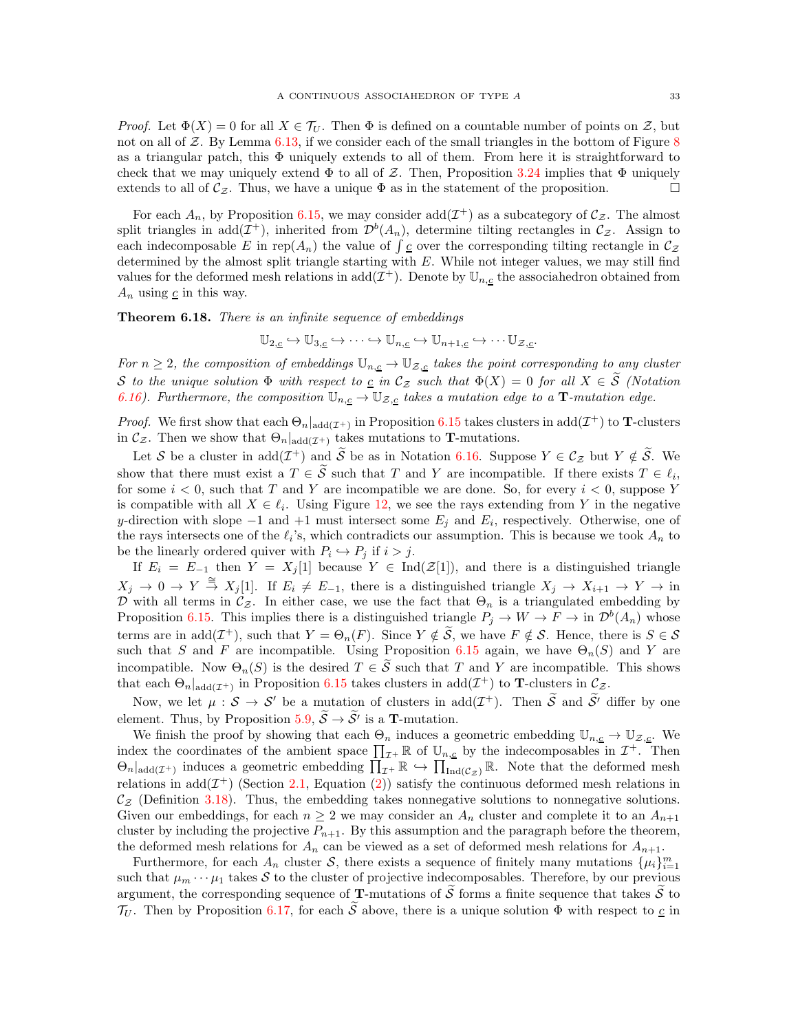*Proof.* Let  $\Phi(X) = 0$  for all  $X \in \mathcal{T}_U$ . Then  $\Phi$  is defined on a countable number of points on  $\mathcal{Z}$ , but not on all of  $\mathcal{Z}$ . By Lemma [6.13,](#page-30-0) if we consider each of the small triangles in the bottom of Figure [8](#page-22-0) as a triangular patch, this  $\Phi$  uniquely extends to all of them. From here it is straightforward to check that we may uniquely extend  $\Phi$  to all of Z. Then, Proposition [3.24](#page-17-3) implies that  $\Phi$  uniquely extends to all of  $\mathcal{C}_{z}$ . Thus, we have a unique  $\Phi$  as in the statement of the proposition.

For each  $A_n$ , by Proposition [6.15,](#page-31-1) we may consider  $add(\mathcal{I}^+)$  as a subcategory of  $\mathcal{C}_{\mathcal{Z}}$ . The almost split triangles in  $add(\mathcal{I}^+)$ , inherited from  $\mathcal{D}^b(A_n)$ , determine tilting rectangles in  $\mathcal{C}_{\mathcal{Z}}$ . Assign to each indecomposable E in rep $(A_n)$  the value of  $\int_{c}^{n}$  over the corresponding tilting rectangle in  $\mathcal{C}_{\mathcal{Z}}$ determined by the almost split triangle starting with E. While not integer values, we may still find values for the deformed mesh relations in  $add(\mathcal{I}^+)$ . Denote by  $\mathbb{U}_{n,\underline{c}}$  the associahedron obtained from  $A_n$  using  $\underline{c}$  in this way.

<span id="page-32-0"></span>Theorem 6.18. There is an infinite sequence of embeddings

$$
\mathbb{U}_{2,\underline{c}} \hookrightarrow \mathbb{U}_{3,\underline{c}} \hookrightarrow \cdots \hookrightarrow \mathbb{U}_{n,\underline{c}} \hookrightarrow \mathbb{U}_{n+1,\underline{c}} \hookrightarrow \cdots \mathbb{U}_{\mathcal{Z},\underline{c}}.
$$

For  $n \geq 2$ , the composition of embeddings  $\mathbb{U}_{n,\underline{c}} \to \mathbb{U}_{\mathcal{Z},\underline{c}}$  takes the point corresponding to any cluster S to the unique solution  $\Phi$  with respect to  $\underline{c}$  in  $\mathcal{C}_{\mathcal{Z}}$  such that  $\Phi(X) = 0$  for all  $X \in \widetilde{S}$  (Notation [6.16\)](#page-31-2). Furthermore, the composition  $\mathbb{U}_{n,\underline{c}} \to \mathbb{U}_{\mathcal{Z},\underline{c}}$  takes a mutation edge to a **T**-mutation edge.

*Proof.* We first show that each  $\Theta_n|_{\text{add}(\mathcal{I}^+)}$  in Proposition [6.15](#page-31-1) takes clusters in  $\text{add}(\mathcal{I}^+)$  to **T**-clusters in  $\mathcal{C}_{\mathcal{Z}}$ . Then we show that  $\Theta_n|_{\text{add}(\mathcal{I}^+)}$  takes mutations to **T**-mutations.

Let S be a cluster in add $(\mathcal{I}^+)$  and  $\widetilde{S}$  be as in Notation [6.16.](#page-31-2) Suppose  $Y \in \mathcal{C}_{\mathcal{Z}}$  but  $Y \notin \widetilde{S}$ . We show that there must exist a  $T \in \mathcal{S}$  such that T and Y are incompatible. If there exists  $T \in \ell_i$ , for some  $i < 0$ , such that T and Y are incompatible we are done. So, for every  $i < 0$ , suppose Y is compatible with all  $X \in \ell_i$ . Using Figure [12,](#page-31-0) we see the rays extending from Y in the negative y-direction with slope  $-1$  and  $+1$  must intersect some  $E_j$  and  $E_i$ , respectively. Otherwise, one of the rays intersects one of the  $\ell_i$ 's, which contradicts our assumption. This is because we took  $A_n$  to be the linearly ordered quiver with  $P_i \hookrightarrow P_j$  if  $i > j$ .

If  $E_i = E_{-1}$  then  $Y = X_j[1]$  because  $Y \in \text{Ind}(\mathcal{Z}[1])$ , and there is a distinguished triangle  $X_j \to 0 \to Y \stackrel{\cong}{\to} X_j[1]$ . If  $E_i \neq E_{-1}$ , there is a distinguished triangle  $X_j \to X_{i+1} \to Y \to \text{in}$ D with all terms in  $\mathcal{C}_{\mathcal{Z}}$ . In either case, we use the fact that  $\Theta_n$  is a triangulated embedding by Proposition [6.15.](#page-31-1) This implies there is a distinguished triangle  $P_j \to W \to F \to \text{in } \mathcal{D}^b(A_n)$  whose terms are in add $(\mathcal{I}^+)$ , such that  $Y = \Theta_n(F)$ . Since  $Y \notin \mathcal{S}$ , we have  $F \notin \mathcal{S}$ . Hence, there is  $S \in \mathcal{S}$ such that S and F are incompatible. Using Proposition [6.15](#page-31-1) again, we have  $\Theta_n(S)$  and Y are incompatible. Now  $\Theta_n(S)$  is the desired  $T \in \widetilde{S}$  such that T and Y are incompatible. This shows that each  $\Theta_n|_{\text{add}(\mathcal{I}^+)}$  in Proposition [6.15](#page-31-1) takes clusters in  $\text{add}(\mathcal{I}^+)$  to **T**-clusters in  $\mathcal{C}_{\mathcal{Z}}$ .

Now, we let  $\mu : \mathcal{S} \to \mathcal{S}'$  be a mutation of clusters in  $add(\mathcal{I}^+)$ . Then  $\widetilde{\mathcal{S}}$  and  $\widetilde{\mathcal{S}}'$  differ by one element. Thus, by Proposition [5.9,](#page-24-1)  $S \rightarrow S'$  is a **T**-mutation.

We finish the proof by showing that each  $\Theta_n$  induces a geometric embedding  $\mathbb{U}_{n,\underline{c}} \to \mathbb{U}_{\mathcal{Z},\underline{c}}$ . We index the coordinates of the ambient space  $\prod_{\mathcal{I}^+} \mathbb{R}$  of  $\mathbb{U}_{n,\underline{c}}$  by the indecomposables in  $\mathcal{I}^+$ . Then  $\Theta_n|_{\text{add}(\mathcal{I}^+)}$  induces a geometric embedding  $\prod_{\mathcal{I}^+} \mathbb{R} \hookrightarrow \prod_{\text{Ind}(\mathcal{C}_{\mathcal{Z}})} \mathbb{R}$ . Note that the deformed mesh relations in add $(\mathcal{I}^+)$  (Section [2.1,](#page-2-1) Equation [\(2\)](#page-5-0)) satisfy the continuous deformed mesh relations in  $\mathcal{C}_{\mathcal{Z}}$  (Definition [3.18\)](#page-15-0). Thus, the embedding takes nonnegative solutions to nonnegative solutions. Given our embeddings, for each  $n \geq 2$  we may consider an  $A_n$  cluster and complete it to an  $A_{n+1}$ cluster by including the projective  $P_{n+1}$ . By this assumption and the paragraph before the theorem, the deformed mesh relations for  $A_n$  can be viewed as a set of deformed mesh relations for  $A_{n+1}$ .

Furthermore, for each  $A_n$  cluster S, there exists a sequence of finitely many mutations  $\{\mu_i\}_{i=1}^m$ such that  $\mu_m \cdots \mu_1$  takes S to the cluster of projective indecomposables. Therefore, by our previous argument, the corresponding sequence of **T**-mutations of  $\tilde{S}$  forms a finite sequence that takes  $\tilde{S}$  to  $\mathcal{T}_U$ . Then by Proposition [6.17,](#page-31-3) for each  $\widetilde{S}$  above, there is a unique solution  $\Phi$  with respect to  $\underline{c}$  in